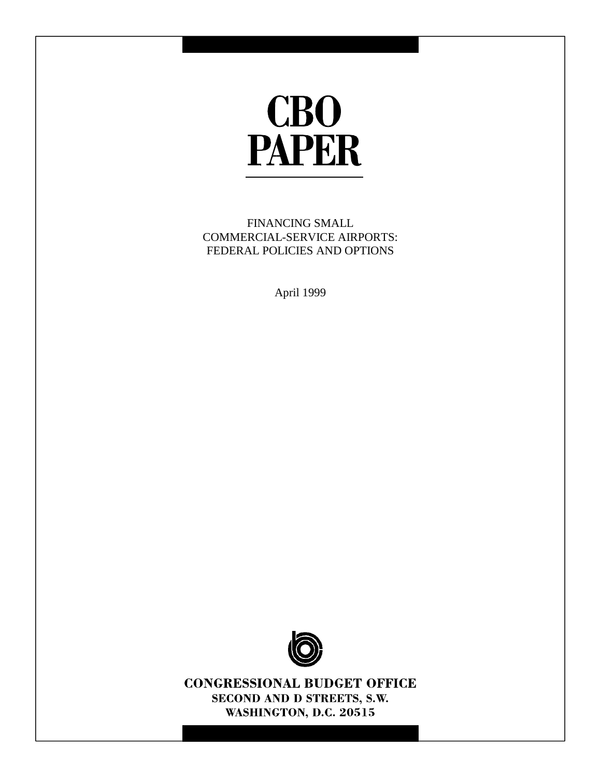

FINANCING SMALL COMMERCIAL-SERVICE AIRPORTS: FEDERAL POLICIES AND OPTIONS

April 1999



**CONGRESSIONAL BUDGET OFFICE** SECOND AND D STREETS, S.W. WASHINGTON, D.C. 20515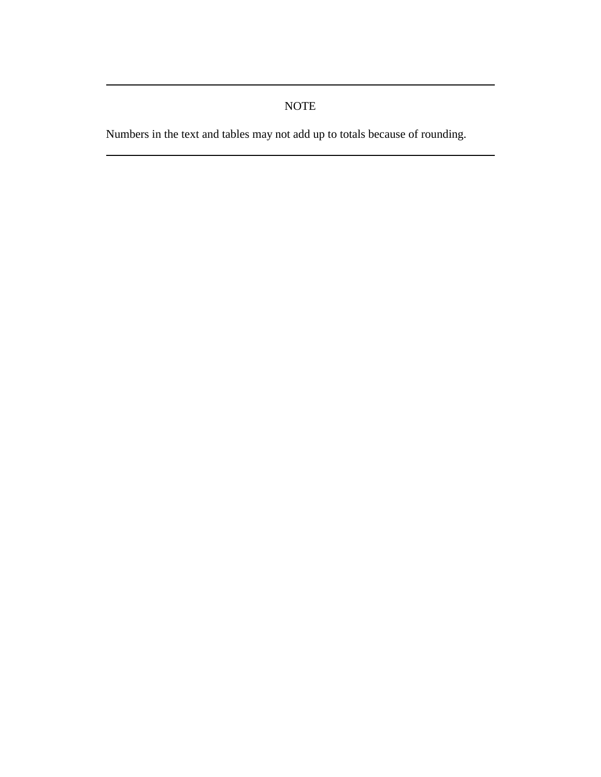# NOTE

Numbers in the text and tables may not add up to totals because of rounding.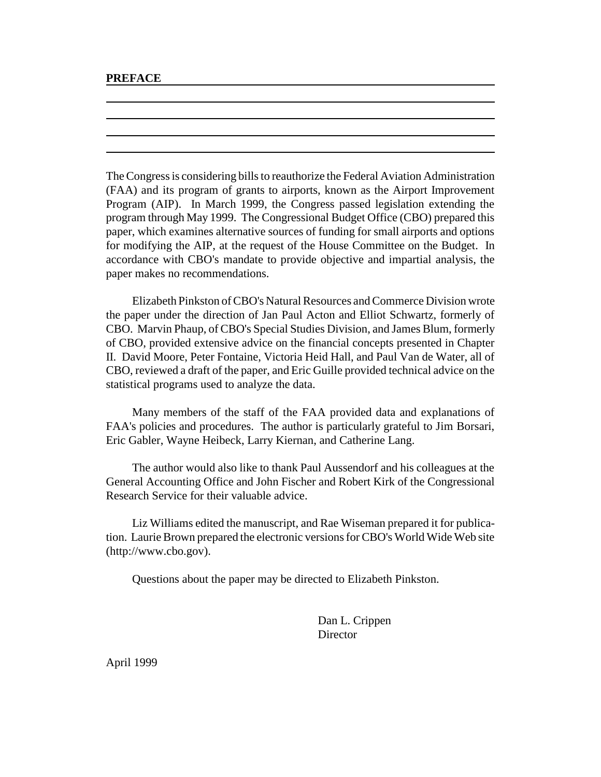#### **PREFACE**

The Congress is considering bills to reauthorize the Federal Aviation Administration (FAA) and its program of grants to airports, known as the Airport Improvement Program (AIP). In March 1999, the Congress passed legislation extending the program through May 1999. The Congressional Budget Office (CBO) prepared this paper, which examines alternative sources of funding for small airports and options for modifying the AIP, at the request of the House Committee on the Budget. In accordance with CBO's mandate to provide objective and impartial analysis, the paper makes no recommendations.

Elizabeth Pinkston of CBO's Natural Resources and Commerce Division wrote the paper under the direction of Jan Paul Acton and Elliot Schwartz, formerly of CBO. Marvin Phaup, of CBO's Special Studies Division, and James Blum, formerly of CBO, provided extensive advice on the financial concepts presented in Chapter II. David Moore, Peter Fontaine, Victoria Heid Hall, and Paul Van de Water, all of CBO, reviewed a draft of the paper, and Eric Guille provided technical advice on the statistical programs used to analyze the data.

Many members of the staff of the FAA provided data and explanations of FAA's policies and procedures. The author is particularly grateful to Jim Borsari, Eric Gabler, Wayne Heibeck, Larry Kiernan, and Catherine Lang.

The author would also like to thank Paul Aussendorf and his colleagues at the General Accounting Office and John Fischer and Robert Kirk of the Congressional Research Service for their valuable advice.

Liz Williams edited the manuscript, and Rae Wiseman prepared it for publication. Laurie Brown prepared the electronic versions for CBO's World Wide Web site (http://www.cbo.gov).

Questions about the paper may be directed to Elizabeth Pinkston.

Dan L. Crippen **Director** 

April 1999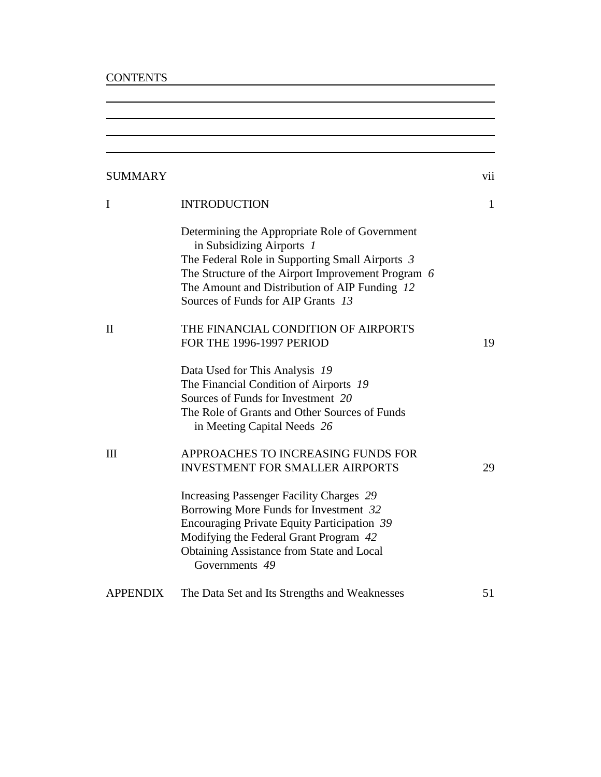# **CONTENTS**

| <b>SUMMARY</b>  |                                                                                                                                                                                                                                                                             | vii          |
|-----------------|-----------------------------------------------------------------------------------------------------------------------------------------------------------------------------------------------------------------------------------------------------------------------------|--------------|
| $\bf{I}$        | <b>INTRODUCTION</b>                                                                                                                                                                                                                                                         | $\mathbf{1}$ |
|                 | Determining the Appropriate Role of Government<br>in Subsidizing Airports 1<br>The Federal Role in Supporting Small Airports 3<br>The Structure of the Airport Improvement Program 6<br>The Amount and Distribution of AIP Funding 12<br>Sources of Funds for AIP Grants 13 |              |
| $\mathbf{I}$    | THE FINANCIAL CONDITION OF AIRPORTS<br>FOR THE 1996-1997 PERIOD                                                                                                                                                                                                             | 19           |
|                 | Data Used for This Analysis 19<br>The Financial Condition of Airports 19<br>Sources of Funds for Investment 20<br>The Role of Grants and Other Sources of Funds<br>in Meeting Capital Needs 26                                                                              |              |
| $\mathbf{I}$    | APPROACHES TO INCREASING FUNDS FOR<br><b>INVESTMENT FOR SMALLER AIRPORTS</b>                                                                                                                                                                                                | 29           |
|                 | <b>Increasing Passenger Facility Charges 29</b><br>Borrowing More Funds for Investment 32<br>Encouraging Private Equity Participation 39<br>Modifying the Federal Grant Program 42<br><b>Obtaining Assistance from State and Local</b><br>Governments 49                    |              |
| <b>APPENDIX</b> | The Data Set and Its Strengths and Weaknesses                                                                                                                                                                                                                               | 51           |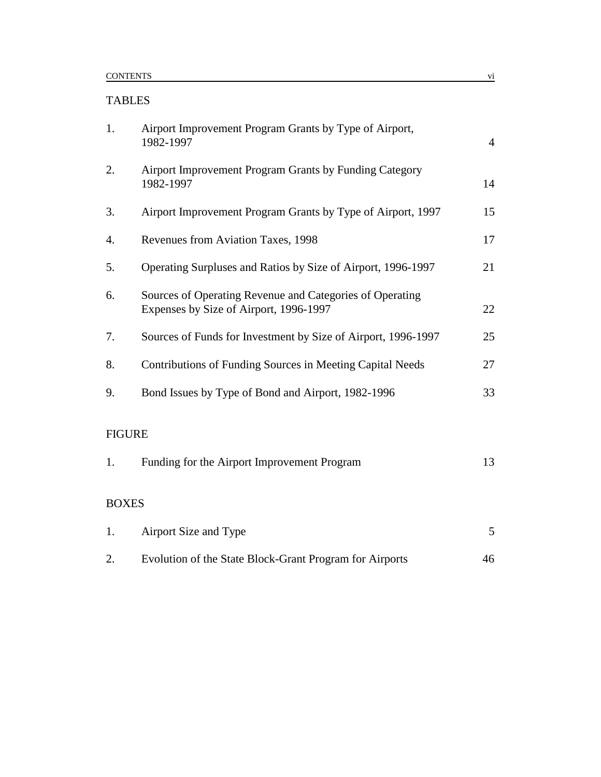# TABLES

| 1.            | Airport Improvement Program Grants by Type of Airport,<br>1982-1997                                | $\overline{4}$ |
|---------------|----------------------------------------------------------------------------------------------------|----------------|
| 2.            | Airport Improvement Program Grants by Funding Category<br>1982-1997                                | 14             |
| 3.            | Airport Improvement Program Grants by Type of Airport, 1997                                        | 15             |
| 4.            | Revenues from Aviation Taxes, 1998                                                                 | 17             |
| 5.            | Operating Surpluses and Ratios by Size of Airport, 1996-1997                                       | 21             |
| 6.            | Sources of Operating Revenue and Categories of Operating<br>Expenses by Size of Airport, 1996-1997 | 22             |
| 7.            | Sources of Funds for Investment by Size of Airport, 1996-1997                                      | 25             |
| 8.            | Contributions of Funding Sources in Meeting Capital Needs                                          | 27             |
| 9.            | Bond Issues by Type of Bond and Airport, 1982-1996                                                 | 33             |
| <b>FIGURE</b> |                                                                                                    |                |
| 1.            | Funding for the Airport Improvement Program                                                        | 13             |
| <b>BOXES</b>  |                                                                                                    |                |
| 1.            | Airport Size and Type                                                                              | 5              |
| 2.            | Evolution of the State Block-Grant Program for Airports                                            | 46             |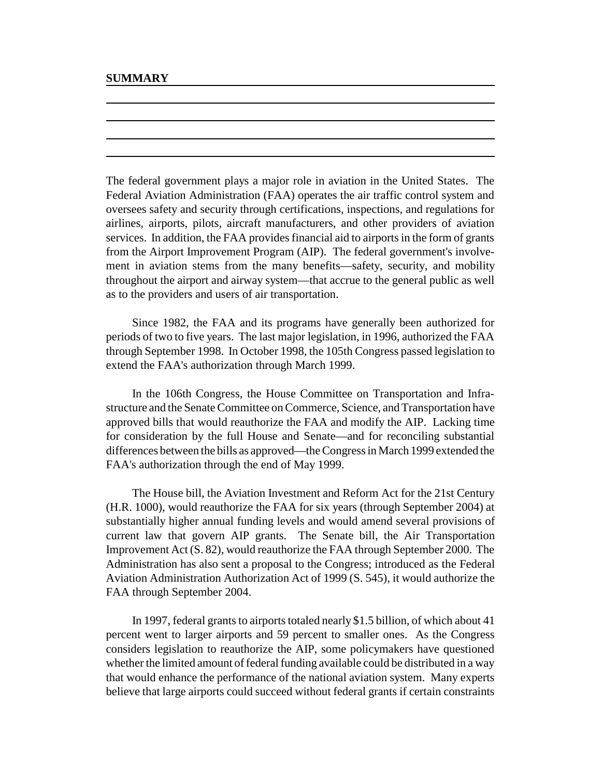The federal government plays a major role in aviation in the United States. The Federal Aviation Administration (FAA) operates the air traffic control system and oversees safety and security through certifications, inspections, and regulations for airlines, airports, pilots, aircraft manufacturers, and other providers of aviation services. In addition, the FAA provides financial aid to airports in the form of grants from the Airport Improvement Program (AIP). The federal government's involvement in aviation stems from the many benefits—safety, security, and mobility throughout the airport and airway system—that accrue to the general public as well as to the providers and users of air transportation.

Since 1982, the FAA and its programs have generally been authorized for periods of two to five years. The last major legislation, in 1996, authorized the FAA through September 1998. In October 1998, the 105th Congress passed legislation to extend the FAA's authorization through March 1999.

In the 106th Congress, the House Committee on Transportation and Infrastructure and the Senate Committee on Commerce, Science, and Transportation have approved bills that would reauthorize the FAA and modify the AIP. Lacking time for consideration by the full House and Senate—and for reconciling substantial differences between the bills as approved—the Congress in March 1999 extended the FAA's authorization through the end of May 1999.

The House bill, the Aviation Investment and Reform Act for the 21st Century (H.R. 1000), would reauthorize the FAA for six years (through September 2004) at substantially higher annual funding levels and would amend several provisions of current law that govern AIP grants. The Senate bill, the Air Transportation Improvement Act (S. 82), would reauthorize the FAA through September 2000. The Administration has also sent a proposal to the Congress; introduced as the Federal Aviation Administration Authorization Act of 1999 (S. 545), it would authorize the FAA through September 2004.

In 1997, federal grants to airports totaled nearly \$1.5 billion, of which about 41 percent went to larger airports and 59 percent to smaller ones. As the Congress considers legislation to reauthorize the AIP, some policymakers have questioned whether the limited amount of federal funding available could be distributed in a way that would enhance the performance of the national aviation system. Many experts believe that large airports could succeed without federal grants if certain constraints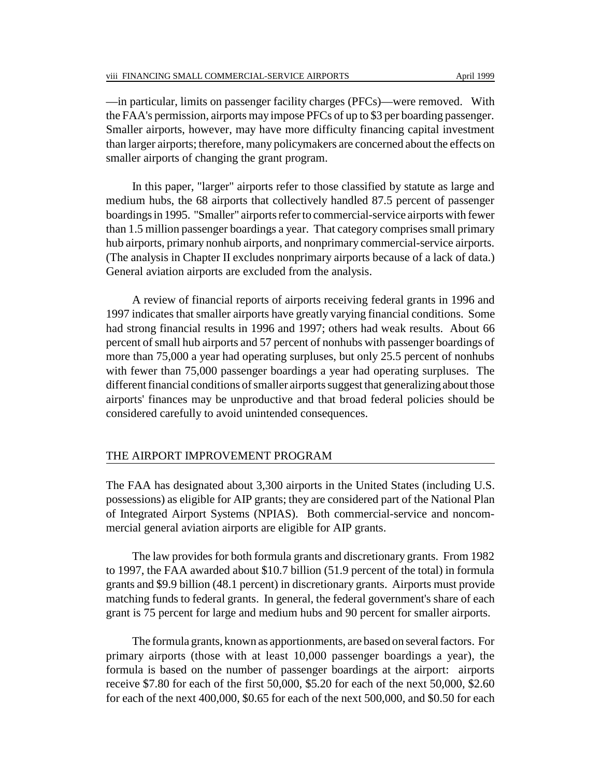—in particular, limits on passenger facility charges (PFCs)—were removed. With the FAA's permission, airports may impose PFCs of up to \$3 per boarding passenger. Smaller airports, however, may have more difficulty financing capital investment than larger airports; therefore, many policymakers are concerned about the effects on smaller airports of changing the grant program.

In this paper, "larger" airports refer to those classified by statute as large and medium hubs, the 68 airports that collectively handled 87.5 percent of passenger boardings in 1995. "Smaller" airports refer to commercial-service airports with fewer than 1.5 million passenger boardings a year. That category comprises small primary hub airports, primary nonhub airports, and nonprimary commercial-service airports. (The analysis in Chapter II excludes nonprimary airports because of a lack of data.) General aviation airports are excluded from the analysis.

A review of financial reports of airports receiving federal grants in 1996 and 1997 indicates that smaller airports have greatly varying financial conditions. Some had strong financial results in 1996 and 1997; others had weak results. About 66 percent of small hub airports and 57 percent of nonhubs with passenger boardings of more than 75,000 a year had operating surpluses, but only 25.5 percent of nonhubs with fewer than 75,000 passenger boardings a year had operating surpluses. The different financial conditions of smaller airports suggest that generalizing about those airports' finances may be unproductive and that broad federal policies should be considered carefully to avoid unintended consequences.

## THE AIRPORT IMPROVEMENT PROGRAM

The FAA has designated about 3,300 airports in the United States (including U.S. possessions) as eligible for AIP grants; they are considered part of the National Plan of Integrated Airport Systems (NPIAS). Both commercial-service and noncommercial general aviation airports are eligible for AIP grants.

The law provides for both formula grants and discretionary grants. From 1982 to 1997, the FAA awarded about \$10.7 billion (51.9 percent of the total) in formula grants and \$9.9 billion (48.1 percent) in discretionary grants. Airports must provide matching funds to federal grants. In general, the federal government's share of each grant is 75 percent for large and medium hubs and 90 percent for smaller airports.

The formula grants, known as apportionments, are based on several factors. For primary airports (those with at least 10,000 passenger boardings a year), the formula is based on the number of passenger boardings at the airport: airports receive \$7.80 for each of the first 50,000, \$5.20 for each of the next 50,000, \$2.60 for each of the next 400,000, \$0.65 for each of the next 500,000, and \$0.50 for each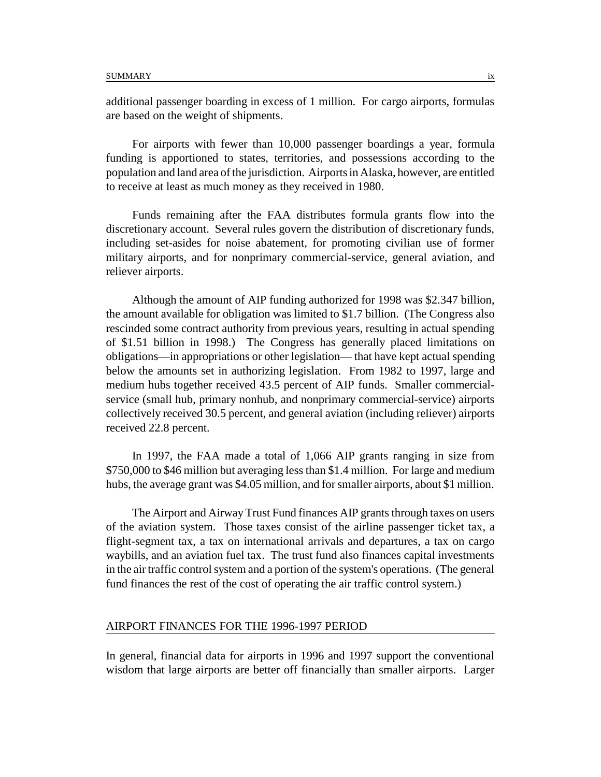additional passenger boarding in excess of 1 million. For cargo airports, formulas are based on the weight of shipments.

For airports with fewer than 10,000 passenger boardings a year, formula funding is apportioned to states, territories, and possessions according to the population and land area of the jurisdiction. Airports in Alaska, however, are entitled to receive at least as much money as they received in 1980.

Funds remaining after the FAA distributes formula grants flow into the discretionary account. Several rules govern the distribution of discretionary funds, including set-asides for noise abatement, for promoting civilian use of former military airports, and for nonprimary commercial-service, general aviation, and reliever airports.

Although the amount of AIP funding authorized for 1998 was \$2.347 billion, the amount available for obligation was limited to \$1.7 billion. (The Congress also rescinded some contract authority from previous years, resulting in actual spending of \$1.51 billion in 1998.) The Congress has generally placed limitations on obligations—in appropriations or other legislation— that have kept actual spending below the amounts set in authorizing legislation. From 1982 to 1997, large and medium hubs together received 43.5 percent of AIP funds. Smaller commercialservice (small hub, primary nonhub, and nonprimary commercial-service) airports collectively received 30.5 percent, and general aviation (including reliever) airports received 22.8 percent.

In 1997, the FAA made a total of 1,066 AIP grants ranging in size from \$750,000 to \$46 million but averaging less than \$1.4 million. For large and medium hubs, the average grant was \$4.05 million, and for smaller airports, about \$1 million.

The Airport and Airway Trust Fund finances AIP grants through taxes on users of the aviation system. Those taxes consist of the airline passenger ticket tax, a flight-segment tax, a tax on international arrivals and departures, a tax on cargo waybills, and an aviation fuel tax. The trust fund also finances capital investments in the air traffic control system and a portion of the system's operations. (The general fund finances the rest of the cost of operating the air traffic control system.)

#### AIRPORT FINANCES FOR THE 1996-1997 PERIOD

In general, financial data for airports in 1996 and 1997 support the conventional wisdom that large airports are better off financially than smaller airports. Larger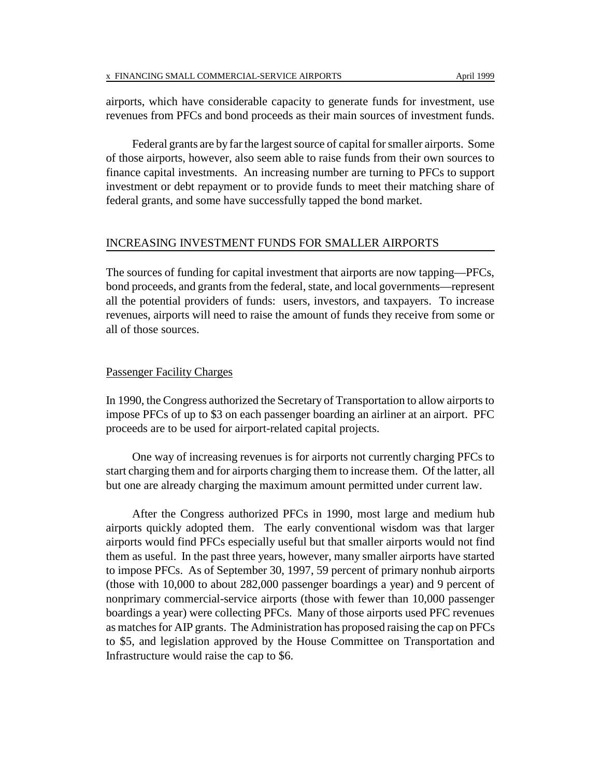airports, which have considerable capacity to generate funds for investment, use revenues from PFCs and bond proceeds as their main sources of investment funds.

Federal grants are by far the largest source of capital for smaller airports. Some of those airports, however, also seem able to raise funds from their own sources to finance capital investments. An increasing number are turning to PFCs to support investment or debt repayment or to provide funds to meet their matching share of federal grants, and some have successfully tapped the bond market.

#### INCREASING INVESTMENT FUNDS FOR SMALLER AIRPORTS

The sources of funding for capital investment that airports are now tapping—PFCs, bond proceeds, and grants from the federal, state, and local governments—represent all the potential providers of funds: users, investors, and taxpayers. To increase revenues, airports will need to raise the amount of funds they receive from some or all of those sources.

### Passenger Facility Charges

In 1990, the Congress authorized the Secretary of Transportation to allow airports to impose PFCs of up to \$3 on each passenger boarding an airliner at an airport. PFC proceeds are to be used for airport-related capital projects.

One way of increasing revenues is for airports not currently charging PFCs to start charging them and for airports charging them to increase them. Of the latter, all but one are already charging the maximum amount permitted under current law.

After the Congress authorized PFCs in 1990, most large and medium hub airports quickly adopted them. The early conventional wisdom was that larger airports would find PFCs especially useful but that smaller airports would not find them as useful. In the past three years, however, many smaller airports have started to impose PFCs. As of September 30, 1997, 59 percent of primary nonhub airports (those with 10,000 to about 282,000 passenger boardings a year) and 9 percent of nonprimary commercial-service airports (those with fewer than 10,000 passenger boardings a year) were collecting PFCs. Many of those airports used PFC revenues as matches for AIP grants. The Administration has proposed raising the cap on PFCs to \$5, and legislation approved by the House Committee on Transportation and Infrastructure would raise the cap to \$6.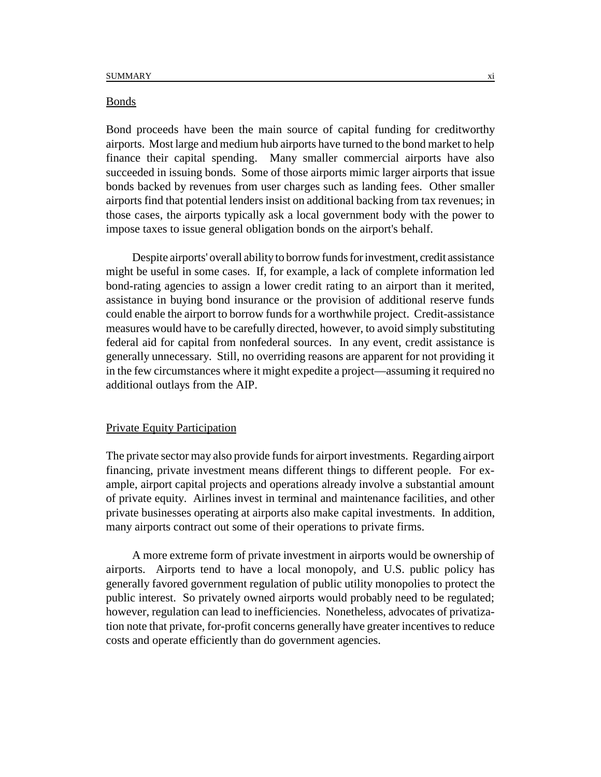#### Bonds

Bond proceeds have been the main source of capital funding for creditworthy airports. Most large and medium hub airports have turned to the bond market to help finance their capital spending. Many smaller commercial airports have also succeeded in issuing bonds. Some of those airports mimic larger airports that issue bonds backed by revenues from user charges such as landing fees. Other smaller airports find that potential lenders insist on additional backing from tax revenues; in those cases, the airports typically ask a local government body with the power to impose taxes to issue general obligation bonds on the airport's behalf.

Despite airports' overall ability to borrow funds for investment, credit assistance might be useful in some cases. If, for example, a lack of complete information led bond-rating agencies to assign a lower credit rating to an airport than it merited, assistance in buying bond insurance or the provision of additional reserve funds could enable the airport to borrow funds for a worthwhile project. Credit-assistance measures would have to be carefully directed, however, to avoid simply substituting federal aid for capital from nonfederal sources. In any event, credit assistance is generally unnecessary. Still, no overriding reasons are apparent for not providing it in the few circumstances where it might expedite a project—assuming it required no additional outlays from the AIP.

## Private Equity Participation

The private sector may also provide funds for airport investments. Regarding airport financing, private investment means different things to different people. For example, airport capital projects and operations already involve a substantial amount of private equity. Airlines invest in terminal and maintenance facilities, and other private businesses operating at airports also make capital investments. In addition, many airports contract out some of their operations to private firms.

A more extreme form of private investment in airports would be ownership of airports. Airports tend to have a local monopoly, and U.S. public policy has generally favored government regulation of public utility monopolies to protect the public interest. So privately owned airports would probably need to be regulated; however, regulation can lead to inefficiencies. Nonetheless, advocates of privatization note that private, for-profit concerns generally have greater incentives to reduce costs and operate efficiently than do government agencies.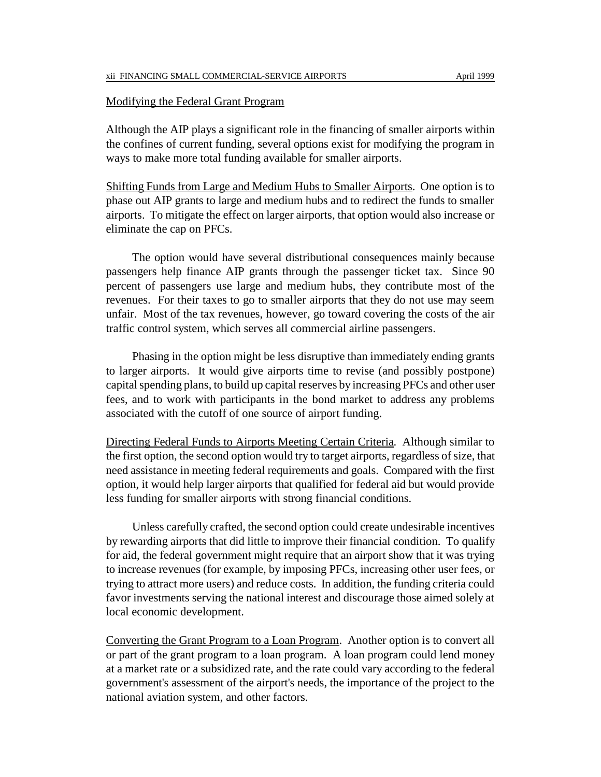#### Modifying the Federal Grant Program

Although the AIP plays a significant role in the financing of smaller airports within the confines of current funding, several options exist for modifying the program in ways to make more total funding available for smaller airports.

Shifting Funds from Large and Medium Hubs to Smaller Airports. One option is to phase out AIP grants to large and medium hubs and to redirect the funds to smaller airports. To mitigate the effect on larger airports, that option would also increase or eliminate the cap on PFCs.

The option would have several distributional consequences mainly because passengers help finance AIP grants through the passenger ticket tax. Since 90 percent of passengers use large and medium hubs, they contribute most of the revenues. For their taxes to go to smaller airports that they do not use may seem unfair. Most of the tax revenues, however, go toward covering the costs of the air traffic control system, which serves all commercial airline passengers.

Phasing in the option might be less disruptive than immediately ending grants to larger airports. It would give airports time to revise (and possibly postpone) capital spending plans, to build up capital reserves by increasing PFCs and other user fees, and to work with participants in the bond market to address any problems associated with the cutoff of one source of airport funding.

Directing Federal Funds to Airports Meeting Certain Criteria. Although similar to the first option, the second option would try to target airports, regardless of size, that need assistance in meeting federal requirements and goals. Compared with the first option, it would help larger airports that qualified for federal aid but would provide less funding for smaller airports with strong financial conditions.

Unless carefully crafted, the second option could create undesirable incentives by rewarding airports that did little to improve their financial condition. To qualify for aid, the federal government might require that an airport show that it was trying to increase revenues (for example, by imposing PFCs, increasing other user fees, or trying to attract more users) and reduce costs. In addition, the funding criteria could favor investments serving the national interest and discourage those aimed solely at local economic development.

Converting the Grant Program to a Loan Program. Another option is to convert all or part of the grant program to a loan program. A loan program could lend money at a market rate or a subsidized rate, and the rate could vary according to the federal government's assessment of the airport's needs, the importance of the project to the national aviation system, and other factors.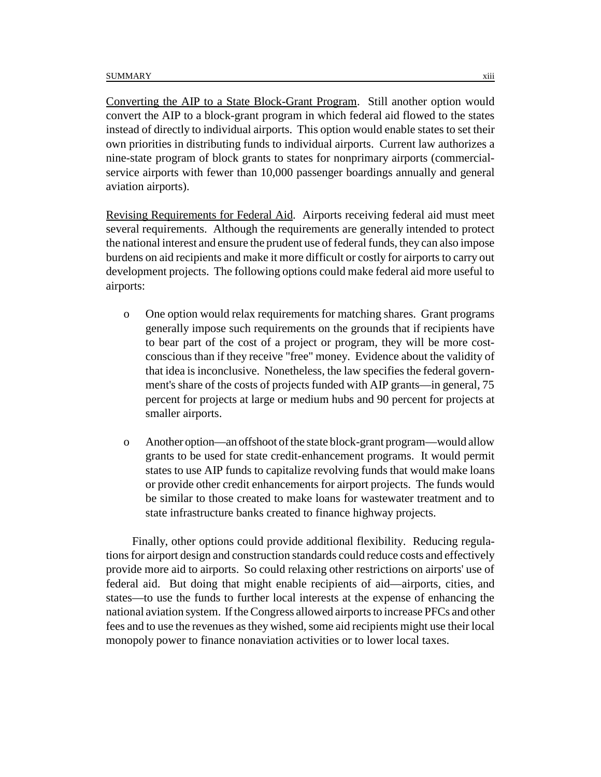Converting the AIP to a State Block-Grant Program. Still another option would convert the AIP to a block-grant program in which federal aid flowed to the states instead of directly to individual airports. This option would enable states to set their own priorities in distributing funds to individual airports. Current law authorizes a nine-state program of block grants to states for nonprimary airports (commercialservice airports with fewer than 10,000 passenger boardings annually and general aviation airports).

Revising Requirements for Federal Aid. Airports receiving federal aid must meet several requirements. Although the requirements are generally intended to protect the national interest and ensure the prudent use of federal funds, they can also impose burdens on aid recipients and make it more difficult or costly for airports to carry out development projects. The following options could make federal aid more useful to airports:

- o One option would relax requirements for matching shares. Grant programs generally impose such requirements on the grounds that if recipients have to bear part of the cost of a project or program, they will be more costconscious than if they receive "free" money. Evidence about the validity of that idea is inconclusive. Nonetheless, the law specifies the federal government's share of the costs of projects funded with AIP grants—in general, 75 percent for projects at large or medium hubs and 90 percent for projects at smaller airports.
- o Another option—an offshoot of the state block-grant program—would allow grants to be used for state credit-enhancement programs. It would permit states to use AIP funds to capitalize revolving funds that would make loans or provide other credit enhancements for airport projects. The funds would be similar to those created to make loans for wastewater treatment and to state infrastructure banks created to finance highway projects.

Finally, other options could provide additional flexibility. Reducing regulations for airport design and construction standards could reduce costs and effectively provide more aid to airports. So could relaxing other restrictions on airports' use of federal aid. But doing that might enable recipients of aid—airports, cities, and states—to use the funds to further local interests at the expense of enhancing the national aviation system. If the Congress allowed airports to increase PFCs and other fees and to use the revenues as they wished, some aid recipients might use their local monopoly power to finance nonaviation activities or to lower local taxes.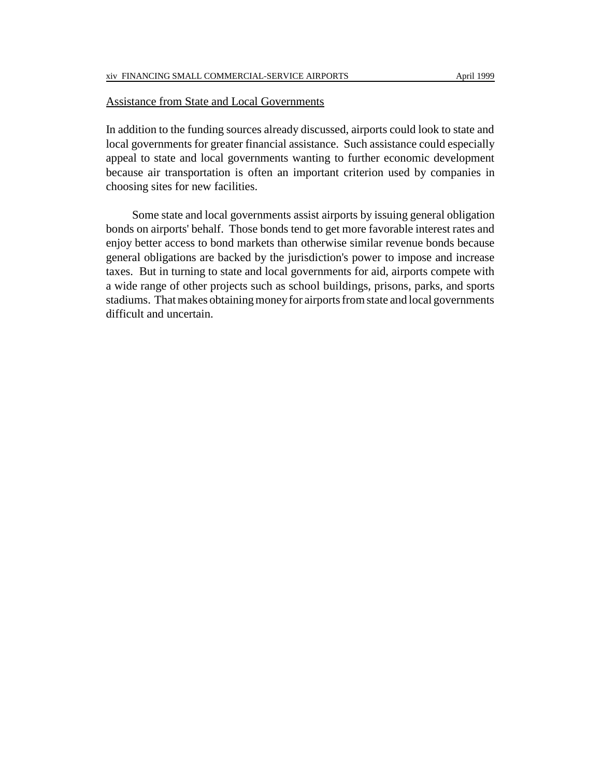#### Assistance from State and Local Governments

In addition to the funding sources already discussed, airports could look to state and local governments for greater financial assistance. Such assistance could especially appeal to state and local governments wanting to further economic development because air transportation is often an important criterion used by companies in choosing sites for new facilities.

Some state and local governments assist airports by issuing general obligation bonds on airports' behalf. Those bonds tend to get more favorable interest rates and enjoy better access to bond markets than otherwise similar revenue bonds because general obligations are backed by the jurisdiction's power to impose and increase taxes. But in turning to state and local governments for aid, airports compete with a wide range of other projects such as school buildings, prisons, parks, and sports stadiums. That makes obtaining money for airports from state and local governments difficult and uncertain.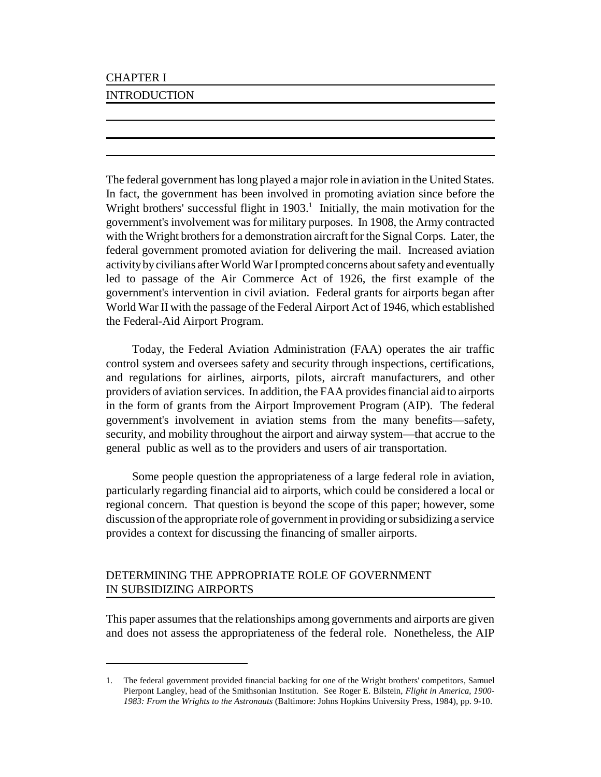# CHAPTER I

# INTRODUCTION

The federal government has long played a major role in aviation in the United States. In fact, the government has been involved in promoting aviation since before the Wright brothers' successful flight in  $1903$ .<sup>1</sup> Initially, the main motivation for the government's involvement was for military purposes. In 1908, the Army contracted with the Wright brothers for a demonstration aircraft for the Signal Corps. Later, the federal government promoted aviation for delivering the mail. Increased aviation activity by civilians after World War I prompted concerns about safety and eventually led to passage of the Air Commerce Act of 1926, the first example of the government's intervention in civil aviation. Federal grants for airports began after World War II with the passage of the Federal Airport Act of 1946, which established the Federal-Aid Airport Program.

Today, the Federal Aviation Administration (FAA) operates the air traffic control system and oversees safety and security through inspections, certifications, and regulations for airlines, airports, pilots, aircraft manufacturers, and other providers of aviation services. In addition, the FAA provides financial aid to airports in the form of grants from the Airport Improvement Program (AIP). The federal government's involvement in aviation stems from the many benefits—safety, security, and mobility throughout the airport and airway system—that accrue to the general public as well as to the providers and users of air transportation.

Some people question the appropriateness of a large federal role in aviation, particularly regarding financial aid to airports, which could be considered a local or regional concern. That question is beyond the scope of this paper; however, some discussion of the appropriate role of government in providing or subsidizing a service provides a context for discussing the financing of smaller airports.

# DETERMINING THE APPROPRIATE ROLE OF GOVERNMENT IN SUBSIDIZING AIRPORTS

This paper assumes that the relationships among governments and airports are given and does not assess the appropriateness of the federal role. Nonetheless, the AIP

<sup>1.</sup> The federal government provided financial backing for one of the Wright brothers' competitors, Samuel Pierpont Langley, head of the Smithsonian Institution. See Roger E. Bilstein, *Flight in America, 1900- 1983: From the Wrights to the Astronauts* (Baltimore: Johns Hopkins University Press, 1984), pp. 9-10.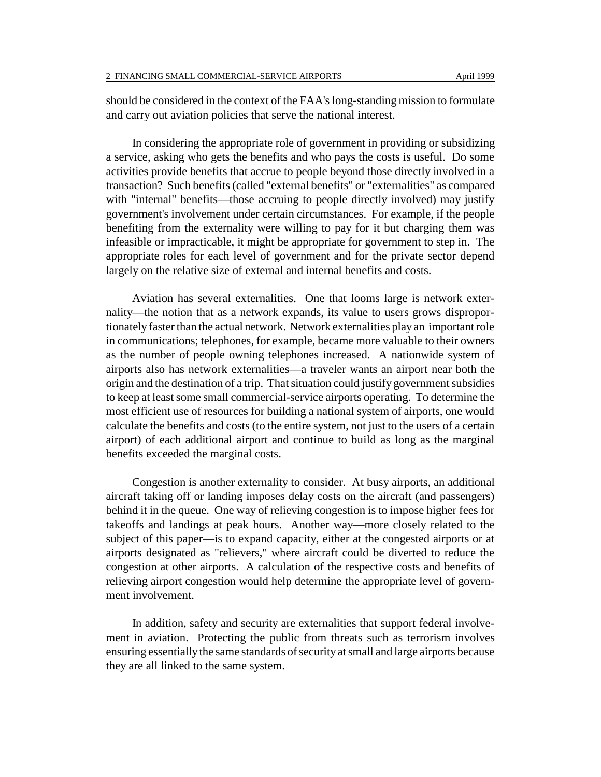should be considered in the context of the FAA's long-standing mission to formulate and carry out aviation policies that serve the national interest.

In considering the appropriate role of government in providing or subsidizing a service, asking who gets the benefits and who pays the costs is useful. Do some activities provide benefits that accrue to people beyond those directly involved in a transaction? Such benefits (called "external benefits" or "externalities" as compared with "internal" benefits—those accruing to people directly involved) may justify government's involvement under certain circumstances. For example, if the people benefiting from the externality were willing to pay for it but charging them was infeasible or impracticable, it might be appropriate for government to step in. The appropriate roles for each level of government and for the private sector depend largely on the relative size of external and internal benefits and costs.

Aviation has several externalities. One that looms large is network externality—the notion that as a network expands, its value to users grows disproportionately faster than the actual network. Network externalities play an important role in communications; telephones, for example, became more valuable to their owners as the number of people owning telephones increased. A nationwide system of airports also has network externalities—a traveler wants an airport near both the origin and the destination of a trip. That situation could justify government subsidies to keep at least some small commercial-service airports operating. To determine the most efficient use of resources for building a national system of airports, one would calculate the benefits and costs (to the entire system, not just to the users of a certain airport) of each additional airport and continue to build as long as the marginal benefits exceeded the marginal costs.

Congestion is another externality to consider. At busy airports, an additional aircraft taking off or landing imposes delay costs on the aircraft (and passengers) behind it in the queue. One way of relieving congestion is to impose higher fees for takeoffs and landings at peak hours. Another way—more closely related to the subject of this paper—is to expand capacity, either at the congested airports or at airports designated as "relievers," where aircraft could be diverted to reduce the congestion at other airports. A calculation of the respective costs and benefits of relieving airport congestion would help determine the appropriate level of government involvement.

In addition, safety and security are externalities that support federal involvement in aviation. Protecting the public from threats such as terrorism involves ensuring essentially the same standards of security at small and large airports because they are all linked to the same system.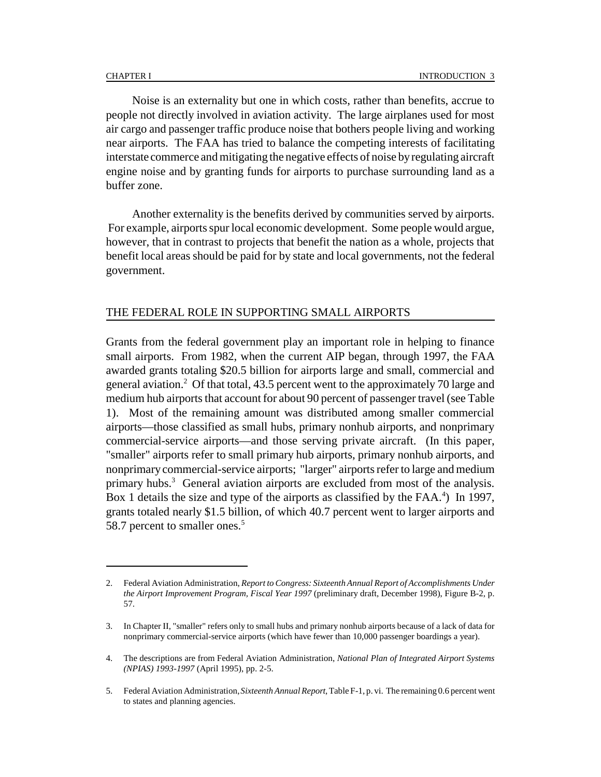Noise is an externality but one in which costs, rather than benefits, accrue to people not directly involved in aviation activity. The large airplanes used for most air cargo and passenger traffic produce noise that bothers people living and working near airports. The FAA has tried to balance the competing interests of facilitating interstate commerce and mitigating the negative effects of noise by regulating aircraft engine noise and by granting funds for airports to purchase surrounding land as a buffer zone.

Another externality is the benefits derived by communities served by airports. For example, airports spur local economic development. Some people would argue, however, that in contrast to projects that benefit the nation as a whole, projects that benefit local areas should be paid for by state and local governments, not the federal government.

#### THE FEDERAL ROLE IN SUPPORTING SMALL AIRPORTS

Grants from the federal government play an important role in helping to finance small airports. From 1982, when the current AIP began, through 1997, the FAA awarded grants totaling \$20.5 billion for airports large and small, commercial and general aviation.<sup>2</sup> Of that total, 43.5 percent went to the approximately 70 large and medium hub airports that account for about 90 percent of passenger travel (see Table 1). Most of the remaining amount was distributed among smaller commercial airports—those classified as small hubs, primary nonhub airports, and nonprimary commercial-service airports—and those serving private aircraft. (In this paper, "smaller" airports refer to small primary hub airports, primary nonhub airports, and nonprimary commercial-service airports; "larger" airports refer to large and medium primary hubs.<sup>3</sup> General aviation airports are excluded from most of the analysis. Box 1 details the size and type of the airports as classified by the FAA.<sup>4</sup>) In 1997, grants totaled nearly \$1.5 billion, of which 40.7 percent went to larger airports and 58.7 percent to smaller ones.<sup>5</sup>

<sup>2.</sup> Federal Aviation Administration, *Report to Congress: Sixteenth Annual Report of Accomplishments Under the Airport Improvement Program, Fiscal Year 1997* (preliminary draft, December 1998), Figure B-2, p. 57.

<sup>3.</sup> In Chapter II, "smaller" refers only to small hubs and primary nonhub airports because of a lack of data for nonprimary commercial-service airports (which have fewer than 10,000 passenger boardings a year).

<sup>4.</sup> The descriptions are from Federal Aviation Administration, *National Plan of Integrated Airport Systems (NPIAS) 1993-1997* (April 1995), pp. 2-5.

<sup>5.</sup> Federal Aviation Administration, *Sixteenth Annual Report*, Table F-1, p. vi. The remaining 0.6 percent went to states and planning agencies.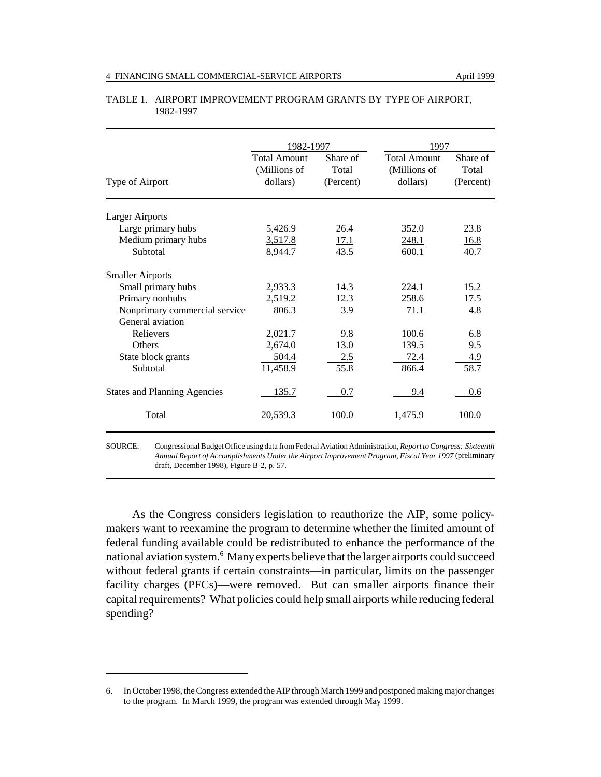|                                     | 1982-1997                                       |                                | 1997                                            |                                |  |  |
|-------------------------------------|-------------------------------------------------|--------------------------------|-------------------------------------------------|--------------------------------|--|--|
| Type of Airport                     | <b>Total Amount</b><br>(Millions of<br>dollars) | Share of<br>Total<br>(Percent) | <b>Total Amount</b><br>(Millions of<br>dollars) | Share of<br>Total<br>(Percent) |  |  |
| <b>Larger Airports</b>              |                                                 |                                |                                                 |                                |  |  |
| Large primary hubs                  | 5,426.9                                         | 26.4                           | 352.0                                           | 23.8                           |  |  |
| Medium primary hubs                 | 3,517.8                                         | <u>17.1</u>                    | 248.1                                           | 16.8                           |  |  |
| Subtotal                            | 8,944.7                                         | 43.5                           | 600.1                                           | 40.7                           |  |  |
| <b>Smaller Airports</b>             |                                                 |                                |                                                 |                                |  |  |
| Small primary hubs                  | 2,933.3                                         | 14.3                           | 224.1                                           | 15.2                           |  |  |
| Primary nonhubs                     | 2,519.2                                         | 12.3                           | 258.6                                           | 17.5                           |  |  |
| Nonprimary commercial service       | 806.3                                           | 3.9                            | 71.1                                            | 4.8                            |  |  |
| General aviation                    |                                                 |                                |                                                 |                                |  |  |
| Relievers                           | 2,021.7                                         | 9.8                            | 100.6                                           | 6.8                            |  |  |
| Others                              | 2,674.0                                         | 13.0                           | 139.5                                           | 9.5                            |  |  |
| State block grants                  | 504.4                                           | 2.5                            | 72.4                                            | 4.9                            |  |  |
| Subtotal                            | 11,458.9                                        | 55.8                           | 866.4                                           | 58.7                           |  |  |
| <b>States and Planning Agencies</b> | 135.7                                           | 0.7                            | 9.4                                             | 0.6                            |  |  |
| Total                               | 20,539.3                                        | 100.0                          | 1,475.9                                         | 100.0                          |  |  |
|                                     |                                                 |                                |                                                 |                                |  |  |

#### TABLE 1. AIRPORT IMPROVEMENT PROGRAM GRANTS BY TYPE OF AIRPORT, 1982-1997

SOURCE: Congressional Budget Office using data from Federal Aviation Administration, *Report to Congress: Sixteenth Annual Report of Accomplishments Under the Airport Improvement Program, Fiscal Year 1997* (preliminary draft, December 1998), Figure B-2, p. 57.

As the Congress considers legislation to reauthorize the AIP, some policymakers want to reexamine the program to determine whether the limited amount of federal funding available could be redistributed to enhance the performance of the national aviation system.<sup>6</sup> Many experts believe that the larger airports could succeed without federal grants if certain constraints—in particular, limits on the passenger facility charges (PFCs)—were removed. But can smaller airports finance their capital requirements? What policies could help small airports while reducing federal spending?

<sup>6.</sup> In October 1998, the Congress extended the AIP through March 1999 and postponed making major changes to the program. In March 1999, the program was extended through May 1999.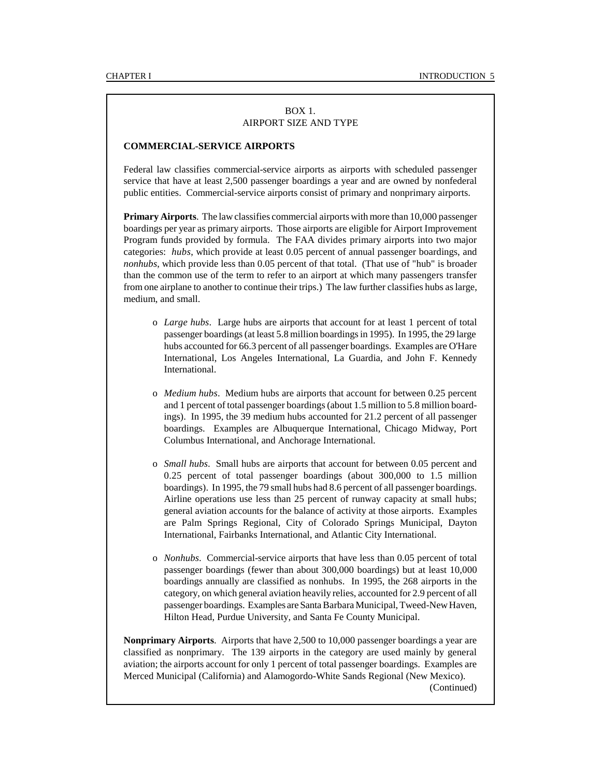#### BOX 1. AIRPORT SIZE AND TYPE

#### **COMMERCIAL-SERVICE AIRPORTS**

Federal law classifies commercial-service airports as airports with scheduled passenger service that have at least 2,500 passenger boardings a year and are owned by nonfederal public entities. Commercial-service airports consist of primary and nonprimary airports.

**Primary Airports**. The law classifies commercial airports with more than 10,000 passenger boardings per year as primary airports. Those airports are eligible for Airport Improvement Program funds provided by formula. The FAA divides primary airports into two major categories: *hubs*, which provide at least 0.05 percent of annual passenger boardings, and *nonhubs*, which provide less than 0.05 percent of that total. (That use of "hub" is broader than the common use of the term to refer to an airport at which many passengers transfer from one airplane to another to continue their trips.) The law further classifies hubs as large, medium, and small.

- o *Large hubs*. Large hubs are airports that account for at least 1 percent of total passenger boardings (at least 5.8 million boardings in 1995). In 1995, the 29 large hubs accounted for 66.3 percent of all passenger boardings. Examples are O'Hare International, Los Angeles International, La Guardia, and John F. Kennedy International.
- o *Medium hubs*. Medium hubs are airports that account for between 0.25 percent and 1 percent of total passenger boardings (about 1.5 million to 5.8 million boardings). In 1995, the 39 medium hubs accounted for 21.2 percent of all passenger boardings. Examples are Albuquerque International, Chicago Midway, Port Columbus International, and Anchorage International.
- o *Small hubs*. Small hubs are airports that account for between 0.05 percent and 0.25 percent of total passenger boardings (about 300,000 to 1.5 million boardings). In 1995, the 79 small hubs had 8.6 percent of all passenger boardings. Airline operations use less than 25 percent of runway capacity at small hubs; general aviation accounts for the balance of activity at those airports. Examples are Palm Springs Regional, City of Colorado Springs Municipal, Dayton International, Fairbanks International, and Atlantic City International.
- o *Nonhubs*. Commercial-service airports that have less than 0.05 percent of total passenger boardings (fewer than about 300,000 boardings) but at least 10,000 boardings annually are classified as nonhubs. In 1995, the 268 airports in the category, on which general aviation heavily relies, accounted for 2.9 percent of all passenger boardings. Examples are Santa Barbara Municipal, Tweed-New Haven, Hilton Head, Purdue University, and Santa Fe County Municipal.

**Nonprimary Airports**. Airports that have 2,500 to 10,000 passenger boardings a year are classified as nonprimary. The 139 airports in the category are used mainly by general aviation; the airports account for only 1 percent of total passenger boardings. Examples are Merced Municipal (California) and Alamogordo-White Sands Regional (New Mexico).

(Continued)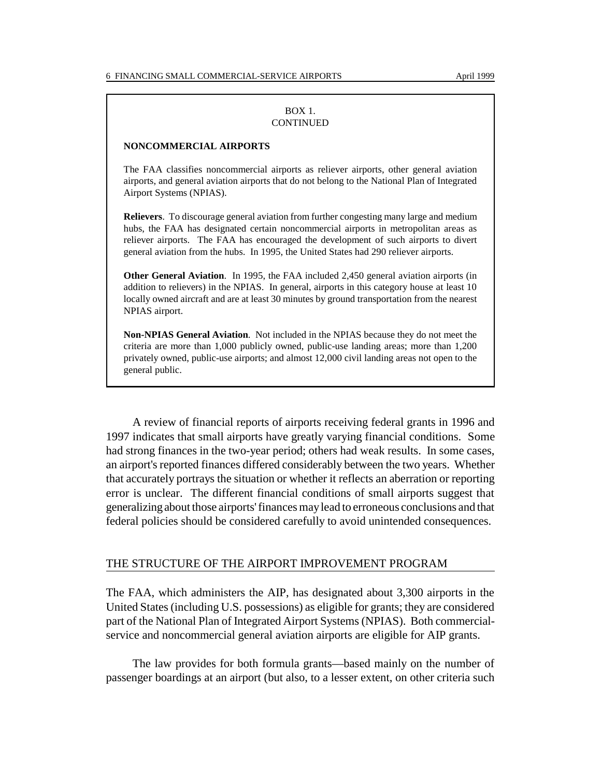#### BOX 1. CONTINUED

#### **NONCOMMERCIAL AIRPORTS**

The FAA classifies noncommercial airports as reliever airports, other general aviation airports, and general aviation airports that do not belong to the National Plan of Integrated Airport Systems (NPIAS).

**Relievers**. To discourage general aviation from further congesting many large and medium hubs, the FAA has designated certain noncommercial airports in metropolitan areas as reliever airports. The FAA has encouraged the development of such airports to divert general aviation from the hubs. In 1995, the United States had 290 reliever airports.

**Other General Aviation**. In 1995, the FAA included 2,450 general aviation airports (in addition to relievers) in the NPIAS. In general, airports in this category house at least 10 locally owned aircraft and are at least 30 minutes by ground transportation from the nearest NPIAS airport.

**Non-NPIAS General Aviation**. Not included in the NPIAS because they do not meet the criteria are more than 1,000 publicly owned, public-use landing areas; more than 1,200 privately owned, public-use airports; and almost 12,000 civil landing areas not open to the general public.

A review of financial reports of airports receiving federal grants in 1996 and 1997 indicates that small airports have greatly varying financial conditions. Some had strong finances in the two-year period; others had weak results. In some cases, an airport's reported finances differed considerably between the two years. Whether that accurately portrays the situation or whether it reflects an aberration or reporting error is unclear. The different financial conditions of small airports suggest that generalizing about those airports' finances may lead to erroneous conclusions and that federal policies should be considered carefully to avoid unintended consequences.

#### THE STRUCTURE OF THE AIRPORT IMPROVEMENT PROGRAM

The FAA, which administers the AIP, has designated about 3,300 airports in the United States (including U.S. possessions) as eligible for grants; they are considered part of the National Plan of Integrated Airport Systems (NPIAS). Both commercialservice and noncommercial general aviation airports are eligible for AIP grants.

The law provides for both formula grants—based mainly on the number of passenger boardings at an airport (but also, to a lesser extent, on other criteria such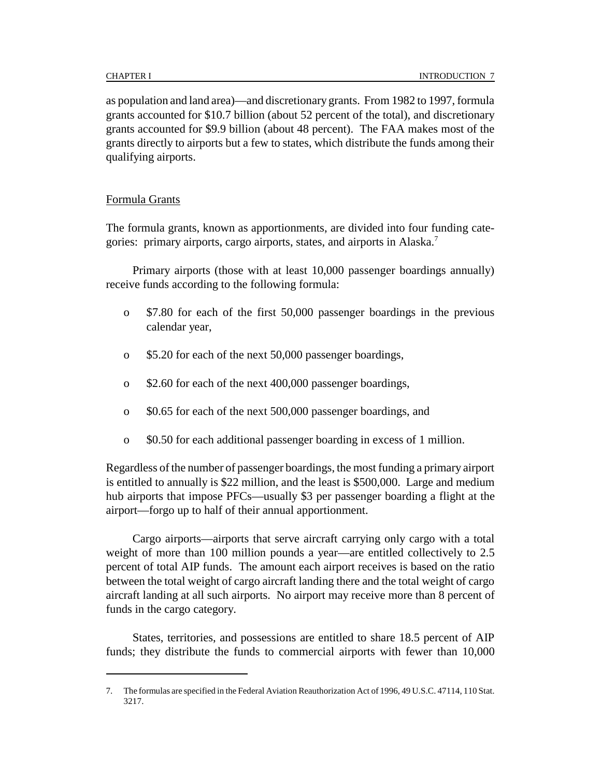as population and land area)—and discretionary grants. From 1982 to 1997, formula grants accounted for \$10.7 billion (about 52 percent of the total), and discretionary grants accounted for \$9.9 billion (about 48 percent). The FAA makes most of the grants directly to airports but a few to states, which distribute the funds among their qualifying airports.

### Formula Grants

The formula grants, known as apportionments, are divided into four funding categories: primary airports, cargo airports, states, and airports in Alaska.<sup>7</sup>

Primary airports (those with at least 10,000 passenger boardings annually) receive funds according to the following formula:

- o \$7.80 for each of the first 50,000 passenger boardings in the previous calendar year,
- o \$5.20 for each of the next 50,000 passenger boardings,
- o \$2.60 for each of the next 400,000 passenger boardings,
- o \$0.65 for each of the next 500,000 passenger boardings, and
- o \$0.50 for each additional passenger boarding in excess of 1 million.

Regardless of the number of passenger boardings, the most funding a primary airport is entitled to annually is \$22 million, and the least is \$500,000. Large and medium hub airports that impose PFCs—usually \$3 per passenger boarding a flight at the airport—forgo up to half of their annual apportionment.

Cargo airports—airports that serve aircraft carrying only cargo with a total weight of more than 100 million pounds a year—are entitled collectively to 2.5 percent of total AIP funds. The amount each airport receives is based on the ratio between the total weight of cargo aircraft landing there and the total weight of cargo aircraft landing at all such airports. No airport may receive more than 8 percent of funds in the cargo category.

States, territories, and possessions are entitled to share 18.5 percent of AIP funds; they distribute the funds to commercial airports with fewer than 10,000

<sup>7.</sup> The formulas are specified in the Federal Aviation Reauthorization Act of 1996, 49 U.S.C. 47114, 110 Stat. 3217.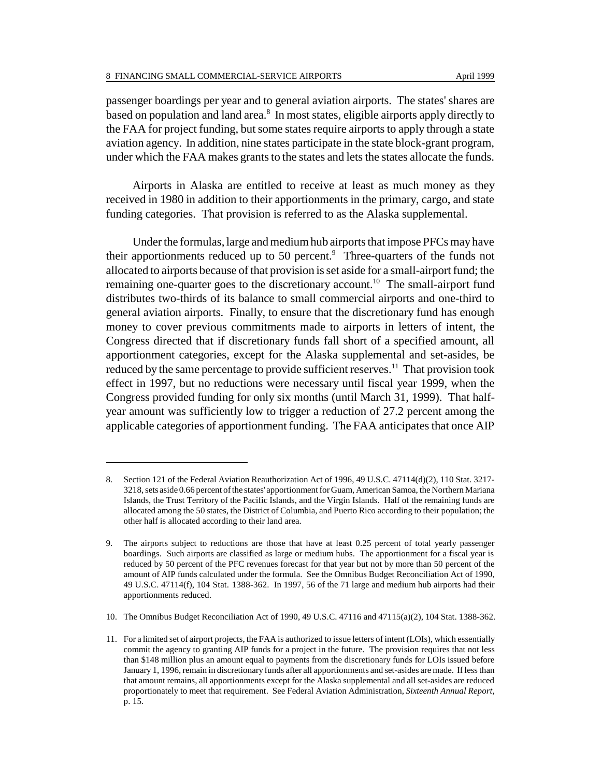passenger boardings per year and to general aviation airports. The states' shares are based on population and land area.<sup>8</sup> In most states, eligible airports apply directly to the FAA for project funding, but some states require airports to apply through a state aviation agency. In addition, nine states participate in the state block-grant program, under which the FAA makes grants to the states and lets the states allocate the funds.

Airports in Alaska are entitled to receive at least as much money as they received in 1980 in addition to their apportionments in the primary, cargo, and state funding categories. That provision is referred to as the Alaska supplemental.

Under the formulas, large and medium hub airports that impose PFCs may have their apportionments reduced up to 50 percent. $9$  Three-quarters of the funds not allocated to airports because of that provision is set aside for a small-airport fund; the remaining one-quarter goes to the discretionary account.<sup>10</sup> The small-airport fund distributes two-thirds of its balance to small commercial airports and one-third to general aviation airports. Finally, to ensure that the discretionary fund has enough money to cover previous commitments made to airports in letters of intent, the Congress directed that if discretionary funds fall short of a specified amount, all apportionment categories, except for the Alaska supplemental and set-asides, be reduced by the same percentage to provide sufficient reserves.<sup>11</sup> That provision took effect in 1997, but no reductions were necessary until fiscal year 1999, when the Congress provided funding for only six months (until March 31, 1999). That halfyear amount was sufficiently low to trigger a reduction of 27.2 percent among the applicable categories of apportionment funding. The FAA anticipates that once AIP

<sup>8.</sup> Section 121 of the Federal Aviation Reauthorization Act of 1996, 49 U.S.C. 47114(d)(2), 110 Stat. 3217-3218, sets aside 0.66 percent of the states' apportionment for Guam, American Samoa, the Northern Mariana Islands, the Trust Territory of the Pacific Islands, and the Virgin Islands. Half of the remaining funds are allocated among the 50 states, the District of Columbia, and Puerto Rico according to their population; the other half is allocated according to their land area.

<sup>9.</sup> The airports subject to reductions are those that have at least 0.25 percent of total yearly passenger boardings. Such airports are classified as large or medium hubs. The apportionment for a fiscal year is reduced by 50 percent of the PFC revenues forecast for that year but not by more than 50 percent of the amount of AIP funds calculated under the formula. See the Omnibus Budget Reconciliation Act of 1990, 49 U.S.C. 47114(f), 104 Stat. 1388-362. In 1997, 56 of the 71 large and medium hub airports had their apportionments reduced.

<sup>10.</sup> The Omnibus Budget Reconciliation Act of 1990, 49 U.S.C. 47116 and 47115(a)(2), 104 Stat. 1388-362.

<sup>11.</sup> For a limited set of airport projects, the FAA is authorized to issue letters of intent (LOIs), which essentially commit the agency to granting AIP funds for a project in the future. The provision requires that not less than \$148 million plus an amount equal to payments from the discretionary funds for LOIs issued before January 1, 1996, remain in discretionary funds after all apportionments and set-asides are made. If less than that amount remains, all apportionments except for the Alaska supplemental and all set-asides are reduced proportionately to meet that requirement. See Federal Aviation Administration, *Sixteenth Annual Report*, p. 15.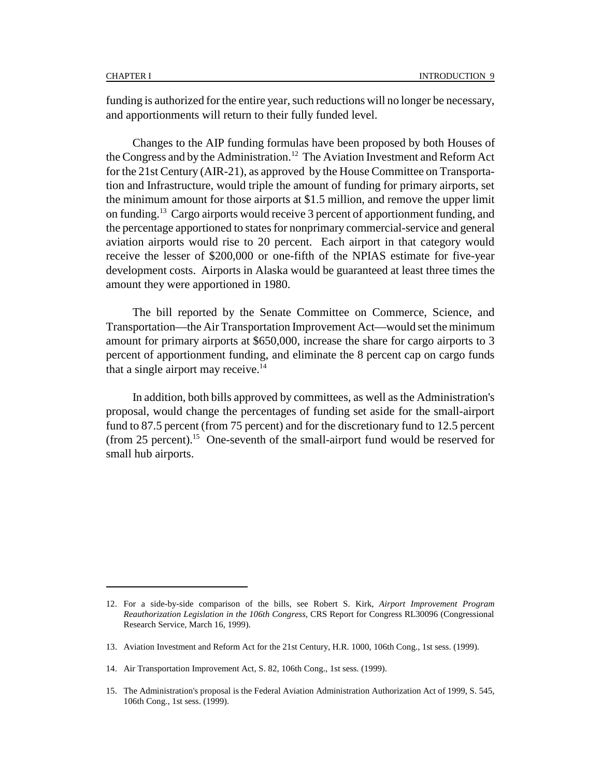funding is authorized for the entire year, such reductions will no longer be necessary, and apportionments will return to their fully funded level.

Changes to the AIP funding formulas have been proposed by both Houses of the Congress and by the Administration.<sup>12</sup> The Aviation Investment and Reform Act for the 21st Century (AIR-21), as approved by the House Committee on Transportation and Infrastructure, would triple the amount of funding for primary airports, set the minimum amount for those airports at \$1.5 million, and remove the upper limit on funding.13 Cargo airports would receive 3 percent of apportionment funding, and the percentage apportioned to states for nonprimary commercial-service and general aviation airports would rise to 20 percent. Each airport in that category would receive the lesser of \$200,000 or one-fifth of the NPIAS estimate for five-year development costs. Airports in Alaska would be guaranteed at least three times the amount they were apportioned in 1980.

The bill reported by the Senate Committee on Commerce, Science, and Transportation—the Air Transportation Improvement Act—would set the minimum amount for primary airports at \$650,000, increase the share for cargo airports to 3 percent of apportionment funding, and eliminate the 8 percent cap on cargo funds that a single airport may receive. $^{14}$ 

In addition, both bills approved by committees, as well as the Administration's proposal, would change the percentages of funding set aside for the small-airport fund to 87.5 percent (from 75 percent) and for the discretionary fund to 12.5 percent (from 25 percent).<sup>15</sup> One-seventh of the small-airport fund would be reserved for small hub airports.

<sup>12.</sup> For a side-by-side comparison of the bills, see Robert S. Kirk, *Airport Improvement Program Reauthorization Legislation in the 106th Congress*, CRS Report for Congress RL30096 (Congressional Research Service, March 16, 1999).

<sup>13.</sup> Aviation Investment and Reform Act for the 21st Century, H.R. 1000, 106th Cong., 1st sess. (1999).

<sup>14.</sup> Air Transportation Improvement Act, S. 82, 106th Cong., 1st sess. (1999).

<sup>15.</sup> The Administration's proposal is the Federal Aviation Administration Authorization Act of 1999, S. 545, 106th Cong., 1st sess. (1999).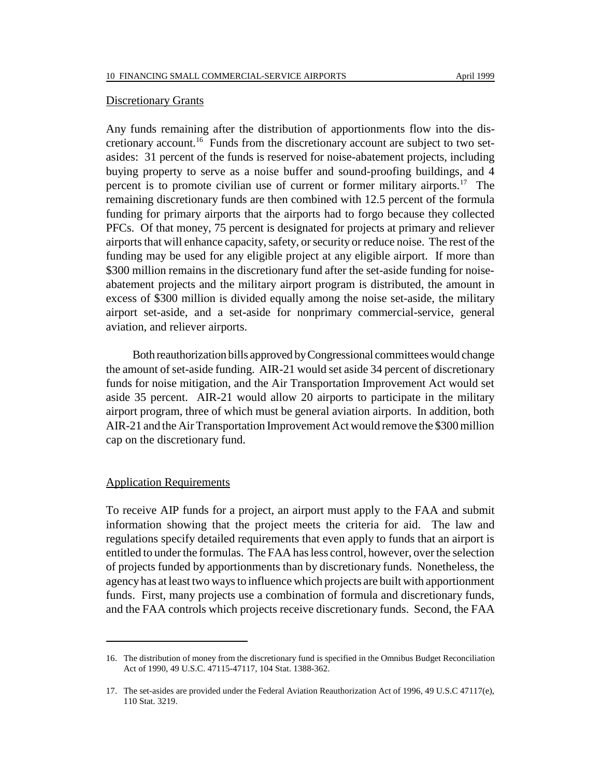#### Discretionary Grants

Any funds remaining after the distribution of apportionments flow into the discretionary account.<sup>16</sup> Funds from the discretionary account are subject to two setasides: 31 percent of the funds is reserved for noise-abatement projects, including buying property to serve as a noise buffer and sound-proofing buildings, and 4 percent is to promote civilian use of current or former military airports.<sup>17</sup> The remaining discretionary funds are then combined with 12.5 percent of the formula funding for primary airports that the airports had to forgo because they collected PFCs. Of that money, 75 percent is designated for projects at primary and reliever airports that will enhance capacity, safety, or security or reduce noise. The rest of the funding may be used for any eligible project at any eligible airport. If more than \$300 million remains in the discretionary fund after the set-aside funding for noiseabatement projects and the military airport program is distributed, the amount in excess of \$300 million is divided equally among the noise set-aside, the military airport set-aside, and a set-aside for nonprimary commercial-service, general aviation, and reliever airports.

Both reauthorization bills approved by Congressional committees would change the amount of set-aside funding. AIR-21 would set aside 34 percent of discretionary funds for noise mitigation, and the Air Transportation Improvement Act would set aside 35 percent. AIR-21 would allow 20 airports to participate in the military airport program, three of which must be general aviation airports. In addition, both AIR-21 and the Air Transportation Improvement Act would remove the \$300 million cap on the discretionary fund.

#### Application Requirements

To receive AIP funds for a project, an airport must apply to the FAA and submit information showing that the project meets the criteria for aid. The law and regulations specify detailed requirements that even apply to funds that an airport is entitled to under the formulas. The FAA has less control, however, over the selection of projects funded by apportionments than by discretionary funds. Nonetheless, the agency has at least two ways to influence which projects are built with apportionment funds. First, many projects use a combination of formula and discretionary funds, and the FAA controls which projects receive discretionary funds. Second, the FAA

<sup>16.</sup> The distribution of money from the discretionary fund is specified in the Omnibus Budget Reconciliation Act of 1990, 49 U.S.C. 47115-47117, 104 Stat. 1388-362.

<sup>17.</sup> The set-asides are provided under the Federal Aviation Reauthorization Act of 1996, 49 U.S.C 47117(e), 110 Stat. 3219.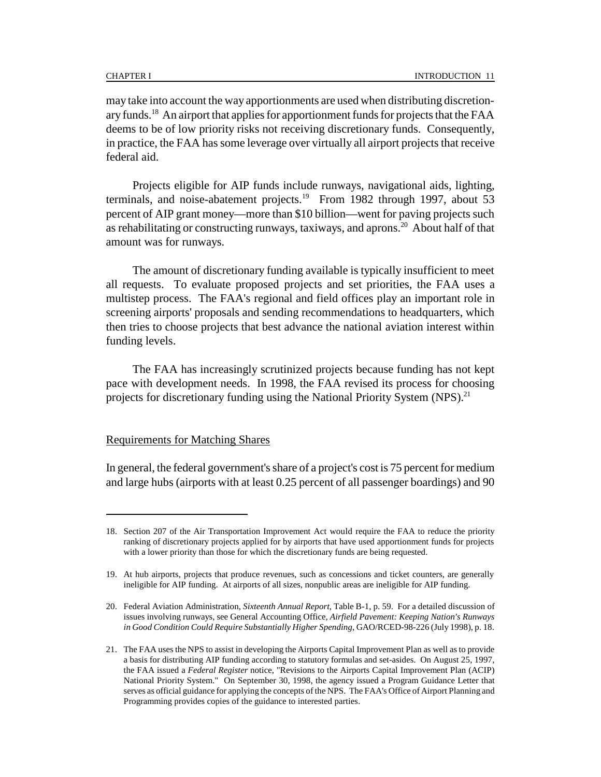may take into account the way apportionments are used when distributing discretionary funds.<sup>18</sup> An airport that applies for apportionment funds for projects that the FAA deems to be of low priority risks not receiving discretionary funds. Consequently, in practice, the FAA has some leverage over virtually all airport projects that receive federal aid.

Projects eligible for AIP funds include runways, navigational aids, lighting, terminals, and noise-abatement projects.<sup>19</sup> From 1982 through 1997, about 53 percent of AIP grant money—more than \$10 billion—went for paving projects such as rehabilitating or constructing runways, taxiways, and aprons.<sup>20</sup> About half of that amount was for runways.

The amount of discretionary funding available is typically insufficient to meet all requests. To evaluate proposed projects and set priorities, the FAA uses a multistep process. The FAA's regional and field offices play an important role in screening airports' proposals and sending recommendations to headquarters, which then tries to choose projects that best advance the national aviation interest within funding levels.

The FAA has increasingly scrutinized projects because funding has not kept pace with development needs. In 1998, the FAA revised its process for choosing projects for discretionary funding using the National Priority System  $(NPS)$ <sup>21</sup>

#### Requirements for Matching Shares

In general, the federal government's share of a project's cost is 75 percent for medium and large hubs (airports with at least 0.25 percent of all passenger boardings) and 90

<sup>18.</sup> Section 207 of the Air Transportation Improvement Act would require the FAA to reduce the priority ranking of discretionary projects applied for by airports that have used apportionment funds for projects with a lower priority than those for which the discretionary funds are being requested.

<sup>19.</sup> At hub airports, projects that produce revenues, such as concessions and ticket counters, are generally ineligible for AIP funding. At airports of all sizes, nonpublic areas are ineligible for AIP funding.

<sup>20.</sup> Federal Aviation Administration, *Sixteenth Annual Report*, Table B-1, p. 59. For a detailed discussion of issues involving runways, see General Accounting Office, *Airfield Pavement: Keeping Nation's Runways in Good Condition Could Require Substantially Higher Spending*, GAO/RCED-98-226 (July 1998), p. 18.

<sup>21.</sup> The FAA uses the NPS to assist in developing the Airports Capital Improvement Plan as well as to provide a basis for distributing AIP funding according to statutory formulas and set-asides. On August 25, 1997, the FAA issued a *Federal Register* notice, "Revisions to the Airports Capital Improvement Plan (ACIP) National Priority System." On September 30, 1998, the agency issued a Program Guidance Letter that serves as official guidance for applying the concepts of the NPS. The FAA's Office of Airport Planning and Programming provides copies of the guidance to interested parties.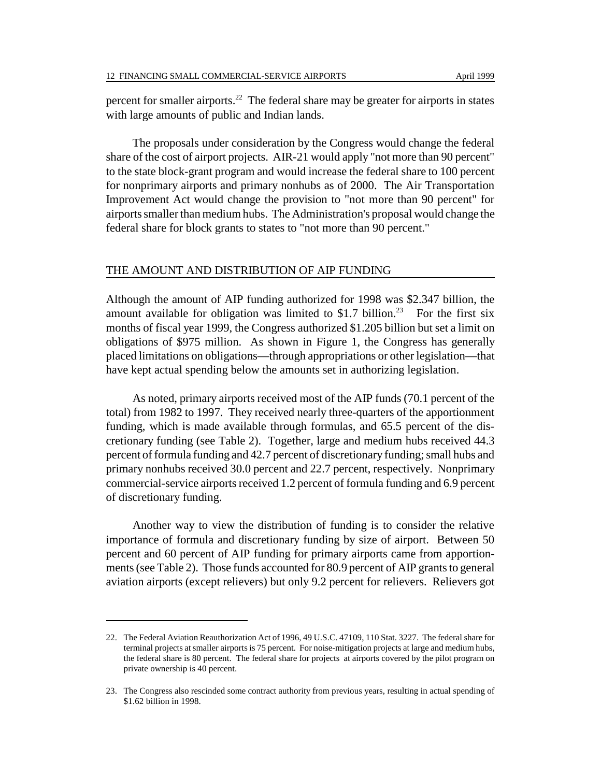percent for smaller airports.<sup>22</sup> The federal share may be greater for airports in states with large amounts of public and Indian lands.

The proposals under consideration by the Congress would change the federal share of the cost of airport projects. AIR-21 would apply "not more than 90 percent" to the state block-grant program and would increase the federal share to 100 percent for nonprimary airports and primary nonhubs as of 2000. The Air Transportation Improvement Act would change the provision to "not more than 90 percent" for airports smaller than medium hubs. The Administration's proposal would change the federal share for block grants to states to "not more than 90 percent."

#### THE AMOUNT AND DISTRIBUTION OF AIP FUNDING

Although the amount of AIP funding authorized for 1998 was \$2.347 billion, the amount available for obligation was limited to \$1.7 billion.<sup>23</sup> For the first six months of fiscal year 1999, the Congress authorized \$1.205 billion but set a limit on obligations of \$975 million. As shown in Figure 1, the Congress has generally placed limitations on obligations—through appropriations or other legislation—that have kept actual spending below the amounts set in authorizing legislation.

As noted, primary airports received most of the AIP funds (70.1 percent of the total) from 1982 to 1997. They received nearly three-quarters of the apportionment funding, which is made available through formulas, and 65.5 percent of the discretionary funding (see Table 2). Together, large and medium hubs received 44.3 percent of formula funding and 42.7 percent of discretionary funding; small hubs and primary nonhubs received 30.0 percent and 22.7 percent, respectively. Nonprimary commercial-service airports received 1.2 percent of formula funding and 6.9 percent of discretionary funding.

Another way to view the distribution of funding is to consider the relative importance of formula and discretionary funding by size of airport. Between 50 percent and 60 percent of AIP funding for primary airports came from apportionments (see Table 2). Those funds accounted for 80.9 percent of AIP grants to general aviation airports (except relievers) but only 9.2 percent for relievers. Relievers got

<sup>22.</sup> The Federal Aviation Reauthorization Act of 1996, 49 U.S.C. 47109, 110 Stat. 3227. The federal share for terminal projects at smaller airports is 75 percent. For noise-mitigation projects at large and medium hubs, the federal share is 80 percent. The federal share for projects at airports covered by the pilot program on private ownership is 40 percent.

<sup>23.</sup> The Congress also rescinded some contract authority from previous years, resulting in actual spending of \$1.62 billion in 1998.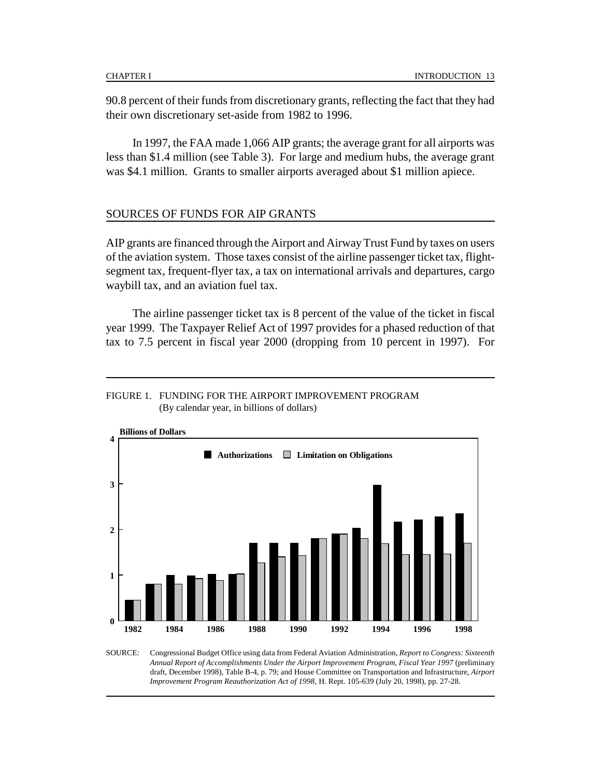90.8 percent of their funds from discretionary grants, reflecting the fact that they had their own discretionary set-aside from 1982 to 1996.

In 1997, the FAA made 1,066 AIP grants; the average grant for all airports was less than \$1.4 million (see Table 3). For large and medium hubs, the average grant was \$4.1 million. Grants to smaller airports averaged about \$1 million apiece.

#### SOURCES OF FUNDS FOR AIP GRANTS

AIP grants are financed through the Airport and Airway Trust Fund by taxes on users of the aviation system. Those taxes consist of the airline passenger ticket tax, flightsegment tax, frequent-flyer tax, a tax on international arrivals and departures, cargo waybill tax, and an aviation fuel tax.

The airline passenger ticket tax is 8 percent of the value of the ticket in fiscal year 1999. The Taxpayer Relief Act of 1997 provides for a phased reduction of that tax to 7.5 percent in fiscal year 2000 (dropping from 10 percent in 1997). For

#### FIGURE 1. FUNDING FOR THE AIRPORT IMPROVEMENT PROGRAM (By calendar year, in billions of dollars)



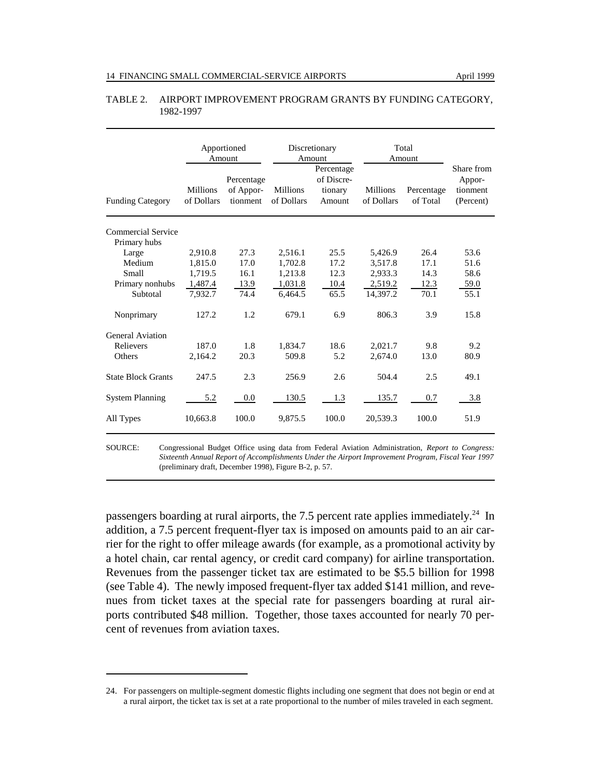|                           |                        | Apportioned<br>Amount               |                               | Discretionary<br>Amount                       |                        | Total<br>Amount        | Share from                      |
|---------------------------|------------------------|-------------------------------------|-------------------------------|-----------------------------------------------|------------------------|------------------------|---------------------------------|
| <b>Funding Category</b>   | Millions<br>of Dollars | Percentage<br>of Appor-<br>tionment | <b>Millions</b><br>of Dollars | Percentage<br>of Discre-<br>tionary<br>Amount | Millions<br>of Dollars | Percentage<br>of Total | Appor-<br>tionment<br>(Percent) |
| Commercial Service        |                        |                                     |                               |                                               |                        |                        |                                 |
| Primary hubs<br>Large     | 2,910.8                | 27.3                                | 2,516.1                       | 25.5                                          | 5,426.9                | 26.4                   | 53.6                            |
| Medium                    | 1,815.0                | 17.0                                | 1,702.8                       | 17.2                                          | 3,517.8                | 17.1                   | 51.6                            |
| Small                     | 1.719.5                | 16.1                                | 1,213.8                       | 12.3                                          | 2.933.3                | 14.3                   | 58.6                            |
| Primary nonhubs           | 1,487.4                | 13.9                                | 1,031.8                       | 10.4                                          | 2,519.2                | 12.3                   | 59.0                            |
| Subtotal                  | 7,932.7                | 74.4                                | 6,464.5                       | 65.5                                          | 14,397.2               | 70.1                   | 55.1                            |
| Nonprimary                | 127.2                  | 1.2                                 | 679.1                         | 6.9                                           | 806.3                  | 3.9                    | 15.8                            |
| General Aviation          |                        |                                     |                               |                                               |                        |                        |                                 |
| Relievers                 | 187.0                  | 1.8                                 | 1,834.7                       | 18.6                                          | 2,021.7                | 9.8                    | 9.2                             |
| Others                    | 2,164.2                | 20.3                                | 509.8                         | 5.2                                           | 2.674.0                | 13.0                   | 80.9                            |
| <b>State Block Grants</b> | 247.5                  | 2.3                                 | 256.9                         | 2.6                                           | 504.4                  | 2.5                    | 49.1                            |
| <b>System Planning</b>    | 5.2                    | 0.0                                 | 130.5                         | 1.3                                           | 135.7                  | 0.7                    | 3.8                             |
| All Types                 | 10,663.8               | 100.0                               | 9,875.5                       | 100.0                                         | 20,539.3               | 100.0                  | 51.9                            |

#### TABLE 2. AIRPORT IMPROVEMENT PROGRAM GRANTS BY FUNDING CATEGORY, 1982-1997

SOURCE: Congressional Budget Office using data from Federal Aviation Administration, *Report to Congress: Sixteenth Annual Report of Accomplishments Under the Airport Improvement Program, Fiscal Year 1997* (preliminary draft, December 1998), Figure B-2, p. 57.

passengers boarding at rural airports, the 7.5 percent rate applies immediately.<sup>24</sup> In addition, a 7.5 percent frequent-flyer tax is imposed on amounts paid to an air carrier for the right to offer mileage awards (for example, as a promotional activity by a hotel chain, car rental agency, or credit card company) for airline transportation. Revenues from the passenger ticket tax are estimated to be \$5.5 billion for 1998 (see Table 4). The newly imposed frequent-flyer tax added \$141 million, and revenues from ticket taxes at the special rate for passengers boarding at rural airports contributed \$48 million. Together, those taxes accounted for nearly 70 percent of revenues from aviation taxes.

<sup>24.</sup> For passengers on multiple-segment domestic flights including one segment that does not begin or end at a rural airport, the ticket tax is set at a rate proportional to the number of miles traveled in each segment.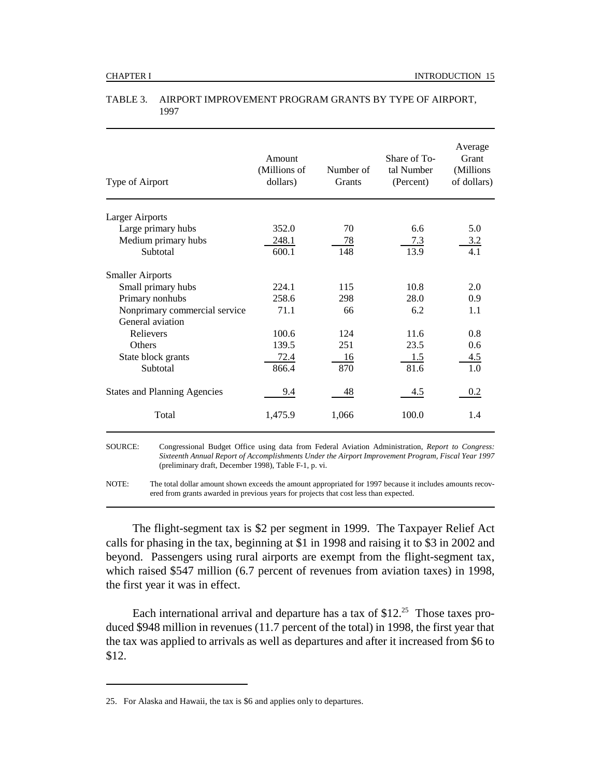| Type of Airport                     | Amount<br>(Millions of<br>dollars) | Number of<br>Grants | Share of To-<br>tal Number<br>(Percent) | Average<br>Grant<br>(Millions)<br>of dollars) |
|-------------------------------------|------------------------------------|---------------------|-----------------------------------------|-----------------------------------------------|
| <b>Larger Airports</b>              |                                    |                     |                                         |                                               |
| Large primary hubs                  | 352.0                              | 70                  | 6.6                                     | 5.0                                           |
| Medium primary hubs                 | 248.1                              | 78                  | 7.3                                     | 3.2                                           |
| Subtotal                            | 600.1                              | 148                 | 13.9                                    | 4.1                                           |
| <b>Smaller Airports</b>             |                                    |                     |                                         |                                               |
| Small primary hubs                  | 224.1                              | 115                 | 10.8                                    | 2.0                                           |
| Primary nonhubs                     | 258.6                              | 298                 | 28.0                                    | 0.9                                           |
| Nonprimary commercial service       | 71.1                               | 66                  | 6.2                                     | 1.1                                           |
| General aviation                    |                                    |                     |                                         |                                               |
| Relievers                           | 100.6                              | 124                 | 11.6                                    | 0.8                                           |
| Others                              | 139.5                              | 251                 | 23.5                                    | 0.6                                           |
| State block grants                  | 72.4                               | 16                  | 1.5                                     | 4.5                                           |
| Subtotal                            | 866.4                              | 870                 | 81.6                                    | 1.0                                           |
| <b>States and Planning Agencies</b> | 9.4                                | 48                  | 4.5                                     | 0.2                                           |
| Total                               | 1,475.9                            | 1,066               | 100.0                                   | 1.4                                           |
|                                     |                                    |                     |                                         |                                               |

#### TABLE 3. AIRPORT IMPROVEMENT PROGRAM GRANTS BY TYPE OF AIRPORT, 1997

SOURCE: Congressional Budget Office using data from Federal Aviation Administration, *Report to Congress: Sixteenth Annual Report of Accomplishments Under the Airport Improvement Program, Fiscal Year 1997* (preliminary draft, December 1998), Table F-1, p. vi.

NOTE: The total dollar amount shown exceeds the amount appropriated for 1997 because it includes amounts recovered from grants awarded in previous years for projects that cost less than expected.

The flight-segment tax is \$2 per segment in 1999. The Taxpayer Relief Act calls for phasing in the tax, beginning at \$1 in 1998 and raising it to \$3 in 2002 and beyond. Passengers using rural airports are exempt from the flight-segment tax, which raised \$547 million (6.7 percent of revenues from aviation taxes) in 1998, the first year it was in effect.

Each international arrival and departure has a tax of  $$12.<sup>25</sup>$  Those taxes produced \$948 million in revenues (11.7 percent of the total) in 1998, the first year that the tax was applied to arrivals as well as departures and after it increased from \$6 to \$12.

<sup>25.</sup> For Alaska and Hawaii, the tax is \$6 and applies only to departures.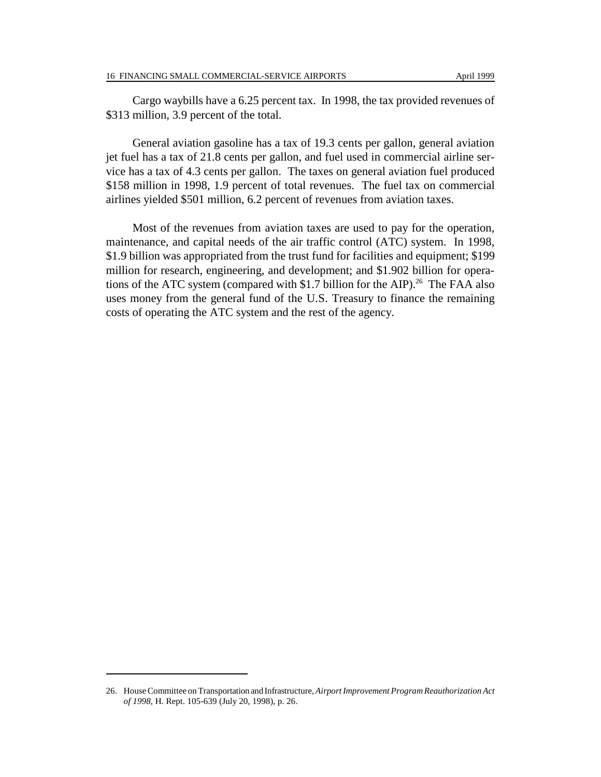Cargo waybills have a 6.25 percent tax. In 1998, the tax provided revenues of \$313 million, 3.9 percent of the total.

General aviation gasoline has a tax of 19.3 cents per gallon, general aviation jet fuel has a tax of 21.8 cents per gallon, and fuel used in commercial airline service has a tax of 4.3 cents per gallon. The taxes on general aviation fuel produced \$158 million in 1998, 1.9 percent of total revenues. The fuel tax on commercial airlines yielded \$501 million, 6.2 percent of revenues from aviation taxes.

Most of the revenues from aviation taxes are used to pay for the operation, maintenance, and capital needs of the air traffic control (ATC) system. In 1998, \$1.9 billion was appropriated from the trust fund for facilities and equipment; \$199 million for research, engineering, and development; and \$1.902 billion for operations of the ATC system (compared with \$1.7 billion for the AIP).<sup>26</sup> The FAA also uses money from the general fund of the U.S. Treasury to finance the remaining costs of operating the ATC system and the rest of the agency.

<sup>26.</sup> House Committee on Transportation and Infrastructure, *Airport Improvement Program Reauthorization Act of 1998*, H. Rept. 105-639 (July 20, 1998), p. 26.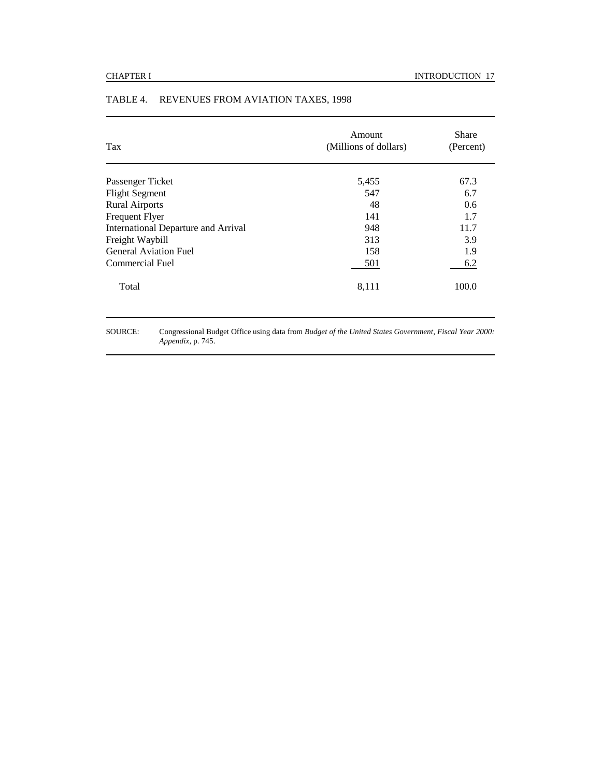| Tax                                        | Amount<br>(Millions of dollars) | <b>Share</b><br>(Percent) |
|--------------------------------------------|---------------------------------|---------------------------|
| Passenger Ticket                           | 5,455                           | 67.3                      |
| <b>Flight Segment</b>                      | 547                             | 6.7                       |
| <b>Rural Airports</b>                      | 48                              | 0.6                       |
| <b>Frequent Flyer</b>                      | 141                             | 1.7                       |
| <b>International Departure and Arrival</b> | 948                             | 11.7                      |
| Freight Waybill                            | 313                             | 3.9                       |
| <b>General Aviation Fuel</b>               | 158                             | 1.9                       |
| Commercial Fuel                            | 501                             | 6.2                       |
| Total                                      | 8,111                           | 100.0                     |

# TABLE 4. REVENUES FROM AVIATION TAXES, 1998

SOURCE: Congressional Budget Office using data from *Budget of the United States Government, Fiscal Year 2000: Appendix*, p. 745.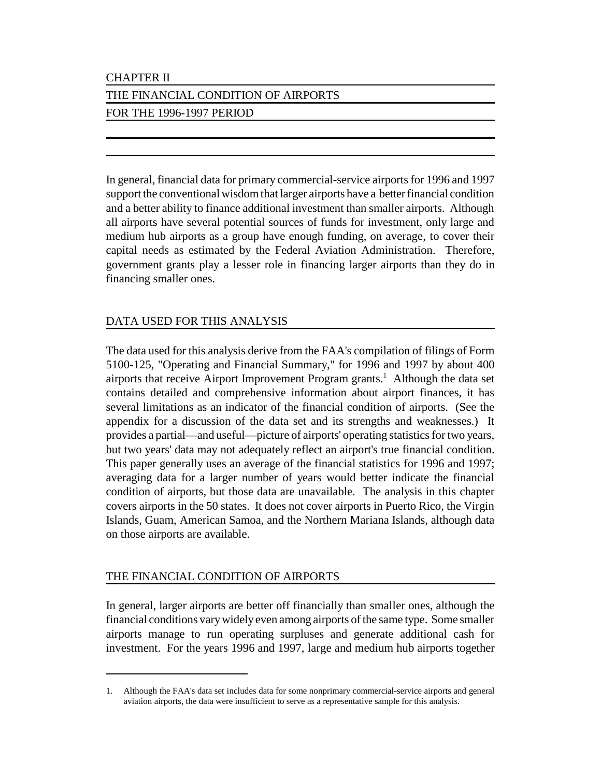# CHAPTER II

# THE FINANCIAL CONDITION OF AIRPORTS

# FOR THE 1996-1997 PERIOD

In general, financial data for primary commercial-service airports for 1996 and 1997 support the conventional wisdom that larger airports have a better financial condition and a better ability to finance additional investment than smaller airports. Although all airports have several potential sources of funds for investment, only large and medium hub airports as a group have enough funding, on average, to cover their capital needs as estimated by the Federal Aviation Administration. Therefore, government grants play a lesser role in financing larger airports than they do in financing smaller ones.

# DATA USED FOR THIS ANALYSIS

The data used for this analysis derive from the FAA's compilation of filings of Form 5100-125, "Operating and Financial Summary," for 1996 and 1997 by about 400 airports that receive Airport Improvement Program grants.<sup>1</sup> Although the data set contains detailed and comprehensive information about airport finances, it has several limitations as an indicator of the financial condition of airports. (See the appendix for a discussion of the data set and its strengths and weaknesses.) It provides a partial—and useful—picture of airports' operating statistics for two years, but two years' data may not adequately reflect an airport's true financial condition. This paper generally uses an average of the financial statistics for 1996 and 1997; averaging data for a larger number of years would better indicate the financial condition of airports, but those data are unavailable. The analysis in this chapter covers airports in the 50 states. It does not cover airports in Puerto Rico, the Virgin Islands, Guam, American Samoa, and the Northern Mariana Islands, although data on those airports are available.

# THE FINANCIAL CONDITION OF AIRPORTS

In general, larger airports are better off financially than smaller ones, although the financial conditions vary widely even among airports of the same type. Some smaller airports manage to run operating surpluses and generate additional cash for investment. For the years 1996 and 1997, large and medium hub airports together

<sup>1.</sup> Although the FAA's data set includes data for some nonprimary commercial-service airports and general aviation airports, the data were insufficient to serve as a representative sample for this analysis.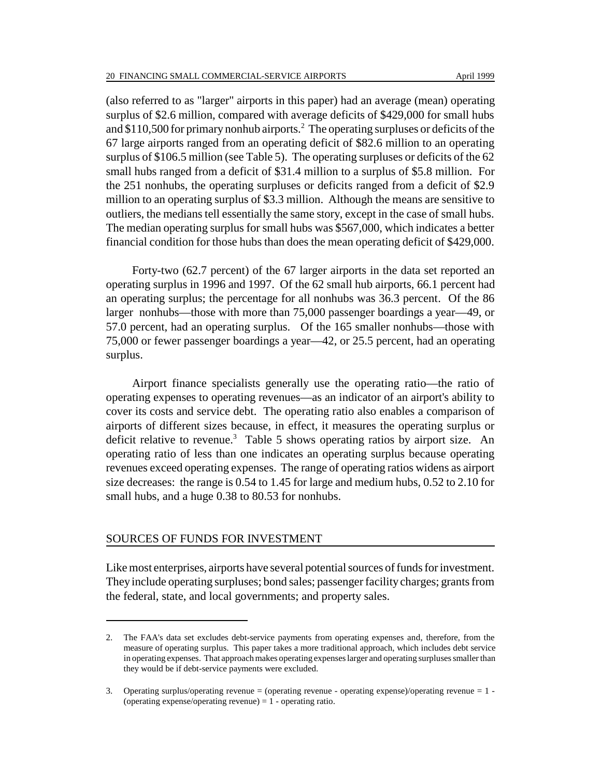(also referred to as "larger" airports in this paper) had an average (mean) operating surplus of \$2.6 million, compared with average deficits of \$429,000 for small hubs and \$110,500 for primary nonhub airports.<sup>2</sup> The operating surpluses or deficits of the 67 large airports ranged from an operating deficit of \$82.6 million to an operating surplus of \$106.5 million (see Table 5). The operating surpluses or deficits of the 62 small hubs ranged from a deficit of \$31.4 million to a surplus of \$5.8 million. For the 251 nonhubs, the operating surpluses or deficits ranged from a deficit of \$2.9 million to an operating surplus of \$3.3 million. Although the means are sensitive to outliers, the medians tell essentially the same story, except in the case of small hubs. The median operating surplus for small hubs was \$567,000, which indicates a better financial condition for those hubs than does the mean operating deficit of \$429,000.

Forty-two (62.7 percent) of the 67 larger airports in the data set reported an operating surplus in 1996 and 1997. Of the 62 small hub airports, 66.1 percent had an operating surplus; the percentage for all nonhubs was 36.3 percent. Of the 86 larger nonhubs—those with more than 75,000 passenger boardings a year—49, or 57.0 percent, had an operating surplus. Of the 165 smaller nonhubs—those with 75,000 or fewer passenger boardings a year—42, or 25.5 percent, had an operating surplus.

Airport finance specialists generally use the operating ratio—the ratio of operating expenses to operating revenues—as an indicator of an airport's ability to cover its costs and service debt. The operating ratio also enables a comparison of airports of different sizes because, in effect, it measures the operating surplus or deficit relative to revenue.<sup>3</sup> Table 5 shows operating ratios by airport size. An operating ratio of less than one indicates an operating surplus because operating revenues exceed operating expenses. The range of operating ratios widens as airport size decreases: the range is 0.54 to 1.45 for large and medium hubs, 0.52 to 2.10 for small hubs, and a huge 0.38 to 80.53 for nonhubs.

#### SOURCES OF FUNDS FOR INVESTMENT

Like most enterprises, airports have several potential sources of funds for investment. They include operating surpluses; bond sales; passenger facility charges; grants from the federal, state, and local governments; and property sales.

<sup>2.</sup> The FAA's data set excludes debt-service payments from operating expenses and, therefore, from the measure of operating surplus. This paper takes a more traditional approach, which includes debt service in operating expenses. That approach makes operating expenses larger and operating surpluses smaller than they would be if debt-service payments were excluded.

<sup>3.</sup> Operating surplus/operating revenue = (operating revenue - operating expense)/operating revenue = 1 - (operating expense/operating revenue)  $= 1$  - operating ratio.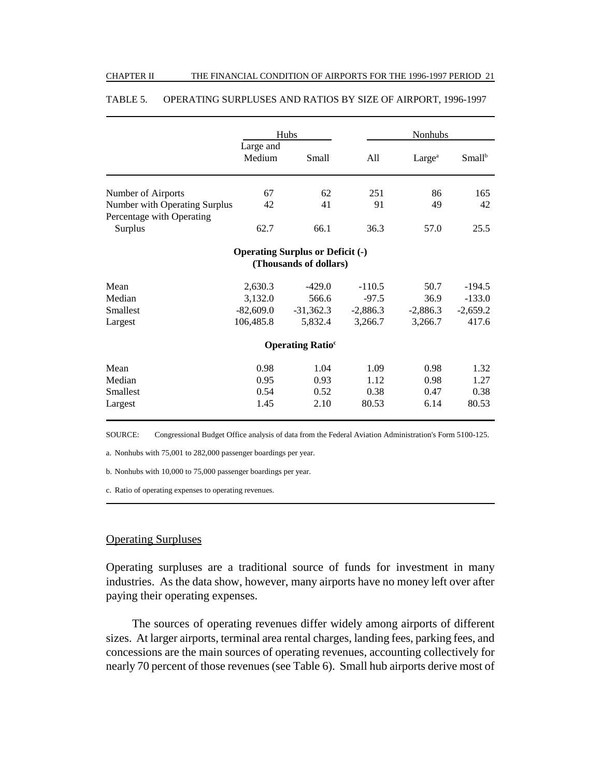|                               |                     | Hubs                                    |            | Nonhubs            |                    |
|-------------------------------|---------------------|-----------------------------------------|------------|--------------------|--------------------|
|                               | Large and<br>Medium | Small                                   | All        | Large <sup>a</sup> | Small <sup>b</sup> |
| Number of Airports            | 67                  | 62                                      | 251        | 86                 | 165                |
| Number with Operating Surplus | 42                  | 41                                      | 91         | 49                 | 42                 |
| Percentage with Operating     |                     |                                         |            |                    |                    |
| Surplus                       | 62.7                | 66.1                                    | 36.3       | 57.0               | 25.5               |
|                               |                     | <b>Operating Surplus or Deficit (-)</b> |            |                    |                    |
|                               |                     | (Thousands of dollars)                  |            |                    |                    |
| Mean                          | 2,630.3             | $-429.0$                                | $-110.5$   | 50.7               | $-194.5$           |
| Median                        | 3,132.0             | 566.6                                   | $-97.5$    | 36.9               | $-133.0$           |
| Smallest                      | $-82,609.0$         | $-31,362.3$                             | $-2,886.3$ | $-2,886.3$         | $-2,659.2$         |
| Largest                       | 106,485.8           | 5,832.4                                 | 3,266.7    | 3,266.7            | 417.6              |
|                               |                     | <b>Operating Ratio<sup>c</sup></b>      |            |                    |                    |
| Mean                          | 0.98                | 1.04                                    | 1.09       | 0.98               | 1.32               |
| Median                        | 0.95                | 0.93                                    | 1.12       | 0.98               | 1.27               |
| <b>Smallest</b>               | 0.54                | 0.52                                    | 0.38       | 0.47               | 0.38               |
| Largest                       | 1.45                | 2.10                                    | 80.53      | 6.14               | 80.53              |

#### TABLE 5. OPERATING SURPLUSES AND RATIOS BY SIZE OF AIRPORT, 1996-1997

SOURCE: Congressional Budget Office analysis of data from the Federal Aviation Administration's Form 5100-125.

a. Nonhubs with 75,001 to 282,000 passenger boardings per year.

b. Nonhubs with 10,000 to 75,000 passenger boardings per year.

c. Ratio of operating expenses to operating revenues.

### Operating Surpluses

Operating surpluses are a traditional source of funds for investment in many industries. As the data show, however, many airports have no money left over after paying their operating expenses.

The sources of operating revenues differ widely among airports of different sizes. At larger airports, terminal area rental charges, landing fees, parking fees, and concessions are the main sources of operating revenues, accounting collectively for nearly 70 percent of those revenues (see Table 6). Small hub airports derive most of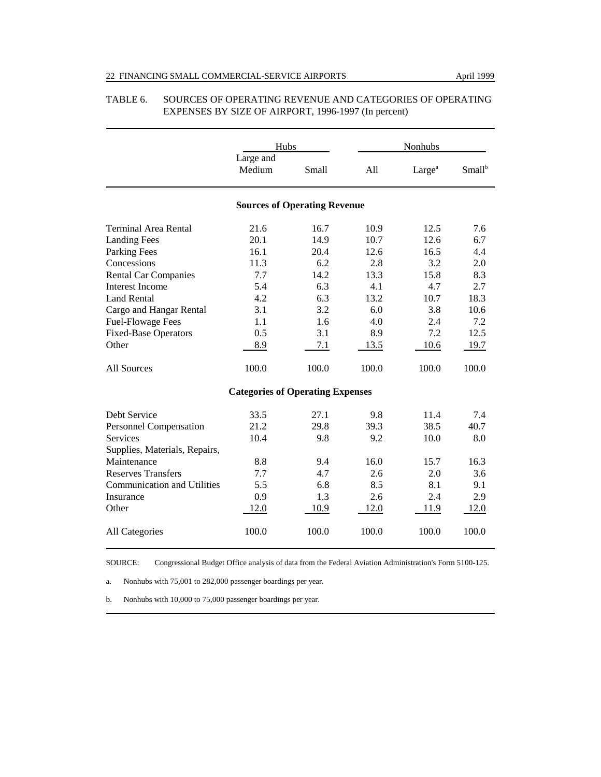|                                    | Hubs                                    |                                     |       | Nonhubs            |                    |  |
|------------------------------------|-----------------------------------------|-------------------------------------|-------|--------------------|--------------------|--|
|                                    | Large and<br>Medium                     | Small                               | A11   | Large <sup>a</sup> | Small <sup>b</sup> |  |
|                                    |                                         | <b>Sources of Operating Revenue</b> |       |                    |                    |  |
| <b>Terminal Area Rental</b>        | 21.6                                    | 16.7                                | 10.9  | 12.5               | 7.6                |  |
| <b>Landing Fees</b>                | 20.1                                    | 14.9                                | 10.7  | 12.6               | 6.7                |  |
| <b>Parking Fees</b>                | 16.1                                    | 20.4                                | 12.6  | 16.5               | 4.4                |  |
| Concessions                        | 11.3                                    | 6.2                                 | 2.8   | 3.2                | 2.0                |  |
| <b>Rental Car Companies</b>        | 7.7                                     | 14.2                                | 13.3  | 15.8               | 8.3                |  |
| Interest Income                    | 5.4                                     | 6.3                                 | 4.1   | 4.7                | 2.7                |  |
| <b>Land Rental</b>                 | 4.2                                     | 6.3                                 | 13.2  | 10.7               | 18.3               |  |
| Cargo and Hangar Rental            | 3.1                                     | 3.2                                 | 6.0   | 3.8                | 10.6               |  |
| <b>Fuel-Flowage Fees</b>           | 1.1                                     | 1.6                                 | 4.0   | 2.4                | 7.2                |  |
| <b>Fixed-Base Operators</b>        | 0.5                                     | 3.1                                 | 8.9   | 7.2                | 12.5               |  |
| Other                              | 8.9                                     | 7.1                                 | 13.5  | 10.6               | 19.7               |  |
| All Sources                        | 100.0                                   | 100.0                               | 100.0 | 100.0              | 100.0              |  |
|                                    | <b>Categories of Operating Expenses</b> |                                     |       |                    |                    |  |
| Debt Service                       | 33.5                                    | 27.1                                | 9.8   | 11.4               | 7.4                |  |
| Personnel Compensation             | 21.2                                    | 29.8                                | 39.3  | 38.5               | 40.7               |  |
| Services                           | 10.4                                    | 9.8                                 | 9.2   | 10.0               | 8.0                |  |
| Supplies, Materials, Repairs,      |                                         |                                     |       |                    |                    |  |
| Maintenance                        | 8.8                                     | 9.4                                 | 16.0  | 15.7               | 16.3               |  |
| <b>Reserves Transfers</b>          | 7.7                                     | 4.7                                 | 2.6   | 2.0                | 3.6                |  |
| <b>Communication and Utilities</b> | 5.5                                     | 6.8                                 | 8.5   | 8.1                | 9.1                |  |
| Insurance                          | 0.9                                     | 1.3                                 | 2.6   | 2.4                | 2.9                |  |
| Other                              | 12.0                                    | 10.9                                | 12.0  | 11.9               | 12.0               |  |
| All Categories                     | 100.0                                   | 100.0                               | 100.0 | 100.0              | 100.0              |  |

#### TABLE 6. SOURCES OF OPERATING REVENUE AND CATEGORIES OF OPERATING EXPENSES BY SIZE OF AIRPORT, 1996-1997 (In percent)

SOURCE: Congressional Budget Office analysis of data from the Federal Aviation Administration's Form 5100-125.

a. Nonhubs with 75,001 to 282,000 passenger boardings per year.

b. Nonhubs with 10,000 to 75,000 passenger boardings per year.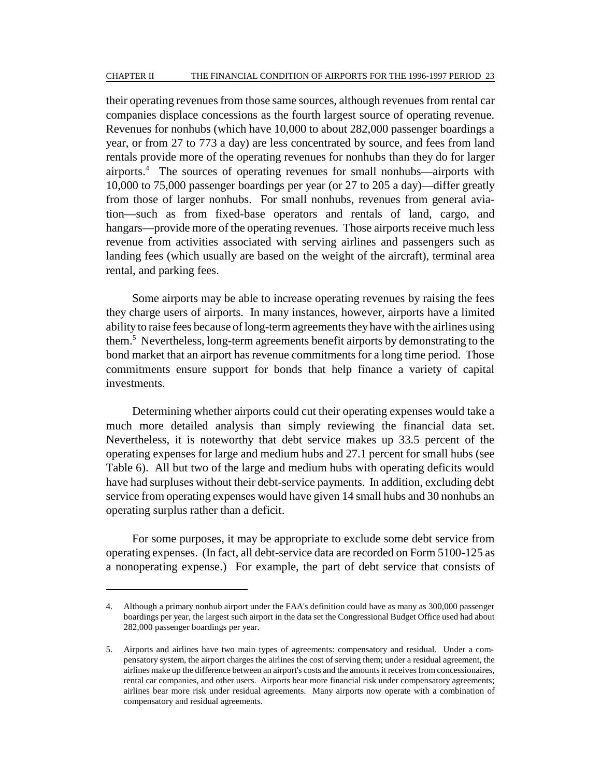their operating revenues from those same sources, although revenues from rental car companies displace concessions as the fourth largest source of operating revenue. Revenues for nonhubs (which have 10,000 to about 282,000 passenger boardings a year, or from 27 to 773 a day) are less concentrated by source, and fees from land rentals provide more of the operating revenues for nonhubs than they do for larger airports.4 The sources of operating revenues for small nonhubs—airports with 10,000 to 75,000 passenger boardings per year (or 27 to 205 a day)—differ greatly from those of larger nonhubs. For small nonhubs, revenues from general aviation—such as from fixed-base operators and rentals of land, cargo, and hangars—provide more of the operating revenues. Those airports receive much less revenue from activities associated with serving airlines and passengers such as landing fees (which usually are based on the weight of the aircraft), terminal area rental, and parking fees.

Some airports may be able to increase operating revenues by raising the fees they charge users of airports. In many instances, however, airports have a limited ability to raise fees because of long-term agreements they have with the airlines using them.5 Nevertheless, long-term agreements benefit airports by demonstrating to the bond market that an airport has revenue commitments for a long time period. Those commitments ensure support for bonds that help finance a variety of capital investments.

Determining whether airports could cut their operating expenses would take a much more detailed analysis than simply reviewing the financial data set. Nevertheless, it is noteworthy that debt service makes up 33.5 percent of the operating expenses for large and medium hubs and 27.1 percent for small hubs (see Table 6). All but two of the large and medium hubs with operating deficits would have had surpluses without their debt-service payments. In addition, excluding debt service from operating expenses would have given 14 small hubs and 30 nonhubs an operating surplus rather than a deficit.

For some purposes, it may be appropriate to exclude some debt service from operating expenses. (In fact, all debt-service data are recorded on Form 5100-125 as a nonoperating expense.) For example, the part of debt service that consists of

<sup>4.</sup> Although a primary nonhub airport under the FAA's definition could have as many as 300,000 passenger boardings per year, the largest such airport in the data set the Congressional Budget Office used had about 282,000 passenger boardings per year.

<sup>5.</sup> Airports and airlines have two main types of agreements: compensatory and residual. Under a compensatory system, the airport charges the airlines the cost of serving them; under a residual agreement, the airlines make up the difference between an airport's costs and the amounts it receives from concessionaires, rental car companies, and other users. Airports bear more financial risk under compensatory agreements; airlines bear more risk under residual agreements. Many airports now operate with a combination of compensatory and residual agreements.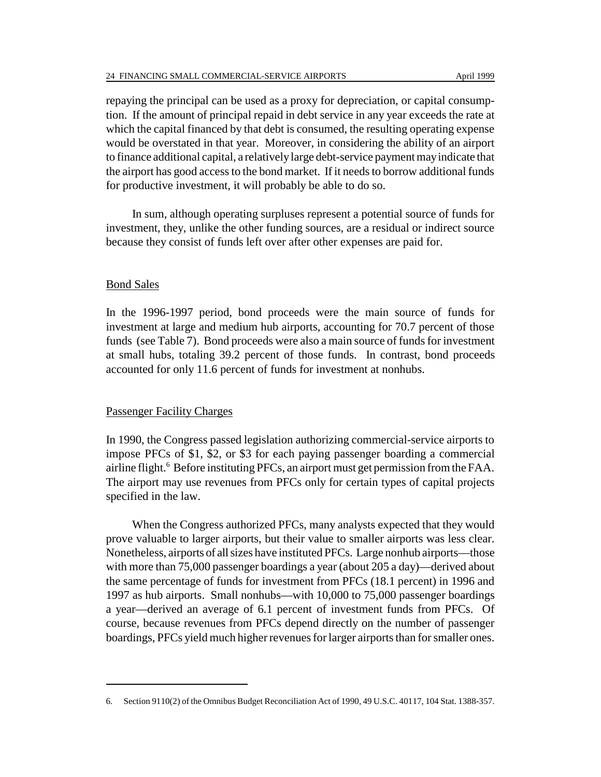repaying the principal can be used as a proxy for depreciation, or capital consumption. If the amount of principal repaid in debt service in any year exceeds the rate at which the capital financed by that debt is consumed, the resulting operating expense would be overstated in that year. Moreover, in considering the ability of an airport to finance additional capital, a relatively large debt-service payment may indicate that the airport has good access to the bond market. If it needs to borrow additional funds for productive investment, it will probably be able to do so.

In sum, although operating surpluses represent a potential source of funds for investment, they, unlike the other funding sources, are a residual or indirect source because they consist of funds left over after other expenses are paid for.

#### Bond Sales

In the 1996-1997 period, bond proceeds were the main source of funds for investment at large and medium hub airports, accounting for 70.7 percent of those funds (see Table 7). Bond proceeds were also a main source of funds for investment at small hubs, totaling 39.2 percent of those funds. In contrast, bond proceeds accounted for only 11.6 percent of funds for investment at nonhubs.

#### Passenger Facility Charges

In 1990, the Congress passed legislation authorizing commercial-service airports to impose PFCs of \$1, \$2, or \$3 for each paying passenger boarding a commercial airline flight.<sup>6</sup> Before instituting PFCs, an airport must get permission from the FAA. The airport may use revenues from PFCs only for certain types of capital projects specified in the law.

When the Congress authorized PFCs, many analysts expected that they would prove valuable to larger airports, but their value to smaller airports was less clear. Nonetheless, airports of all sizes have instituted PFCs. Large nonhub airports—those with more than 75,000 passenger boardings a year (about 205 a day)—derived about the same percentage of funds for investment from PFCs (18.1 percent) in 1996 and 1997 as hub airports. Small nonhubs—with 10,000 to 75,000 passenger boardings a year—derived an average of 6.1 percent of investment funds from PFCs. Of course, because revenues from PFCs depend directly on the number of passenger boardings, PFCs yield much higher revenues for larger airports than for smaller ones.

<sup>6.</sup> Section 9110(2) of the Omnibus Budget Reconciliation Act of 1990, 49 U.S.C. 40117, 104 Stat. 1388-357.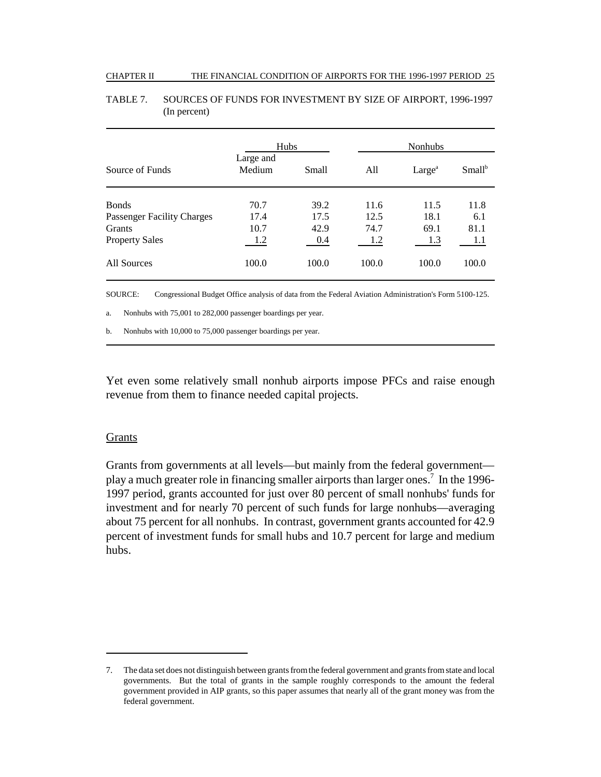#### CHAPTER II THE FINANCIAL CONDITION OF AIRPORTS FOR THE 1996-1997 PERIOD 25

|                                   | <b>Hubs</b>         |       |       | <b>Nonhubs</b>     |           |
|-----------------------------------|---------------------|-------|-------|--------------------|-----------|
| Source of Funds                   | Large and<br>Medium | Small | All   | Large <sup>a</sup> | $Small^b$ |
| <b>Bonds</b>                      | 70.7                | 39.2  | 11.6  | 11.5               | 11.8      |
| <b>Passenger Facility Charges</b> | 17.4                | 17.5  | 12.5  | 18.1               | 6.1       |
| <b>Grants</b>                     | 10.7                | 42.9  | 74.7  | 69.1               | 81.1      |
| <b>Property Sales</b>             | 1.2                 | 0.4   | 1.2   | 1.3                | 1.1       |
| All Sources                       | 100.0               | 100.0 | 100.0 | 100.0              | 100.0     |

### TABLE 7. SOURCES OF FUNDS FOR INVESTMENT BY SIZE OF AIRPORT, 1996-1997 (In percent)

SOURCE: Congressional Budget Office analysis of data from the Federal Aviation Administration's Form 5100-125.

a. Nonhubs with 75,001 to 282,000 passenger boardings per year.

b. Nonhubs with 10,000 to 75,000 passenger boardings per year.

Yet even some relatively small nonhub airports impose PFCs and raise enough revenue from them to finance needed capital projects.

## Grants

Grants from governments at all levels—but mainly from the federal government play a much greater role in financing smaller airports than larger ones.<sup>7</sup> In the 1996-1997 period, grants accounted for just over 80 percent of small nonhubs' funds for investment and for nearly 70 percent of such funds for large nonhubs—averaging about 75 percent for all nonhubs. In contrast, government grants accounted for 42.9 percent of investment funds for small hubs and 10.7 percent for large and medium hubs.

<sup>7.</sup> The data set does not distinguish between grants from the federal government and grants from state and local governments. But the total of grants in the sample roughly corresponds to the amount the federal government provided in AIP grants, so this paper assumes that nearly all of the grant money was from the federal government.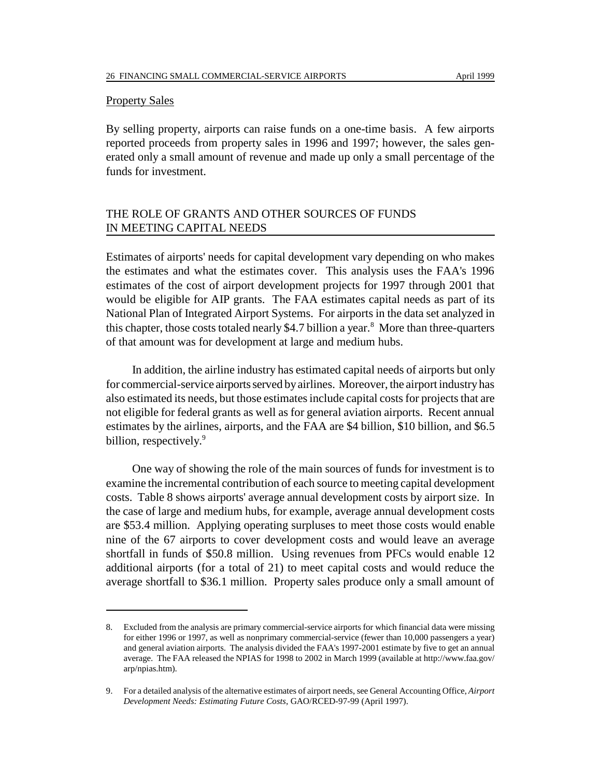#### **Property Sales**

By selling property, airports can raise funds on a one-time basis. A few airports reported proceeds from property sales in 1996 and 1997; however, the sales generated only a small amount of revenue and made up only a small percentage of the funds for investment.

# THE ROLE OF GRANTS AND OTHER SOURCES OF FUNDS IN MEETING CAPITAL NEEDS

Estimates of airports' needs for capital development vary depending on who makes the estimates and what the estimates cover. This analysis uses the FAA's 1996 estimates of the cost of airport development projects for 1997 through 2001 that would be eligible for AIP grants. The FAA estimates capital needs as part of its National Plan of Integrated Airport Systems. For airports in the data set analyzed in this chapter, those costs totaled nearly \$4.7 billion a year.<sup>8</sup> More than three-quarters of that amount was for development at large and medium hubs.

In addition, the airline industry has estimated capital needs of airports but only for commercial-service airports served by airlines. Moreover, the airport industry has also estimated its needs, but those estimates include capital costs for projects that are not eligible for federal grants as well as for general aviation airports. Recent annual estimates by the airlines, airports, and the FAA are \$4 billion, \$10 billion, and \$6.5 billion, respectively.<sup>9</sup>

One way of showing the role of the main sources of funds for investment is to examine the incremental contribution of each source to meeting capital development costs. Table 8 shows airports' average annual development costs by airport size. In the case of large and medium hubs, for example, average annual development costs are \$53.4 million. Applying operating surpluses to meet those costs would enable nine of the 67 airports to cover development costs and would leave an average shortfall in funds of \$50.8 million. Using revenues from PFCs would enable 12 additional airports (for a total of 21) to meet capital costs and would reduce the average shortfall to \$36.1 million. Property sales produce only a small amount of

<sup>8.</sup> Excluded from the analysis are primary commercial-service airports for which financial data were missing for either 1996 or 1997, as well as nonprimary commercial-service (fewer than 10,000 passengers a year) and general aviation airports. The analysis divided the FAA's 1997-2001 estimate by five to get an annual average. The FAA released the NPIAS for 1998 to 2002 in March 1999 (available at http://www.faa.gov/ arp/npias.htm).

<sup>9.</sup> For a detailed analysis of the alternative estimates of airport needs, see General Accounting Office, *Airport Development Needs: Estimating Future Costs*, GAO/RCED-97-99 (April 1997).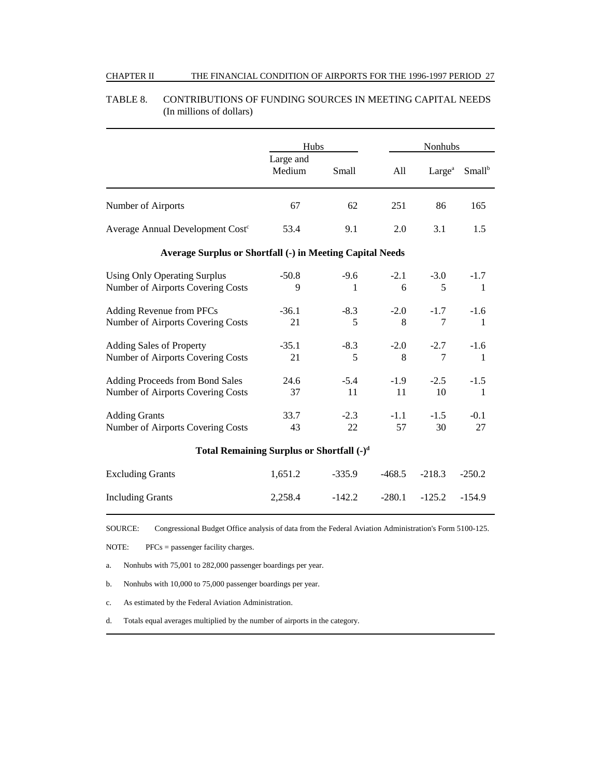#### CHAPTER II THE FINANCIAL CONDITION OF AIRPORTS FOR THE 1996-1997 PERIOD 27

|                                                                          | Hubs                |              |              |                    | Nonhubs            |  |
|--------------------------------------------------------------------------|---------------------|--------------|--------------|--------------------|--------------------|--|
|                                                                          | Large and<br>Medium | Small        | All          | Large <sup>a</sup> | Small <sup>b</sup> |  |
| Number of Airports                                                       | 67                  | 62           | 251          | 86                 | 165                |  |
| Average Annual Development Cost <sup>c</sup>                             | 53.4                | 9.1          | 2.0          | 3.1                | 1.5                |  |
| <b>Average Surplus or Shortfall (-) in Meeting Capital Needs</b>         |                     |              |              |                    |                    |  |
| <b>Using Only Operating Surplus</b><br>Number of Airports Covering Costs | $-50.8$<br>9        | $-9.6$<br>1  | $-2.1$<br>6  | $-3.0$<br>5        | $-1.7$<br>1        |  |
| Adding Revenue from PFCs<br>Number of Airports Covering Costs            | $-36.1$<br>21       | $-8.3$<br>5  | $-2.0$<br>8  | $-1.7$<br>7        | $-1.6$<br>1        |  |
| <b>Adding Sales of Property</b><br>Number of Airports Covering Costs     | $-35.1$<br>21       | $-8.3$<br>5  | $-2.0$<br>8  | $-2.7$<br>7        | $-1.6$<br>1        |  |
| Adding Proceeds from Bond Sales<br>Number of Airports Covering Costs     | 24.6<br>37          | $-5.4$<br>11 | $-1.9$<br>11 | $-2.5$<br>10       | $-1.5$<br>1        |  |
| <b>Adding Grants</b><br>Number of Airports Covering Costs                | 33.7<br>43          | $-2.3$<br>22 | $-1.1$<br>57 | $-1.5$<br>30       | $-0.1$<br>27       |  |
| Total Remaining Surplus or Shortfall $(-)^d$                             |                     |              |              |                    |                    |  |
| <b>Excluding Grants</b>                                                  | 1,651.2             | $-335.9$     | $-468.5$     | $-218.3$           | $-250.2$           |  |
| <b>Including Grants</b>                                                  | 2,258.4             | $-142.2$     | $-280.1$     | $-125.2$           | $-154.9$           |  |

#### TABLE 8. CONTRIBUTIONS OF FUNDING SOURCES IN MEETING CAPITAL NEEDS (In millions of dollars)

SOURCE: Congressional Budget Office analysis of data from the Federal Aviation Administration's Form 5100-125.

NOTE: PFCs = passenger facility charges.

a. Nonhubs with 75,001 to 282,000 passenger boardings per year.

b. Nonhubs with 10,000 to 75,000 passenger boardings per year.

c. As estimated by the Federal Aviation Administration.

d. Totals equal averages multiplied by the number of airports in the category.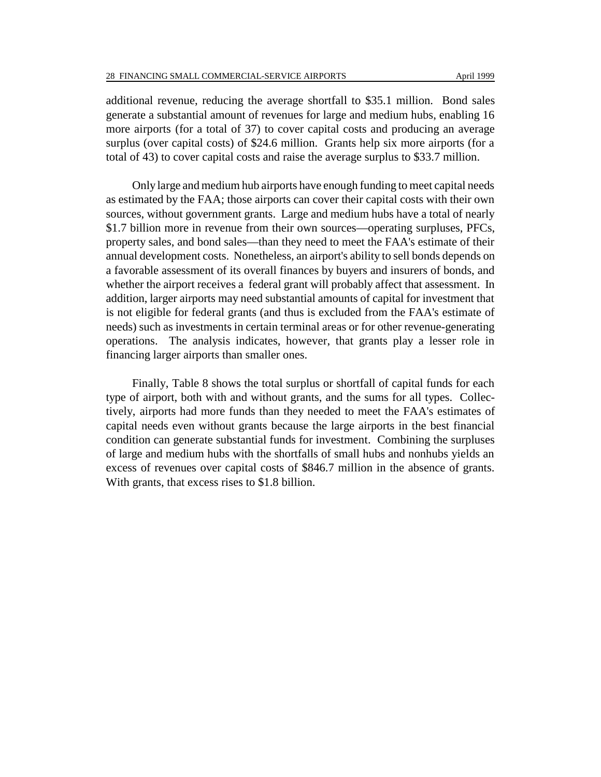additional revenue, reducing the average shortfall to \$35.1 million. Bond sales generate a substantial amount of revenues for large and medium hubs, enabling 16 more airports (for a total of 37) to cover capital costs and producing an average surplus (over capital costs) of \$24.6 million. Grants help six more airports (for a total of 43) to cover capital costs and raise the average surplus to \$33.7 million.

Only large and medium hub airports have enough funding to meet capital needs as estimated by the FAA; those airports can cover their capital costs with their own sources, without government grants. Large and medium hubs have a total of nearly \$1.7 billion more in revenue from their own sources—operating surpluses, PFCs, property sales, and bond sales—than they need to meet the FAA's estimate of their annual development costs. Nonetheless, an airport's ability to sell bonds depends on a favorable assessment of its overall finances by buyers and insurers of bonds, and whether the airport receives a federal grant will probably affect that assessment. In addition, larger airports may need substantial amounts of capital for investment that is not eligible for federal grants (and thus is excluded from the FAA's estimate of needs) such as investments in certain terminal areas or for other revenue-generating operations. The analysis indicates, however, that grants play a lesser role in financing larger airports than smaller ones.

Finally, Table 8 shows the total surplus or shortfall of capital funds for each type of airport, both with and without grants, and the sums for all types. Collectively, airports had more funds than they needed to meet the FAA's estimates of capital needs even without grants because the large airports in the best financial condition can generate substantial funds for investment. Combining the surpluses of large and medium hubs with the shortfalls of small hubs and nonhubs yields an excess of revenues over capital costs of \$846.7 million in the absence of grants. With grants, that excess rises to \$1.8 billion.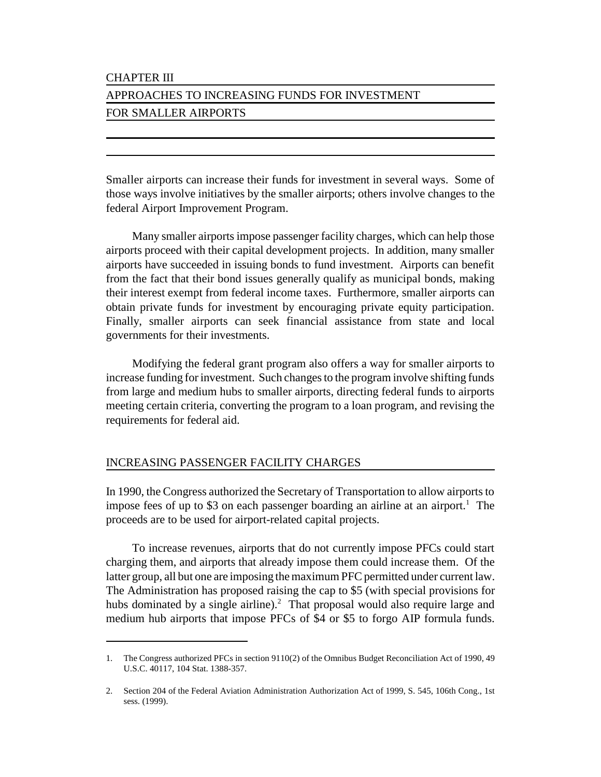# CHAPTER III

# APPROACHES TO INCREASING FUNDS FOR INVESTMENT FOR SMALLER AIRPORTS

Smaller airports can increase their funds for investment in several ways. Some of those ways involve initiatives by the smaller airports; others involve changes to the federal Airport Improvement Program.

Many smaller airports impose passenger facility charges, which can help those airports proceed with their capital development projects. In addition, many smaller airports have succeeded in issuing bonds to fund investment. Airports can benefit from the fact that their bond issues generally qualify as municipal bonds, making their interest exempt from federal income taxes. Furthermore, smaller airports can obtain private funds for investment by encouraging private equity participation. Finally, smaller airports can seek financial assistance from state and local governments for their investments.

Modifying the federal grant program also offers a way for smaller airports to increase funding for investment. Such changes to the program involve shifting funds from large and medium hubs to smaller airports, directing federal funds to airports meeting certain criteria, converting the program to a loan program, and revising the requirements for federal aid.

# INCREASING PASSENGER FACILITY CHARGES

In 1990, the Congress authorized the Secretary of Transportation to allow airports to impose fees of up to \$3 on each passenger boarding an airline at an airport.<sup>1</sup> The proceeds are to be used for airport-related capital projects.

To increase revenues, airports that do not currently impose PFCs could start charging them, and airports that already impose them could increase them. Of the latter group, all but one are imposing the maximum PFC permitted under current law. The Administration has proposed raising the cap to \$5 (with special provisions for hubs dominated by a single airline). $^2$  That proposal would also require large and medium hub airports that impose PFCs of \$4 or \$5 to forgo AIP formula funds.

<sup>1.</sup> The Congress authorized PFCs in section 9110(2) of the Omnibus Budget Reconciliation Act of 1990, 49 U.S.C. 40117, 104 Stat. 1388-357.

<sup>2.</sup> Section 204 of the Federal Aviation Administration Authorization Act of 1999, S. 545, 106th Cong., 1st sess. (1999).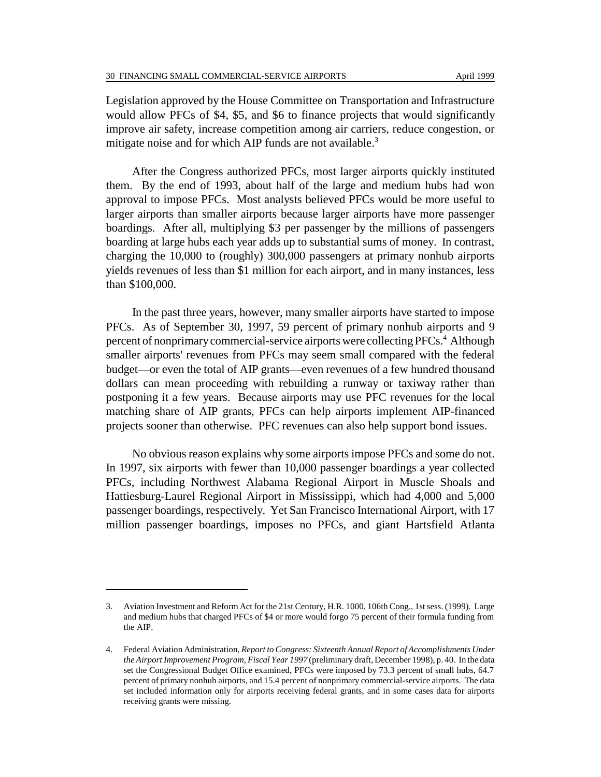Legislation approved by the House Committee on Transportation and Infrastructure would allow PFCs of \$4, \$5, and \$6 to finance projects that would significantly improve air safety, increase competition among air carriers, reduce congestion, or mitigate noise and for which AIP funds are not available. $3$ 

After the Congress authorized PFCs, most larger airports quickly instituted them. By the end of 1993, about half of the large and medium hubs had won approval to impose PFCs. Most analysts believed PFCs would be more useful to larger airports than smaller airports because larger airports have more passenger boardings. After all, multiplying \$3 per passenger by the millions of passengers boarding at large hubs each year adds up to substantial sums of money. In contrast, charging the 10,000 to (roughly) 300,000 passengers at primary nonhub airports yields revenues of less than \$1 million for each airport, and in many instances, less than \$100,000.

In the past three years, however, many smaller airports have started to impose PFCs. As of September 30, 1997, 59 percent of primary nonhub airports and 9 percent of nonprimary commercial-service airports were collecting PFCs.<sup>4</sup> Although smaller airports' revenues from PFCs may seem small compared with the federal budget—or even the total of AIP grants—even revenues of a few hundred thousand dollars can mean proceeding with rebuilding a runway or taxiway rather than postponing it a few years. Because airports may use PFC revenues for the local matching share of AIP grants, PFCs can help airports implement AIP-financed projects sooner than otherwise. PFC revenues can also help support bond issues.

No obvious reason explains why some airports impose PFCs and some do not. In 1997, six airports with fewer than 10,000 passenger boardings a year collected PFCs, including Northwest Alabama Regional Airport in Muscle Shoals and Hattiesburg-Laurel Regional Airport in Mississippi, which had 4,000 and 5,000 passenger boardings, respectively. Yet San Francisco International Airport, with 17 million passenger boardings, imposes no PFCs, and giant Hartsfield Atlanta

<sup>3.</sup> Aviation Investment and Reform Act for the 21st Century, H.R. 1000, 106th Cong., 1st sess. (1999). Large and medium hubs that charged PFCs of \$4 or more would forgo 75 percent of their formula funding from the AIP.

<sup>4.</sup> Federal Aviation Administration, *Report to Congress: Sixteenth Annual Report of Accomplishments Under the Airport Improvement Program, Fiscal Year 1997* (preliminary draft, December 1998), p. 40. In the data set the Congressional Budget Office examined, PFCs were imposed by 73.3 percent of small hubs, 64.7 percent of primary nonhub airports, and 15.4 percent of nonprimary commercial-service airports. The data set included information only for airports receiving federal grants, and in some cases data for airports receiving grants were missing.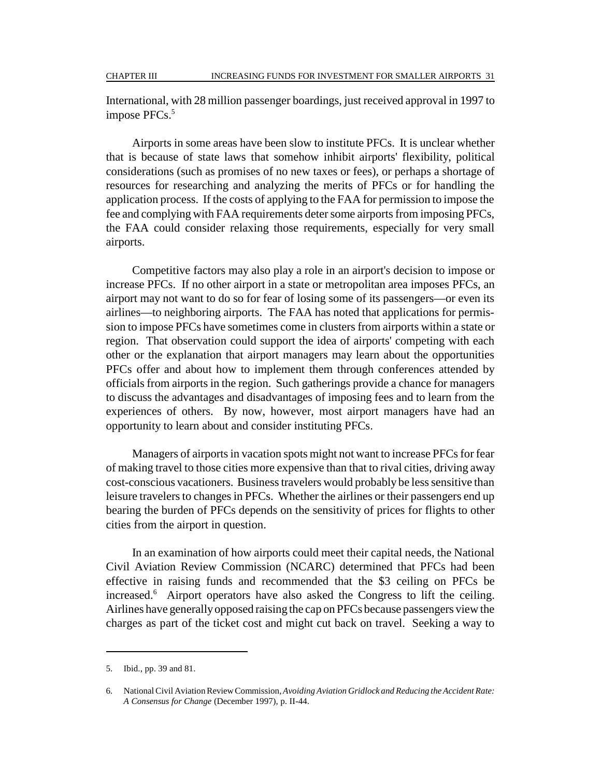International, with 28 million passenger boardings, just received approval in 1997 to impose PFCs.<sup>5</sup>

Airports in some areas have been slow to institute PFCs. It is unclear whether that is because of state laws that somehow inhibit airports' flexibility, political considerations (such as promises of no new taxes or fees), or perhaps a shortage of resources for researching and analyzing the merits of PFCs or for handling the application process. If the costs of applying to the FAA for permission to impose the fee and complying with FAA requirements deter some airports from imposing PFCs, the FAA could consider relaxing those requirements, especially for very small airports.

Competitive factors may also play a role in an airport's decision to impose or increase PFCs. If no other airport in a state or metropolitan area imposes PFCs, an airport may not want to do so for fear of losing some of its passengers—or even its airlines—to neighboring airports. The FAA has noted that applications for permission to impose PFCs have sometimes come in clusters from airports within a state or region. That observation could support the idea of airports' competing with each other or the explanation that airport managers may learn about the opportunities PFCs offer and about how to implement them through conferences attended by officials from airports in the region. Such gatherings provide a chance for managers to discuss the advantages and disadvantages of imposing fees and to learn from the experiences of others. By now, however, most airport managers have had an opportunity to learn about and consider instituting PFCs.

Managers of airports in vacation spots might not want to increase PFCs for fear of making travel to those cities more expensive than that to rival cities, driving away cost-conscious vacationers. Business travelers would probably be less sensitive than leisure travelers to changes in PFCs. Whether the airlines or their passengers end up bearing the burden of PFCs depends on the sensitivity of prices for flights to other cities from the airport in question.

In an examination of how airports could meet their capital needs, the National Civil Aviation Review Commission (NCARC) determined that PFCs had been effective in raising funds and recommended that the \$3 ceiling on PFCs be increased.6 Airport operators have also asked the Congress to lift the ceiling. Airlines have generally opposed raising the cap on PFCs because passengers view the charges as part of the ticket cost and might cut back on travel. Seeking a way to

<sup>5.</sup> Ibid., pp. 39 and 81.

<sup>6.</sup> National Civil Aviation Review Commission, *Avoiding Aviation Gridlock and Reducing the Accident Rate: A Consensus for Change* (December 1997), p. II-44.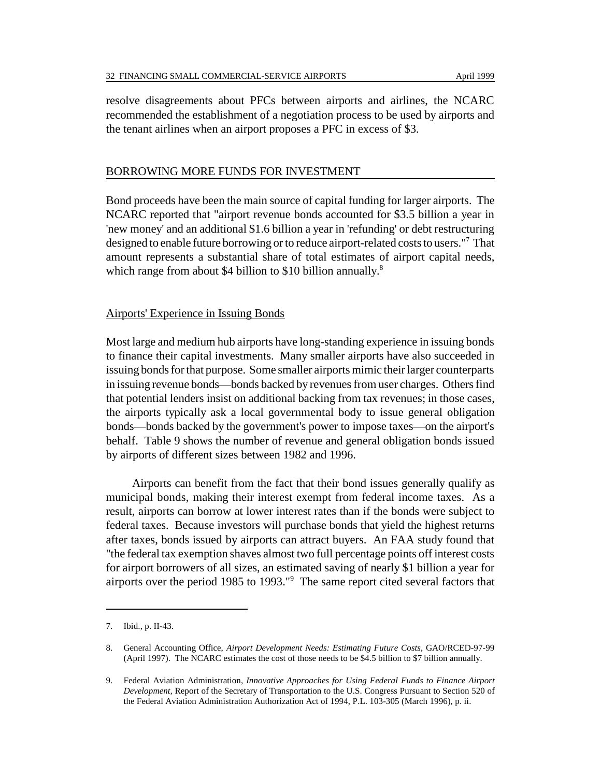resolve disagreements about PFCs between airports and airlines, the NCARC recommended the establishment of a negotiation process to be used by airports and the tenant airlines when an airport proposes a PFC in excess of \$3.

#### BORROWING MORE FUNDS FOR INVESTMENT

Bond proceeds have been the main source of capital funding for larger airports. The NCARC reported that "airport revenue bonds accounted for \$3.5 billion a year in 'new money' and an additional \$1.6 billion a year in 'refunding' or debt restructuring designed to enable future borrowing or to reduce airport-related costs to users."<sup>7</sup> That amount represents a substantial share of total estimates of airport capital needs, which range from about \$4 billion to \$10 billion annually. $8$ 

#### Airports' Experience in Issuing Bonds

Most large and medium hub airports have long-standing experience in issuing bonds to finance their capital investments. Many smaller airports have also succeeded in issuing bonds for that purpose. Some smaller airports mimic their larger counterparts in issuing revenue bonds—bonds backed by revenues from user charges. Others find that potential lenders insist on additional backing from tax revenues; in those cases, the airports typically ask a local governmental body to issue general obligation bonds—bonds backed by the government's power to impose taxes—on the airport's behalf. Table 9 shows the number of revenue and general obligation bonds issued by airports of different sizes between 1982 and 1996.

Airports can benefit from the fact that their bond issues generally qualify as municipal bonds, making their interest exempt from federal income taxes. As a result, airports can borrow at lower interest rates than if the bonds were subject to federal taxes. Because investors will purchase bonds that yield the highest returns after taxes, bonds issued by airports can attract buyers. An FAA study found that "the federal tax exemption shaves almost two full percentage points off interest costs for airport borrowers of all sizes, an estimated saving of nearly \$1 billion a year for airports over the period 1985 to 1993."9 The same report cited several factors that

<sup>7.</sup> Ibid., p. II-43.

<sup>8.</sup> General Accounting Office, *Airport Development Needs: Estimating Future Costs*, GAO/RCED-97-99 (April 1997). The NCARC estimates the cost of those needs to be \$4.5 billion to \$7 billion annually.

<sup>9.</sup> Federal Aviation Administration, *Innovative Approaches for Using Federal Funds to Finance Airport Development,* Report of the Secretary of Transportation to the U.S. Congress Pursuant to Section 520 of the Federal Aviation Administration Authorization Act of 1994, P.L. 103-305 (March 1996), p. ii.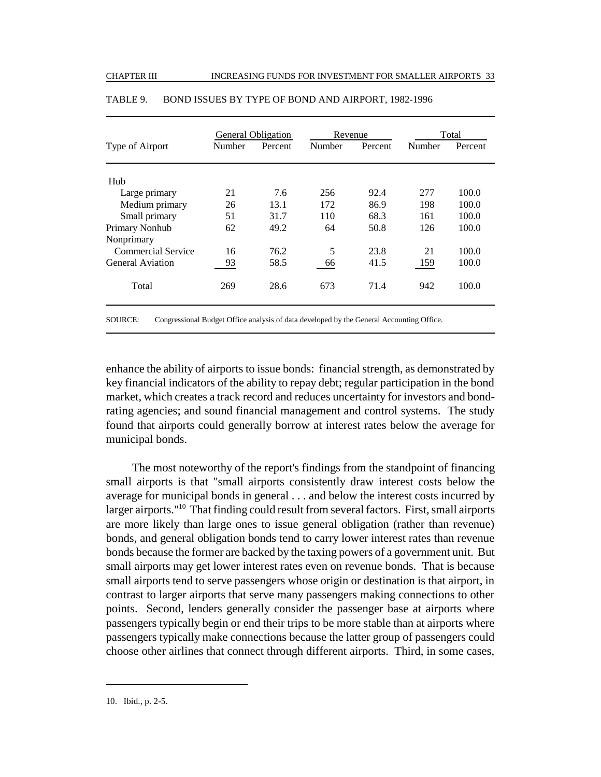|        |         |                           |         | Total   |         |
|--------|---------|---------------------------|---------|---------|---------|
| Number | Percent | Number                    | Percent | Number  | Percent |
|        |         |                           |         |         |         |
| 21     | 7.6     | 256                       | 92.4    | 277     | 100.0   |
| 26     | 13.1    | 172                       | 86.9    | 198     | 100.0   |
| 51     | 31.7    | 110                       | 68.3    | 161     | 100.0   |
| 62     | 49.2    | 64                        | 50.8    | 126     | 100.0   |
|        |         |                           |         |         |         |
| 16     | 76.2    | 5                         | 23.8    | 21      | 100.0   |
| 93     | 58.5    | 66                        | 41.5    | 159     | 100.0   |
| 269    | 28.6    | 673                       | 71.4    | 942     | 100.0   |
|        |         | <b>General Obligation</b> |         | Revenue |         |

#### TABLE 9. BOND ISSUES BY TYPE OF BOND AND AIRPORT, 1982-1996

SOURCE: Congressional Budget Office analysis of data developed by the General Accounting Office.

enhance the ability of airports to issue bonds: financial strength, as demonstrated by key financial indicators of the ability to repay debt; regular participation in the bond market, which creates a track record and reduces uncertainty for investors and bondrating agencies; and sound financial management and control systems. The study found that airports could generally borrow at interest rates below the average for municipal bonds.

The most noteworthy of the report's findings from the standpoint of financing small airports is that "small airports consistently draw interest costs below the average for municipal bonds in general . . . and below the interest costs incurred by larger airports."<sup>10</sup> That finding could result from several factors. First, small airports are more likely than large ones to issue general obligation (rather than revenue) bonds, and general obligation bonds tend to carry lower interest rates than revenue bonds because the former are backed by the taxing powers of a government unit. But small airports may get lower interest rates even on revenue bonds. That is because small airports tend to serve passengers whose origin or destination is that airport, in contrast to larger airports that serve many passengers making connections to other points. Second, lenders generally consider the passenger base at airports where passengers typically begin or end their trips to be more stable than at airports where passengers typically make connections because the latter group of passengers could choose other airlines that connect through different airports. Third, in some cases,

<sup>10.</sup> Ibid., p. 2-5.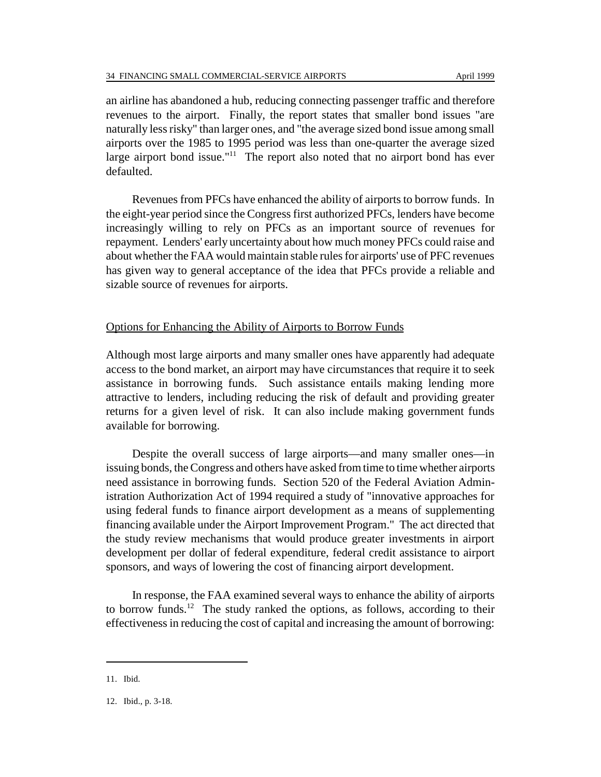an airline has abandoned a hub, reducing connecting passenger traffic and therefore revenues to the airport. Finally, the report states that smaller bond issues "are naturally less risky" than larger ones, and "the average sized bond issue among small airports over the 1985 to 1995 period was less than one-quarter the average sized large airport bond issue."<sup>11</sup> The report also noted that no airport bond has ever defaulted.

Revenues from PFCs have enhanced the ability of airports to borrow funds. In the eight-year period since the Congress first authorized PFCs, lenders have become increasingly willing to rely on PFCs as an important source of revenues for repayment. Lenders' early uncertainty about how much money PFCs could raise and about whether the FAA would maintain stable rules for airports' use of PFC revenues has given way to general acceptance of the idea that PFCs provide a reliable and sizable source of revenues for airports.

## Options for Enhancing the Ability of Airports to Borrow Funds

Although most large airports and many smaller ones have apparently had adequate access to the bond market, an airport may have circumstances that require it to seek assistance in borrowing funds. Such assistance entails making lending more attractive to lenders, including reducing the risk of default and providing greater returns for a given level of risk. It can also include making government funds available for borrowing.

Despite the overall success of large airports—and many smaller ones—in issuing bonds, the Congress and others have asked from time to time whether airports need assistance in borrowing funds. Section 520 of the Federal Aviation Administration Authorization Act of 1994 required a study of "innovative approaches for using federal funds to finance airport development as a means of supplementing financing available under the Airport Improvement Program." The act directed that the study review mechanisms that would produce greater investments in airport development per dollar of federal expenditure, federal credit assistance to airport sponsors, and ways of lowering the cost of financing airport development.

In response, the FAA examined several ways to enhance the ability of airports to borrow funds.<sup>12</sup> The study ranked the options, as follows, according to their effectiveness in reducing the cost of capital and increasing the amount of borrowing:

<sup>11.</sup> Ibid.

<sup>12.</sup> Ibid., p. 3-18.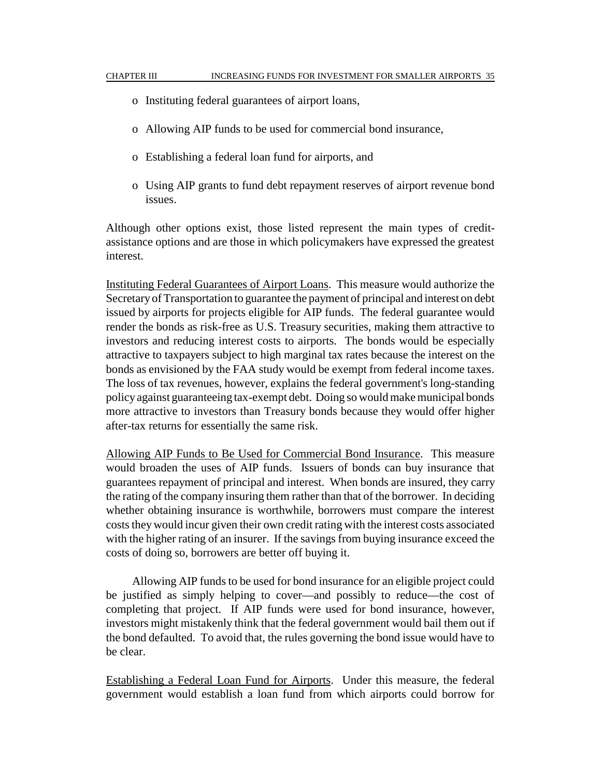- o Instituting federal guarantees of airport loans,
- o Allowing AIP funds to be used for commercial bond insurance,
- o Establishing a federal loan fund for airports, and
- o Using AIP grants to fund debt repayment reserves of airport revenue bond issues.

Although other options exist, those listed represent the main types of creditassistance options and are those in which policymakers have expressed the greatest interest.

Instituting Federal Guarantees of Airport Loans. This measure would authorize the Secretary of Transportation to guarantee the payment of principal and interest on debt issued by airports for projects eligible for AIP funds. The federal guarantee would render the bonds as risk-free as U.S. Treasury securities, making them attractive to investors and reducing interest costs to airports. The bonds would be especially attractive to taxpayers subject to high marginal tax rates because the interest on the bonds as envisioned by the FAA study would be exempt from federal income taxes. The loss of tax revenues, however, explains the federal government's long-standing policy against guaranteeing tax-exempt debt. Doing so would make municipal bonds more attractive to investors than Treasury bonds because they would offer higher after-tax returns for essentially the same risk.

Allowing AIP Funds to Be Used for Commercial Bond Insurance. This measure would broaden the uses of AIP funds. Issuers of bonds can buy insurance that guarantees repayment of principal and interest. When bonds are insured, they carry the rating of the company insuring them rather than that of the borrower. In deciding whether obtaining insurance is worthwhile, borrowers must compare the interest costs they would incur given their own credit rating with the interest costs associated with the higher rating of an insurer. If the savings from buying insurance exceed the costs of doing so, borrowers are better off buying it.

Allowing AIP funds to be used for bond insurance for an eligible project could be justified as simply helping to cover—and possibly to reduce—the cost of completing that project. If AIP funds were used for bond insurance, however, investors might mistakenly think that the federal government would bail them out if the bond defaulted. To avoid that, the rules governing the bond issue would have to be clear.

Establishing a Federal Loan Fund for Airports. Under this measure, the federal government would establish a loan fund from which airports could borrow for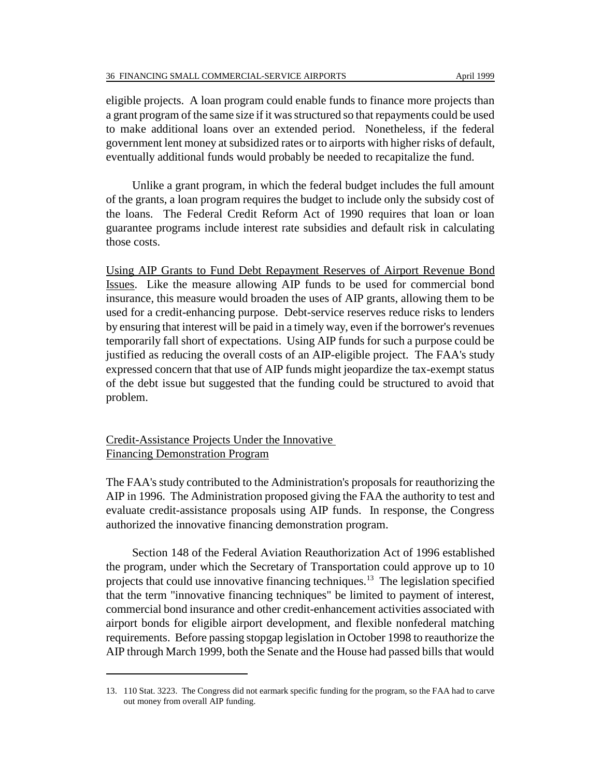eligible projects. A loan program could enable funds to finance more projects than a grant program of the same size if it was structured so that repayments could be used to make additional loans over an extended period. Nonetheless, if the federal government lent money at subsidized rates or to airports with higher risks of default, eventually additional funds would probably be needed to recapitalize the fund.

Unlike a grant program, in which the federal budget includes the full amount of the grants, a loan program requires the budget to include only the subsidy cost of the loans. The Federal Credit Reform Act of 1990 requires that loan or loan guarantee programs include interest rate subsidies and default risk in calculating those costs.

Using AIP Grants to Fund Debt Repayment Reserves of Airport Revenue Bond Issues. Like the measure allowing AIP funds to be used for commercial bond insurance, this measure would broaden the uses of AIP grants, allowing them to be used for a credit-enhancing purpose. Debt-service reserves reduce risks to lenders by ensuring that interest will be paid in a timely way, even if the borrower's revenues temporarily fall short of expectations. Using AIP funds for such a purpose could be justified as reducing the overall costs of an AIP-eligible project. The FAA's study expressed concern that that use of AIP funds might jeopardize the tax-exempt status of the debt issue but suggested that the funding could be structured to avoid that problem.

Credit-Assistance Projects Under the Innovative Financing Demonstration Program

The FAA's study contributed to the Administration's proposals for reauthorizing the AIP in 1996. The Administration proposed giving the FAA the authority to test and evaluate credit-assistance proposals using AIP funds. In response, the Congress authorized the innovative financing demonstration program.

Section 148 of the Federal Aviation Reauthorization Act of 1996 established the program, under which the Secretary of Transportation could approve up to 10 projects that could use innovative financing techniques.<sup>13</sup> The legislation specified that the term "innovative financing techniques" be limited to payment of interest, commercial bond insurance and other credit-enhancement activities associated with airport bonds for eligible airport development, and flexible nonfederal matching requirements. Before passing stopgap legislation in October 1998 to reauthorize the AIP through March 1999, both the Senate and the House had passed bills that would

<sup>13. 110</sup> Stat. 3223. The Congress did not earmark specific funding for the program, so the FAA had to carve out money from overall AIP funding.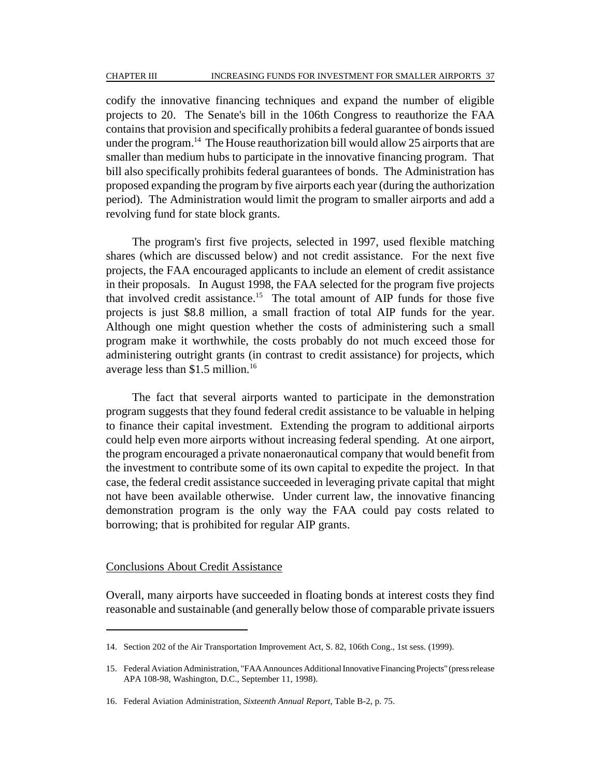codify the innovative financing techniques and expand the number of eligible projects to 20. The Senate's bill in the 106th Congress to reauthorize the FAA contains that provision and specifically prohibits a federal guarantee of bonds issued under the program.<sup>14</sup> The House reauthorization bill would allow 25 airports that are smaller than medium hubs to participate in the innovative financing program. That bill also specifically prohibits federal guarantees of bonds. The Administration has proposed expanding the program by five airports each year (during the authorization period). The Administration would limit the program to smaller airports and add a revolving fund for state block grants.

The program's first five projects, selected in 1997, used flexible matching shares (which are discussed below) and not credit assistance. For the next five projects, the FAA encouraged applicants to include an element of credit assistance in their proposals. In August 1998, the FAA selected for the program five projects that involved credit assistance.<sup>15</sup> The total amount of AIP funds for those five projects is just \$8.8 million, a small fraction of total AIP funds for the year. Although one might question whether the costs of administering such a small program make it worthwhile, the costs probably do not much exceed those for administering outright grants (in contrast to credit assistance) for projects, which average less than  $$1.5$  million.<sup>16</sup>

The fact that several airports wanted to participate in the demonstration program suggests that they found federal credit assistance to be valuable in helping to finance their capital investment. Extending the program to additional airports could help even more airports without increasing federal spending. At one airport, the program encouraged a private nonaeronautical company that would benefit from the investment to contribute some of its own capital to expedite the project. In that case, the federal credit assistance succeeded in leveraging private capital that might not have been available otherwise. Under current law, the innovative financing demonstration program is the only way the FAA could pay costs related to borrowing; that is prohibited for regular AIP grants.

#### Conclusions About Credit Assistance

Overall, many airports have succeeded in floating bonds at interest costs they find reasonable and sustainable (and generally below those of comparable private issuers

<sup>14.</sup> Section 202 of the Air Transportation Improvement Act, S. 82, 106th Cong., 1st sess. (1999).

<sup>15.</sup> Federal Aviation Administration, "FAA Announces Additional Innovative Financing Projects" (press release APA 108-98, Washington, D.C., September 11, 1998).

<sup>16.</sup> Federal Aviation Administration, *Sixteenth Annual Report*, Table B-2, p. 75.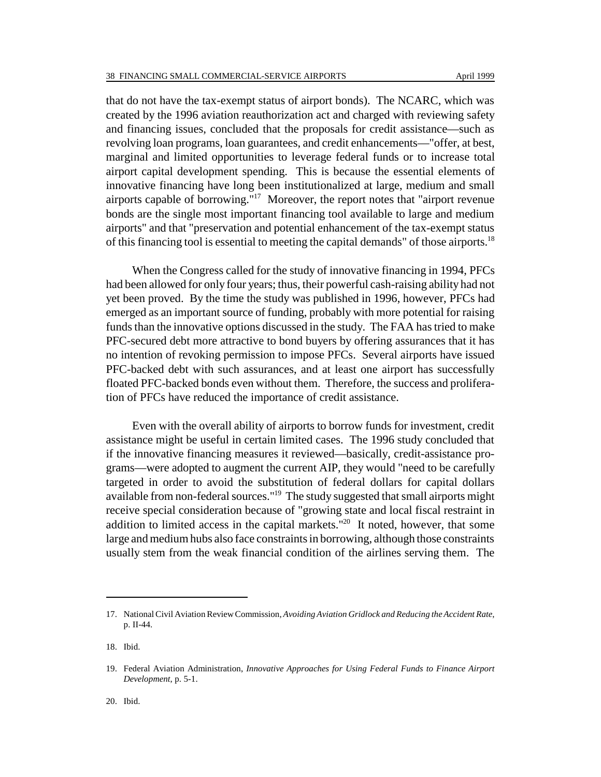that do not have the tax-exempt status of airport bonds). The NCARC, which was created by the 1996 aviation reauthorization act and charged with reviewing safety and financing issues, concluded that the proposals for credit assistance—such as revolving loan programs, loan guarantees, and credit enhancements—"offer, at best, marginal and limited opportunities to leverage federal funds or to increase total airport capital development spending. This is because the essential elements of innovative financing have long been institutionalized at large, medium and small airports capable of borrowing."17 Moreover, the report notes that "airport revenue bonds are the single most important financing tool available to large and medium airports" and that "preservation and potential enhancement of the tax-exempt status of this financing tool is essential to meeting the capital demands" of those airports.<sup>18</sup>

When the Congress called for the study of innovative financing in 1994, PFCs had been allowed for only four years; thus, their powerful cash-raising ability had not yet been proved. By the time the study was published in 1996, however, PFCs had emerged as an important source of funding, probably with more potential for raising funds than the innovative options discussed in the study. The FAA has tried to make PFC-secured debt more attractive to bond buyers by offering assurances that it has no intention of revoking permission to impose PFCs. Several airports have issued PFC-backed debt with such assurances, and at least one airport has successfully floated PFC-backed bonds even without them. Therefore, the success and proliferation of PFCs have reduced the importance of credit assistance.

Even with the overall ability of airports to borrow funds for investment, credit assistance might be useful in certain limited cases. The 1996 study concluded that if the innovative financing measures it reviewed—basically, credit-assistance programs—were adopted to augment the current AIP, they would "need to be carefully targeted in order to avoid the substitution of federal dollars for capital dollars available from non-federal sources."19 The study suggested that small airports might receive special consideration because of "growing state and local fiscal restraint in addition to limited access in the capital markets."<sup>20</sup> It noted, however, that some large and medium hubs also face constraints in borrowing, although those constraints usually stem from the weak financial condition of the airlines serving them. The

<sup>17.</sup> National Civil Aviation Review Commission, *Avoiding Aviation Gridlock and Reducing the Accident Rate*, p. II-44.

<sup>18.</sup> Ibid.

<sup>19.</sup> Federal Aviation Administration, *Innovative Approaches for Using Federal Funds to Finance Airport Development*, p. 5-1.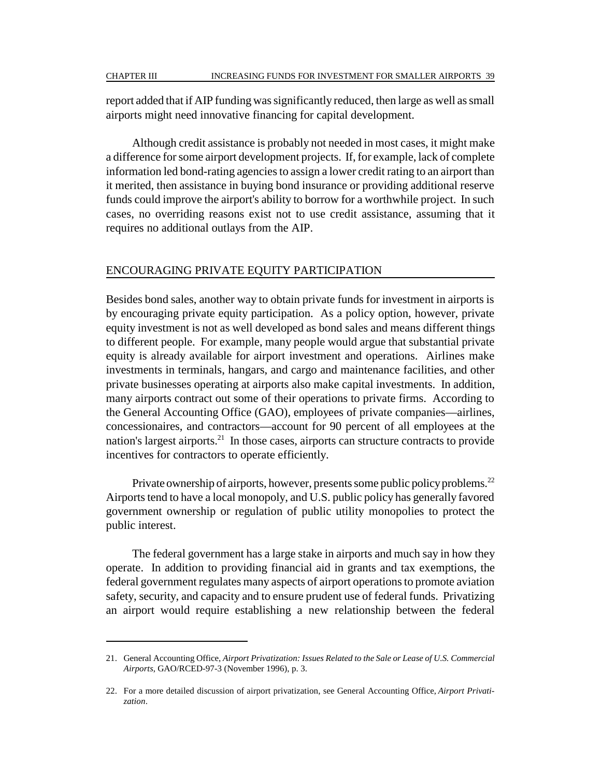report added that if AIP funding was significantly reduced, then large as well as small airports might need innovative financing for capital development.

Although credit assistance is probably not needed in most cases, it might make a difference for some airport development projects. If, for example, lack of complete information led bond-rating agencies to assign a lower credit rating to an airport than it merited, then assistance in buying bond insurance or providing additional reserve funds could improve the airport's ability to borrow for a worthwhile project. In such cases, no overriding reasons exist not to use credit assistance, assuming that it requires no additional outlays from the AIP.

#### ENCOURAGING PRIVATE EQUITY PARTICIPATION

Besides bond sales, another way to obtain private funds for investment in airports is by encouraging private equity participation. As a policy option, however, private equity investment is not as well developed as bond sales and means different things to different people. For example, many people would argue that substantial private equity is already available for airport investment and operations. Airlines make investments in terminals, hangars, and cargo and maintenance facilities, and other private businesses operating at airports also make capital investments. In addition, many airports contract out some of their operations to private firms. According to the General Accounting Office (GAO), employees of private companies—airlines, concessionaires, and contractors—account for 90 percent of all employees at the nation's largest airports.<sup>21</sup> In those cases, airports can structure contracts to provide incentives for contractors to operate efficiently.

Private ownership of airports, however, presents some public policy problems.<sup>22</sup> Airports tend to have a local monopoly, and U.S. public policy has generally favored government ownership or regulation of public utility monopolies to protect the public interest.

The federal government has a large stake in airports and much say in how they operate. In addition to providing financial aid in grants and tax exemptions, the federal government regulates many aspects of airport operations to promote aviation safety, security, and capacity and to ensure prudent use of federal funds. Privatizing an airport would require establishing a new relationship between the federal

<sup>21.</sup> General Accounting Office, *Airport Privatization: Issues Related to the Sale or Lease of U.S. Commercial Airports*, GAO/RCED-97-3 (November 1996), p. 3.

<sup>22.</sup> For a more detailed discussion of airport privatization, see General Accounting Office, *Airport Privatization*.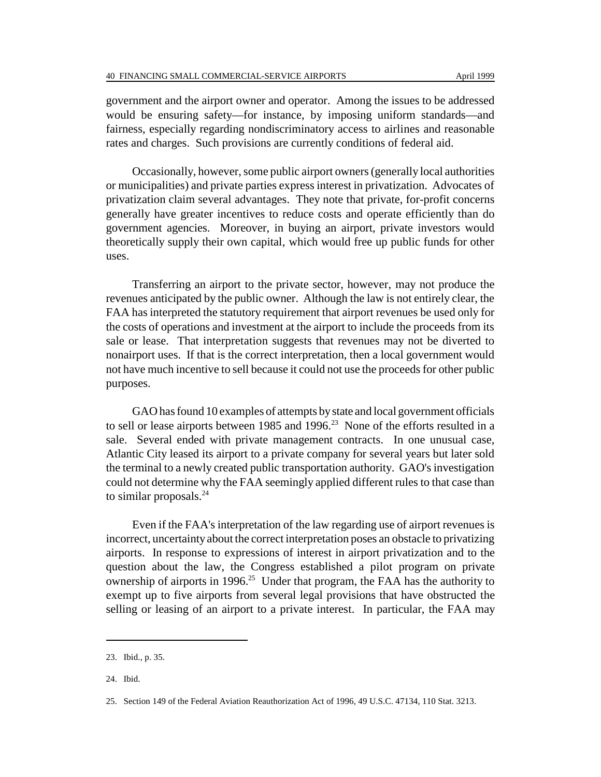government and the airport owner and operator. Among the issues to be addressed would be ensuring safety—for instance, by imposing uniform standards—and fairness, especially regarding nondiscriminatory access to airlines and reasonable rates and charges. Such provisions are currently conditions of federal aid.

Occasionally, however, some public airport owners (generally local authorities or municipalities) and private parties express interest in privatization. Advocates of privatization claim several advantages. They note that private, for-profit concerns generally have greater incentives to reduce costs and operate efficiently than do government agencies. Moreover, in buying an airport, private investors would theoretically supply their own capital, which would free up public funds for other uses.

Transferring an airport to the private sector, however, may not produce the revenues anticipated by the public owner. Although the law is not entirely clear, the FAA has interpreted the statutory requirement that airport revenues be used only for the costs of operations and investment at the airport to include the proceeds from its sale or lease. That interpretation suggests that revenues may not be diverted to nonairport uses. If that is the correct interpretation, then a local government would not have much incentive to sell because it could not use the proceeds for other public purposes.

GAO has found 10 examples of attempts by state and local government officials to sell or lease airports between 1985 and 1996.<sup>23</sup> None of the efforts resulted in a sale. Several ended with private management contracts. In one unusual case, Atlantic City leased its airport to a private company for several years but later sold the terminal to a newly created public transportation authority. GAO's investigation could not determine why the FAA seemingly applied different rules to that case than to similar proposals. $^{24}$ 

Even if the FAA's interpretation of the law regarding use of airport revenues is incorrect, uncertainty about the correct interpretation poses an obstacle to privatizing airports. In response to expressions of interest in airport privatization and to the question about the law, the Congress established a pilot program on private ownership of airports in 1996.<sup>25</sup> Under that program, the FAA has the authority to exempt up to five airports from several legal provisions that have obstructed the selling or leasing of an airport to a private interest. In particular, the FAA may

<sup>23.</sup> Ibid., p. 35.

<sup>24.</sup> Ibid.

<sup>25.</sup> Section 149 of the Federal Aviation Reauthorization Act of 1996, 49 U.S.C. 47134, 110 Stat. 3213.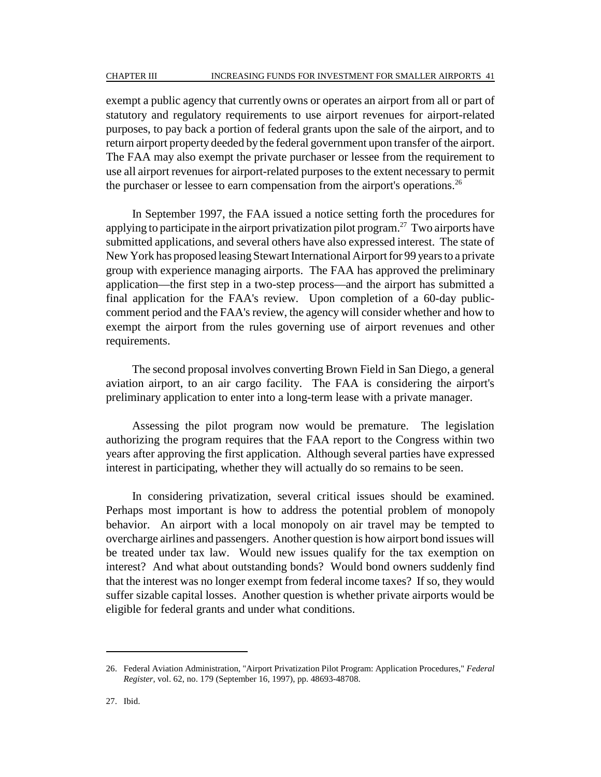exempt a public agency that currently owns or operates an airport from all or part of statutory and regulatory requirements to use airport revenues for airport-related purposes, to pay back a portion of federal grants upon the sale of the airport, and to return airport property deeded by the federal government upon transfer of the airport. The FAA may also exempt the private purchaser or lessee from the requirement to use all airport revenues for airport-related purposes to the extent necessary to permit the purchaser or lessee to earn compensation from the airport's operations.<sup>26</sup>

In September 1997, the FAA issued a notice setting forth the procedures for applying to participate in the airport privatization pilot program.<sup>27</sup> Two airports have submitted applications, and several others have also expressed interest. The state of New York has proposed leasing Stewart International Airport for 99 years to a private group with experience managing airports. The FAA has approved the preliminary application—the first step in a two-step process—and the airport has submitted a final application for the FAA's review. Upon completion of a 60-day publiccomment period and the FAA's review, the agency will consider whether and how to exempt the airport from the rules governing use of airport revenues and other requirements.

The second proposal involves converting Brown Field in San Diego, a general aviation airport, to an air cargo facility. The FAA is considering the airport's preliminary application to enter into a long-term lease with a private manager.

Assessing the pilot program now would be premature. The legislation authorizing the program requires that the FAA report to the Congress within two years after approving the first application. Although several parties have expressed interest in participating, whether they will actually do so remains to be seen.

In considering privatization, several critical issues should be examined. Perhaps most important is how to address the potential problem of monopoly behavior. An airport with a local monopoly on air travel may be tempted to overcharge airlines and passengers. Another question is how airport bond issues will be treated under tax law. Would new issues qualify for the tax exemption on interest? And what about outstanding bonds? Would bond owners suddenly find that the interest was no longer exempt from federal income taxes? If so, they would suffer sizable capital losses. Another question is whether private airports would be eligible for federal grants and under what conditions.

<sup>26.</sup> Federal Aviation Administration, "Airport Privatization Pilot Program: Application Procedures," *Federal Register*, vol. 62, no. 179 (September 16, 1997), pp. 48693-48708.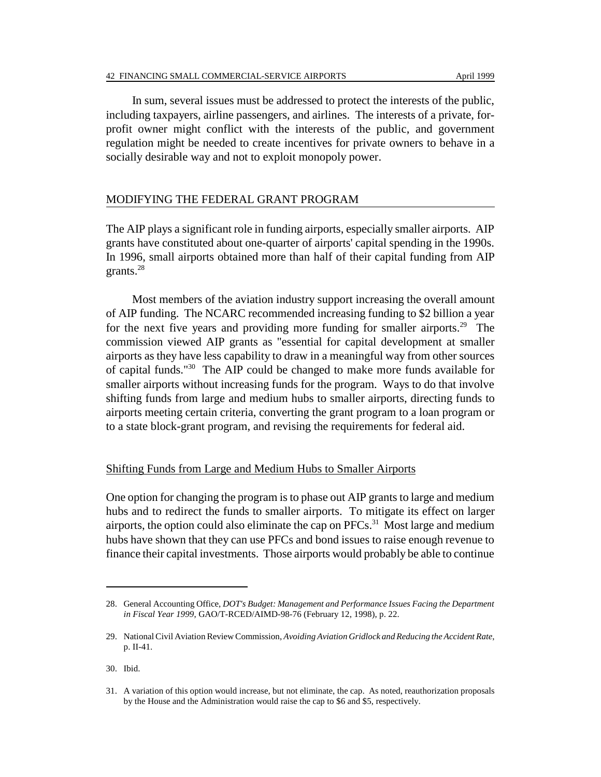In sum, several issues must be addressed to protect the interests of the public, including taxpayers, airline passengers, and airlines. The interests of a private, forprofit owner might conflict with the interests of the public, and government regulation might be needed to create incentives for private owners to behave in a socially desirable way and not to exploit monopoly power.

## MODIFYING THE FEDERAL GRANT PROGRAM

The AIP plays a significant role in funding airports, especially smaller airports. AIP grants have constituted about one-quarter of airports' capital spending in the 1990s. In 1996, small airports obtained more than half of their capital funding from AIP grants.28

Most members of the aviation industry support increasing the overall amount of AIP funding. The NCARC recommended increasing funding to \$2 billion a year for the next five years and providing more funding for smaller airports.<sup>29</sup> The commission viewed AIP grants as "essential for capital development at smaller airports as they have less capability to draw in a meaningful way from other sources of capital funds."30 The AIP could be changed to make more funds available for smaller airports without increasing funds for the program. Ways to do that involve shifting funds from large and medium hubs to smaller airports, directing funds to airports meeting certain criteria, converting the grant program to a loan program or to a state block-grant program, and revising the requirements for federal aid.

### Shifting Funds from Large and Medium Hubs to Smaller Airports

One option for changing the program is to phase out AIP grants to large and medium hubs and to redirect the funds to smaller airports. To mitigate its effect on larger airports, the option could also eliminate the cap on  $PFCs$ <sup>31</sup>. Most large and medium hubs have shown that they can use PFCs and bond issues to raise enough revenue to finance their capital investments. Those airports would probably be able to continue

<sup>28.</sup> General Accounting Office, *DOT's Budget: Management and Performance Issues Facing the Department in Fiscal Year 1999*, GAO/T-RCED/AIMD-98-76 (February 12, 1998), p. 22.

<sup>29.</sup> National Civil Aviation Review Commission, *Avoiding Aviation Gridlock and Reducing the Accident Rate*, p. II-41.

<sup>30.</sup> Ibid.

<sup>31.</sup> A variation of this option would increase, but not eliminate, the cap. As noted, reauthorization proposals by the House and the Administration would raise the cap to \$6 and \$5, respectively.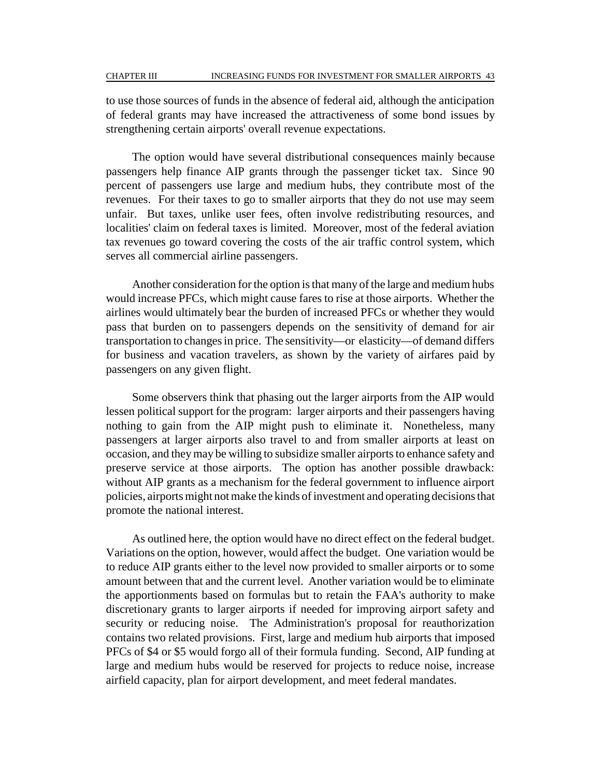to use those sources of funds in the absence of federal aid, although the anticipation of federal grants may have increased the attractiveness of some bond issues by strengthening certain airports' overall revenue expectations.

The option would have several distributional consequences mainly because passengers help finance AIP grants through the passenger ticket tax. Since 90 percent of passengers use large and medium hubs, they contribute most of the revenues. For their taxes to go to smaller airports that they do not use may seem unfair. But taxes, unlike user fees, often involve redistributing resources, and localities' claim on federal taxes is limited. Moreover, most of the federal aviation tax revenues go toward covering the costs of the air traffic control system, which serves all commercial airline passengers.

Another consideration for the option is that many of the large and medium hubs would increase PFCs, which might cause fares to rise at those airports. Whether the airlines would ultimately bear the burden of increased PFCs or whether they would pass that burden on to passengers depends on the sensitivity of demand for air transportation to changes in price. The sensitivity—or elasticity—of demand differs for business and vacation travelers, as shown by the variety of airfares paid by passengers on any given flight.

Some observers think that phasing out the larger airports from the AIP would lessen political support for the program: larger airports and their passengers having nothing to gain from the AIP might push to eliminate it. Nonetheless, many passengers at larger airports also travel to and from smaller airports at least on occasion, and they may be willing to subsidize smaller airports to enhance safety and preserve service at those airports. The option has another possible drawback: without AIP grants as a mechanism for the federal government to influence airport policies, airports might not make the kinds of investment and operating decisions that promote the national interest.

As outlined here, the option would have no direct effect on the federal budget. Variations on the option, however, would affect the budget. One variation would be to reduce AIP grants either to the level now provided to smaller airports or to some amount between that and the current level. Another variation would be to eliminate the apportionments based on formulas but to retain the FAA's authority to make discretionary grants to larger airports if needed for improving airport safety and security or reducing noise. The Administration's proposal for reauthorization contains two related provisions. First, large and medium hub airports that imposed PFCs of \$4 or \$5 would forgo all of their formula funding. Second, AIP funding at large and medium hubs would be reserved for projects to reduce noise, increase airfield capacity, plan for airport development, and meet federal mandates.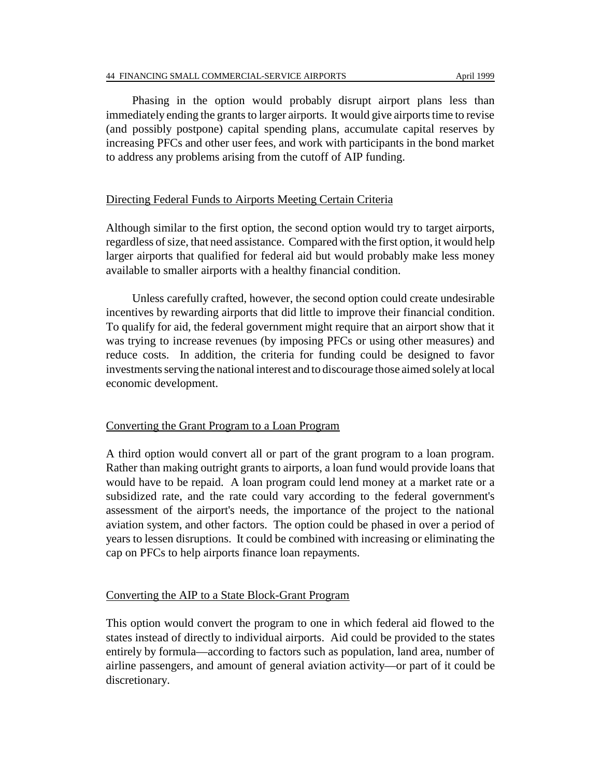Phasing in the option would probably disrupt airport plans less than immediately ending the grants to larger airports. It would give airports time to revise (and possibly postpone) capital spending plans, accumulate capital reserves by increasing PFCs and other user fees, and work with participants in the bond market to address any problems arising from the cutoff of AIP funding.

## Directing Federal Funds to Airports Meeting Certain Criteria

Although similar to the first option, the second option would try to target airports, regardless of size, that need assistance. Compared with the first option, it would help larger airports that qualified for federal aid but would probably make less money available to smaller airports with a healthy financial condition.

Unless carefully crafted, however, the second option could create undesirable incentives by rewarding airports that did little to improve their financial condition. To qualify for aid, the federal government might require that an airport show that it was trying to increase revenues (by imposing PFCs or using other measures) and reduce costs. In addition, the criteria for funding could be designed to favor investments serving the national interest and to discourage those aimed solely at local economic development.

#### Converting the Grant Program to a Loan Program

A third option would convert all or part of the grant program to a loan program. Rather than making outright grants to airports, a loan fund would provide loans that would have to be repaid. A loan program could lend money at a market rate or a subsidized rate, and the rate could vary according to the federal government's assessment of the airport's needs, the importance of the project to the national aviation system, and other factors. The option could be phased in over a period of years to lessen disruptions. It could be combined with increasing or eliminating the cap on PFCs to help airports finance loan repayments.

#### Converting the AIP to a State Block-Grant Program

This option would convert the program to one in which federal aid flowed to the states instead of directly to individual airports. Aid could be provided to the states entirely by formula—according to factors such as population, land area, number of airline passengers, and amount of general aviation activity—or part of it could be discretionary.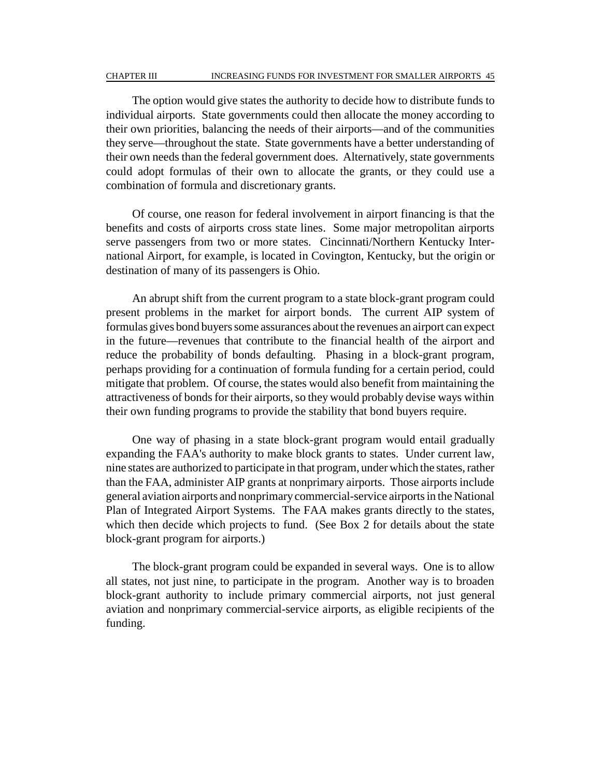#### CHAPTER III INCREASING FUNDS FOR INVESTMENT FOR SMALLER AIRPORTS 45

The option would give states the authority to decide how to distribute funds to individual airports. State governments could then allocate the money according to their own priorities, balancing the needs of their airports—and of the communities they serve—throughout the state. State governments have a better understanding of their own needs than the federal government does. Alternatively, state governments could adopt formulas of their own to allocate the grants, or they could use a combination of formula and discretionary grants.

Of course, one reason for federal involvement in airport financing is that the benefits and costs of airports cross state lines. Some major metropolitan airports serve passengers from two or more states. Cincinnati/Northern Kentucky International Airport, for example, is located in Covington, Kentucky, but the origin or destination of many of its passengers is Ohio.

An abrupt shift from the current program to a state block-grant program could present problems in the market for airport bonds. The current AIP system of formulas gives bond buyers some assurances about the revenues an airport can expect in the future—revenues that contribute to the financial health of the airport and reduce the probability of bonds defaulting. Phasing in a block-grant program, perhaps providing for a continuation of formula funding for a certain period, could mitigate that problem. Of course, the states would also benefit from maintaining the attractiveness of bonds for their airports, so they would probably devise ways within their own funding programs to provide the stability that bond buyers require.

One way of phasing in a state block-grant program would entail gradually expanding the FAA's authority to make block grants to states. Under current law, nine states are authorized to participate in that program, under which the states, rather than the FAA, administer AIP grants at nonprimary airports. Those airports include general aviation airports and nonprimary commercial-service airports in the National Plan of Integrated Airport Systems. The FAA makes grants directly to the states, which then decide which projects to fund. (See Box 2 for details about the state block-grant program for airports.)

The block-grant program could be expanded in several ways. One is to allow all states, not just nine, to participate in the program. Another way is to broaden block-grant authority to include primary commercial airports, not just general aviation and nonprimary commercial-service airports, as eligible recipients of the funding.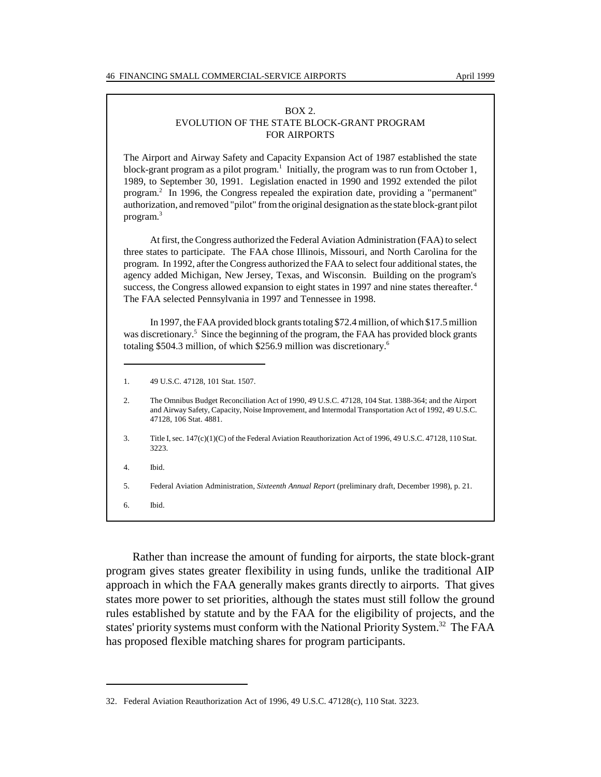#### BOX 2. EVOLUTION OF THE STATE BLOCK-GRANT PROGRAM FOR AIRPORTS

The Airport and Airway Safety and Capacity Expansion Act of 1987 established the state block-grant program as a pilot program.<sup>1</sup> Initially, the program was to run from October 1, 1989, to September 30, 1991. Legislation enacted in 1990 and 1992 extended the pilot program.2 In 1996, the Congress repealed the expiration date, providing a "permanent" authorization, and removed "pilot" from the original designation as the state block-grant pilot program.<sup>3</sup>

At first, the Congress authorized the Federal Aviation Administration (FAA) to select three states to participate. The FAA chose Illinois, Missouri, and North Carolina for the program. In 1992, after the Congress authorized the FAA to select four additional states, the agency added Michigan, New Jersey, Texas, and Wisconsin. Building on the program's success, the Congress allowed expansion to eight states in 1997 and nine states thereafter.<sup>4</sup> The FAA selected Pennsylvania in 1997 and Tennessee in 1998.

In 1997, the FAA provided block grants totaling \$72.4 million, of which \$17.5 million was discretionary.<sup>5</sup> Since the beginning of the program, the FAA has provided block grants totaling \$504.3 million, of which \$256.9 million was discretionary.6

- 3. Title I, sec. 147(c)(1)(C) of the Federal Aviation Reauthorization Act of 1996, 49 U.S.C. 47128, 110 Stat. 3223.
- 4. Ibid.
- 5. Federal Aviation Administration, *Sixteenth Annual Report* (preliminary draft, December 1998), p. 21.

6. Ibid.

Rather than increase the amount of funding for airports, the state block-grant program gives states greater flexibility in using funds, unlike the traditional AIP approach in which the FAA generally makes grants directly to airports. That gives states more power to set priorities, although the states must still follow the ground rules established by statute and by the FAA for the eligibility of projects, and the states' priority systems must conform with the National Priority System.<sup>32</sup> The FAA has proposed flexible matching shares for program participants.

<sup>1. 49</sup> U.S.C. 47128, 101 Stat. 1507.

<sup>2.</sup> The Omnibus Budget Reconciliation Act of 1990, 49 U.S.C. 47128, 104 Stat. 1388-364; and the Airport and Airway Safety, Capacity, Noise Improvement, and Intermodal Transportation Act of 1992, 49 U.S.C. 47128, 106 Stat. 4881.

<sup>32.</sup> Federal Aviation Reauthorization Act of 1996, 49 U.S.C. 47128(c), 110 Stat. 3223.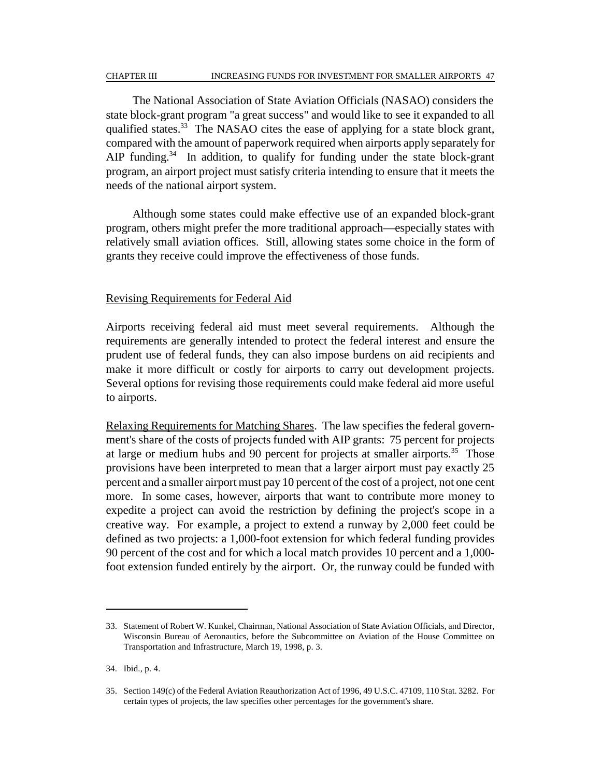#### CHAPTER III INCREASING FUNDS FOR INVESTMENT FOR SMALLER AIRPORTS 47

The National Association of State Aviation Officials (NASAO) considers the state block-grant program "a great success" and would like to see it expanded to all qualified states.<sup>33</sup> The NASAO cites the ease of applying for a state block grant, compared with the amount of paperwork required when airports apply separately for AIP funding.<sup>34</sup> In addition, to qualify for funding under the state block-grant program, an airport project must satisfy criteria intending to ensure that it meets the needs of the national airport system.

Although some states could make effective use of an expanded block-grant program, others might prefer the more traditional approach—especially states with relatively small aviation offices. Still, allowing states some choice in the form of grants they receive could improve the effectiveness of those funds.

### Revising Requirements for Federal Aid

Airports receiving federal aid must meet several requirements. Although the requirements are generally intended to protect the federal interest and ensure the prudent use of federal funds, they can also impose burdens on aid recipients and make it more difficult or costly for airports to carry out development projects. Several options for revising those requirements could make federal aid more useful to airports.

Relaxing Requirements for Matching Shares. The law specifies the federal government's share of the costs of projects funded with AIP grants: 75 percent for projects at large or medium hubs and 90 percent for projects at smaller airports.<sup>35</sup> Those provisions have been interpreted to mean that a larger airport must pay exactly 25 percent and a smaller airport must pay 10 percent of the cost of a project, not one cent more. In some cases, however, airports that want to contribute more money to expedite a project can avoid the restriction by defining the project's scope in a creative way. For example, a project to extend a runway by 2,000 feet could be defined as two projects: a 1,000-foot extension for which federal funding provides 90 percent of the cost and for which a local match provides 10 percent and a 1,000 foot extension funded entirely by the airport. Or, the runway could be funded with

<sup>33.</sup> Statement of Robert W. Kunkel, Chairman, National Association of State Aviation Officials, and Director, Wisconsin Bureau of Aeronautics, before the Subcommittee on Aviation of the House Committee on Transportation and Infrastructure, March 19, 1998, p. 3.

<sup>34.</sup> Ibid., p. 4.

<sup>35.</sup> Section 149(c) of the Federal Aviation Reauthorization Act of 1996, 49 U.S.C. 47109, 110 Stat. 3282. For certain types of projects, the law specifies other percentages for the government's share.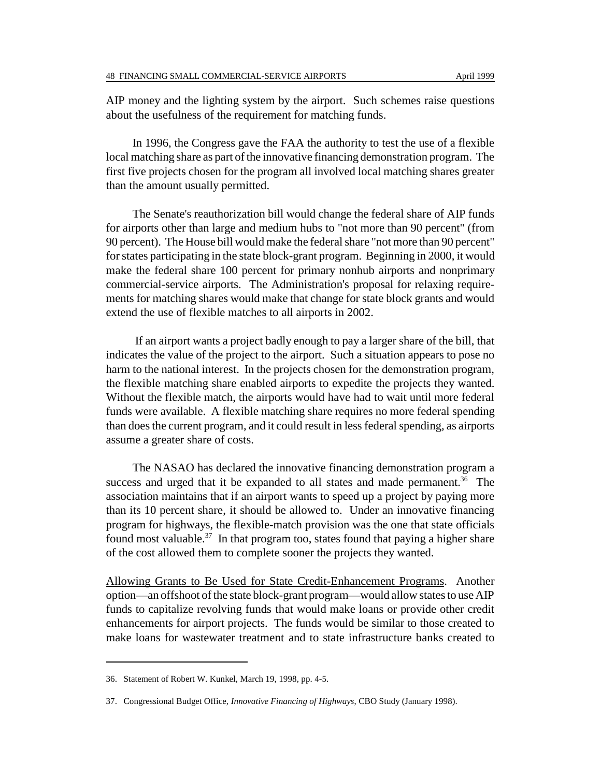AIP money and the lighting system by the airport. Such schemes raise questions about the usefulness of the requirement for matching funds.

In 1996, the Congress gave the FAA the authority to test the use of a flexible local matching share as part of the innovative financing demonstration program. The first five projects chosen for the program all involved local matching shares greater than the amount usually permitted.

The Senate's reauthorization bill would change the federal share of AIP funds for airports other than large and medium hubs to "not more than 90 percent" (from 90 percent). The House bill would make the federal share "not more than 90 percent" for states participating in the state block-grant program. Beginning in 2000, it would make the federal share 100 percent for primary nonhub airports and nonprimary commercial-service airports. The Administration's proposal for relaxing requirements for matching shares would make that change for state block grants and would extend the use of flexible matches to all airports in 2002.

 If an airport wants a project badly enough to pay a larger share of the bill, that indicates the value of the project to the airport. Such a situation appears to pose no harm to the national interest. In the projects chosen for the demonstration program, the flexible matching share enabled airports to expedite the projects they wanted. Without the flexible match, the airports would have had to wait until more federal funds were available. A flexible matching share requires no more federal spending than does the current program, and it could result in less federal spending, as airports assume a greater share of costs.

The NASAO has declared the innovative financing demonstration program a success and urged that it be expanded to all states and made permanent.<sup>36</sup> The association maintains that if an airport wants to speed up a project by paying more than its 10 percent share, it should be allowed to. Under an innovative financing program for highways, the flexible-match provision was the one that state officials found most valuable.<sup>37</sup> In that program too, states found that paying a higher share of the cost allowed them to complete sooner the projects they wanted.

Allowing Grants to Be Used for State Credit-Enhancement Programs. Another option—an offshoot of the state block-grant program—would allow states to use AIP funds to capitalize revolving funds that would make loans or provide other credit enhancements for airport projects. The funds would be similar to those created to make loans for wastewater treatment and to state infrastructure banks created to

<sup>36.</sup> Statement of Robert W. Kunkel, March 19, 1998, pp. 4-5.

<sup>37.</sup> Congressional Budget Office, *Innovative Financing of Highways*, CBO Study (January 1998).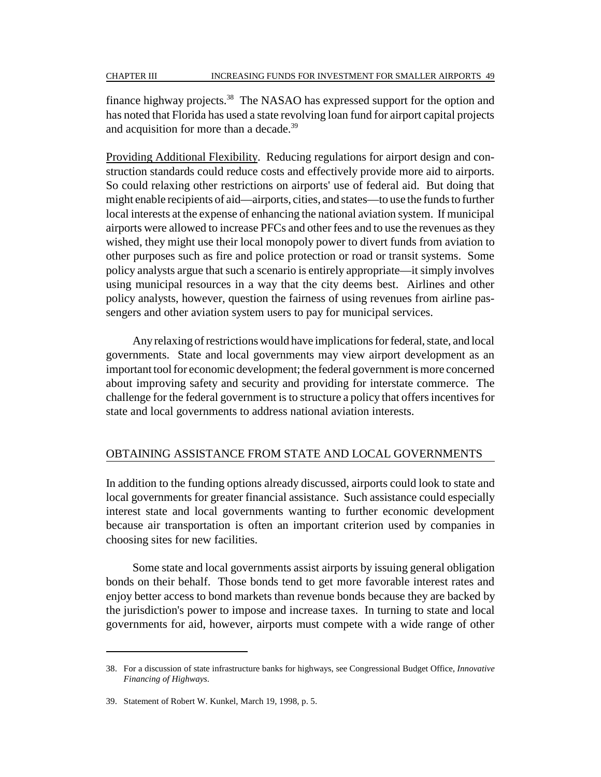finance highway projects.38 The NASAO has expressed support for the option and has noted that Florida has used a state revolving loan fund for airport capital projects and acquisition for more than a decade.<sup>39</sup>

Providing Additional Flexibility. Reducing regulations for airport design and construction standards could reduce costs and effectively provide more aid to airports. So could relaxing other restrictions on airports' use of federal aid. But doing that might enable recipients of aid—airports, cities, and states—to use the funds to further local interests at the expense of enhancing the national aviation system. If municipal airports were allowed to increase PFCs and other fees and to use the revenues as they wished, they might use their local monopoly power to divert funds from aviation to other purposes such as fire and police protection or road or transit systems. Some policy analysts argue that such a scenario is entirely appropriate—it simply involves using municipal resources in a way that the city deems best. Airlines and other policy analysts, however, question the fairness of using revenues from airline passengers and other aviation system users to pay for municipal services.

Any relaxing of restrictions would have implications for federal, state, and local governments. State and local governments may view airport development as an important tool for economic development; the federal government is more concerned about improving safety and security and providing for interstate commerce. The challenge for the federal government is to structure a policy that offers incentives for state and local governments to address national aviation interests.

# OBTAINING ASSISTANCE FROM STATE AND LOCAL GOVERNMENTS

In addition to the funding options already discussed, airports could look to state and local governments for greater financial assistance. Such assistance could especially interest state and local governments wanting to further economic development because air transportation is often an important criterion used by companies in choosing sites for new facilities.

Some state and local governments assist airports by issuing general obligation bonds on their behalf. Those bonds tend to get more favorable interest rates and enjoy better access to bond markets than revenue bonds because they are backed by the jurisdiction's power to impose and increase taxes. In turning to state and local governments for aid, however, airports must compete with a wide range of other

<sup>38.</sup> For a discussion of state infrastructure banks for highways, see Congressional Budget Office, *Innovative Financing of Highways*.

<sup>39.</sup> Statement of Robert W. Kunkel, March 19, 1998, p. 5.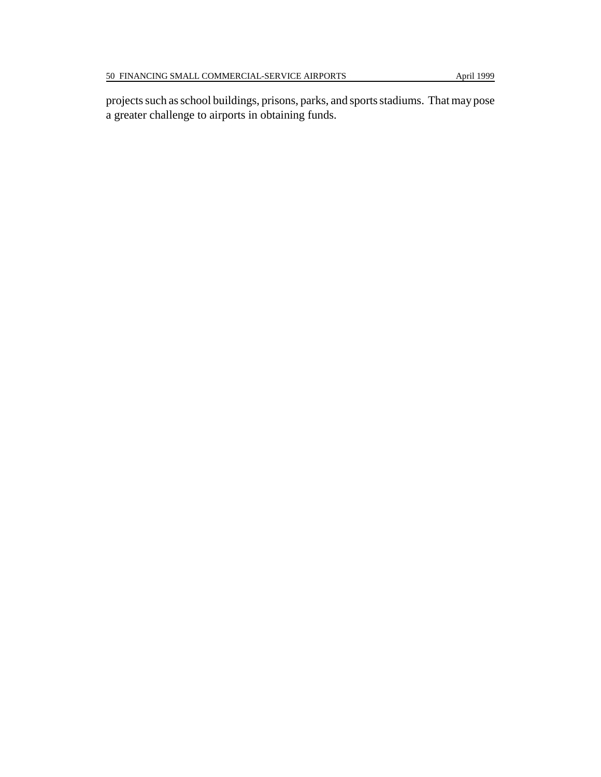projects such as school buildings, prisons, parks, and sports stadiums. That may pose a greater challenge to airports in obtaining funds.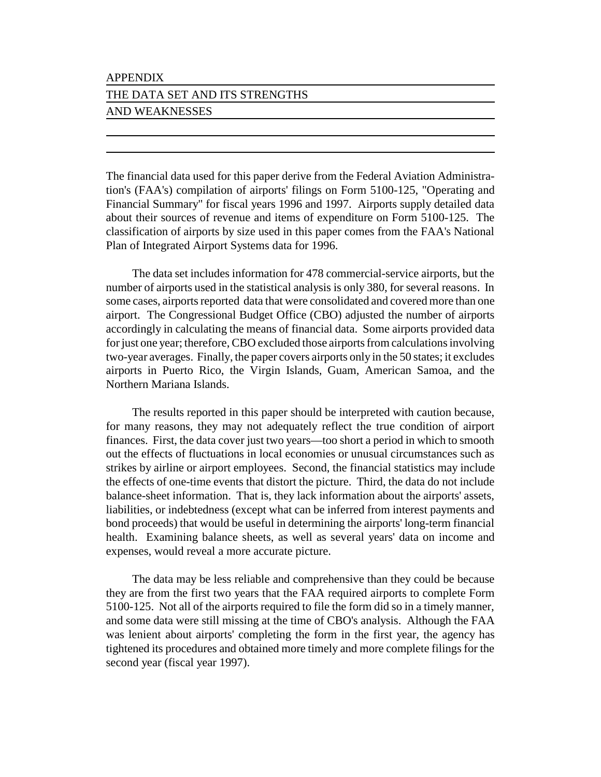#### APPENDIX

# THE DATA SET AND ITS STRENGTHS AND WEAKNESSES

The financial data used for this paper derive from the Federal Aviation Administration's (FAA's) compilation of airports' filings on Form 5100-125, "Operating and Financial Summary" for fiscal years 1996 and 1997. Airports supply detailed data about their sources of revenue and items of expenditure on Form 5100-125. The classification of airports by size used in this paper comes from the FAA's National Plan of Integrated Airport Systems data for 1996.

The data set includes information for 478 commercial-service airports, but the number of airports used in the statistical analysis is only 380, for several reasons. In some cases, airports reported data that were consolidated and covered more than one airport. The Congressional Budget Office (CBO) adjusted the number of airports accordingly in calculating the means of financial data. Some airports provided data for just one year; therefore, CBO excluded those airports from calculations involving two-year averages. Finally, the paper covers airports only in the 50 states; it excludes airports in Puerto Rico, the Virgin Islands, Guam, American Samoa, and the Northern Mariana Islands.

The results reported in this paper should be interpreted with caution because, for many reasons, they may not adequately reflect the true condition of airport finances. First, the data cover just two years—too short a period in which to smooth out the effects of fluctuations in local economies or unusual circumstances such as strikes by airline or airport employees. Second, the financial statistics may include the effects of one-time events that distort the picture. Third, the data do not include balance-sheet information. That is, they lack information about the airports' assets, liabilities, or indebtedness (except what can be inferred from interest payments and bond proceeds) that would be useful in determining the airports' long-term financial health. Examining balance sheets, as well as several years' data on income and expenses, would reveal a more accurate picture.

The data may be less reliable and comprehensive than they could be because they are from the first two years that the FAA required airports to complete Form 5100-125. Not all of the airports required to file the form did so in a timely manner, and some data were still missing at the time of CBO's analysis. Although the FAA was lenient about airports' completing the form in the first year, the agency has tightened its procedures and obtained more timely and more complete filings for the second year (fiscal year 1997).